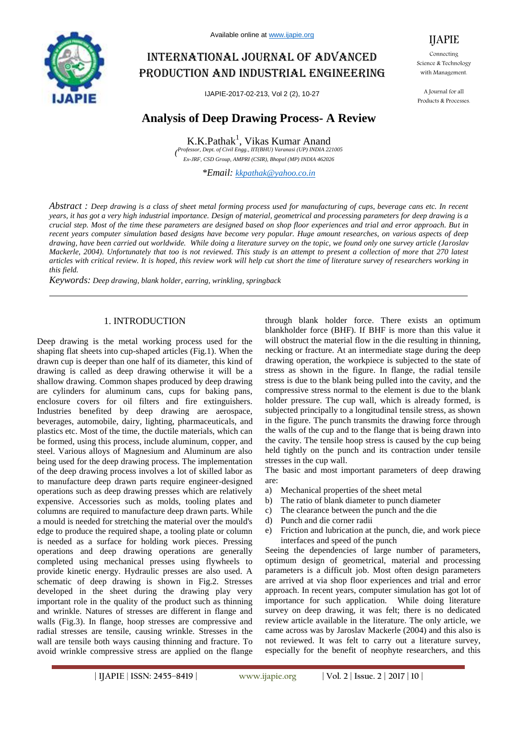

Available online at www.ijapie.org

# International journal of advanced production and industrial engineering

IJAPIE-2017-02-213, Vol 2 (2), 10-27

# **Analysis of Deep Drawing Process- A Review**

K.K.Pathak<sup>1</sup>, Vikas Kumar Anand *( Professor, Dept. of Civil Engg., IIT(BHU) Varanasi (UP) INDIA 221005 Ex-JRF, CSD Group, AMPRI (CSIR), Bhopal (MP) INDIA 462026*

*\*Email: kkpathak@yahoo.co.in*

*Abstract : Deep drawing is a class of sheet metal forming process used for manufacturing of cups, beverage cans etc. In recent years, it has got a very high industrial importance. Design of material, geometrical and processing parameters for deep drawing is a crucial step. Most of the time these parameters are designed based on shop floor experiences and trial and error approach. But in recent years computer simulation based designs have become very popular. Huge amount researches, on various aspects of deep drawing, have been carried out worldwide. While doing a literature survey on the topic, we found only one survey article (Jaroslav Mackerle, 2004). Unfortunately that too is not reviewed. This study is an attempt to present a collection of more that 270 latest articles with critical review. It is hoped, this review work will help cut short the time of literature survey of researchers working in this field.*

*Keywords: Deep drawing, blank holder, earring, wrinkling, springback*

#### 1. INTRODUCTION

Deep drawing is the metal working process used for the shaping flat sheets into cup-shaped articles (Fig.1). When the drawn cup is deeper than one half of its diameter, this kind of drawing is called as deep drawing otherwise it will be a shallow drawing. Common shapes produced by deep drawing are cylinders for aluminum cans, cups for baking pans, enclosure covers for oil filters and fire extinguishers. Industries benefited by deep drawing are aerospace, beverages, automobile, dairy, lighting, pharmaceuticals, and plastics etc. Most of the time, the ductile materials, which can be formed, using this process, include aluminum, copper, and steel. Various alloys of Magnesium and Aluminum are also being used for the deep drawing process. The implementation of the deep drawing process involves a lot of skilled labor as to manufacture deep drawn parts require engineer-designed operations such as deep drawing presses which are relatively expensive. Accessories such as molds, tooling plates and columns are required to manufacture deep drawn parts. While a mould is needed for stretching the material over the mould's edge to produce the required shape, a tooling plate or column is needed as a surface for holding work pieces. Pressing operations and deep drawing operations are generally completed using mechanical presses using flywheels to provide kinetic energy. Hydraulic presses are also used. A schematic of deep drawing is shown in Fig.2. Stresses developed in the sheet during the drawing play very important role in the quality of the product such as thinning and wrinkle. Natures of stresses are different in flange and walls (Fig.3). In flange, hoop stresses are compressive and radial stresses are tensile, causing wrinkle. Stresses in the wall are tensile both ways causing thinning and fracture. To avoid wrinkle compressive stress are applied on the flange

through blank holder force. There exists an optimum blankholder force (BHF). If BHF is more than this value it will obstruct the material flow in the die resulting in thinning, necking or fracture. At an intermediate stage during the deep drawing operation, the workpiece is subjected to the state of stress as shown in the figure. In flange, the radial tensile stress is due to the blank being pulled into the cavity, and the compressive stress normal to the element is due to the blank holder pressure. The cup wall, which is already formed, is subjected principally to a longitudinal tensile stress, as shown in the figure. The punch transmits the drawing force through the walls of the cup and to the flange that is being drawn into the cavity. The tensile hoop stress is caused by the cup being held tightly on the punch and its contraction under tensile stresses in the cup wall.

The basic and most important parameters of deep drawing are:

- a) Mechanical properties of the sheet metal
- b) The ratio of blank diameter to punch diameter
- c) The clearance between the punch and the die
- d) Punch and die corner radii
- e) Friction and lubrication at the punch, die, and work piece interfaces and speed of the punch

Seeing the dependencies of large number of parameters, optimum design of geometrical, material and processing parameters is a difficult job. Most often design parameters are arrived at via shop floor experiences and trial and error approach. In recent years, computer simulation has got lot of importance for such application. While doing literature survey on deep drawing, it was felt; there is no dedicated review article available in the literature. The only article, we came across was by Jaroslav Mackerle (2004) and this also is not reviewed. It was felt to carry out a literature survey, especially for the benefit of neophyte researchers, and this

IJAPIE

Connecting Science & Technology with Management.

A Journal for all Products & Processes.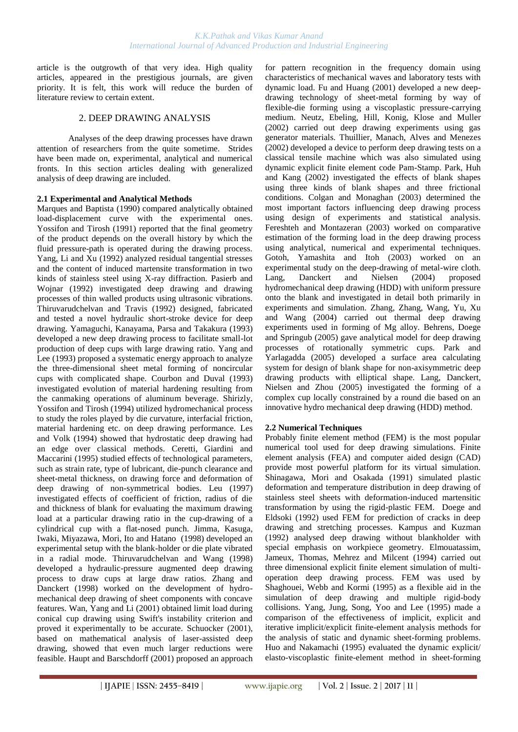article is the outgrowth of that very idea. High quality articles, appeared in the prestigious journals, are given priority. It is felt, this work will reduce the burden of literature review to certain extent.

### 2. DEEP DRAWING ANALYSIS

Analyses of the deep drawing processes have drawn attention of researchers from the quite sometime. Strides have been made on, experimental, analytical and numerical fronts. In this section articles dealing with generalized analysis of deep drawing are included.

#### **2.1 Experimental and Analytical Methods**

[Marques](http://apps.isiknowledge.com/WoS/CIW.cgi?SID=1AJM5iKdKA546ePn1B6&Func=OneClickSearch&field=AU&val=MARQUES+MJMB&ut=A1990EP16200007&auloc=1&curr_doc=1/1181&Form=FullRecordPage&doc=1/1181) and [Baptista](http://apps.isiknowledge.com/WoS/CIW.cgi?SID=1AJM5iKdKA546ePn1B6&Func=OneClickSearch&field=AU&val=BAPTISTA+RMSO&ut=A1990EP16200007&auloc=2&curr_doc=1/1181&Form=FullRecordPage&doc=1/1181) (1990) compared analytically obtained load-displacement curve with the experimental ones. [Yossifon](http://apps.isiknowledge.com/WoS/CIW.cgi?SID=1AJM5iKdKA546ePn1B6&Func=OneClickSearch&field=AU&val=YOSSIFON+S&ut=A1991FL96100003&auloc=1&curr_doc=1/1171&Form=FullRecordPage&doc=1/1171) and [Tirosh \(](http://apps.isiknowledge.com/WoS/CIW.cgi?SID=1AJM5iKdKA546ePn1B6&Func=OneClickSearch&field=AU&val=TIROSH+J&ut=A1991FL96100003&auloc=2&curr_doc=1/1171&Form=FullRecordPage&doc=1/1171)1991) reported that the final geometry of the product depends on the overall history by which the fluid pressure-path is operated during the drawing process. [Yang,](http://apps.isiknowledge.com/WoS/CIW.cgi?SID=1AJM5iKdKA546ePn1B6&Func=OneClickSearch&field=AU&val=YANG+YY&ut=A1992HR82800003&auloc=1&curr_doc=1/1133&Form=FullRecordPage&doc=1/1133) [Li](http://apps.isiknowledge.com/WoS/CIW.cgi?SID=1AJM5iKdKA546ePn1B6&Func=OneClickSearch&field=AU&val=LI+CF&ut=A1992HR82800003&auloc=2&curr_doc=1/1133&Form=FullRecordPage&doc=1/1133) and [Xu \(](http://apps.isiknowledge.com/WoS/CIW.cgi?SID=1AJM5iKdKA546ePn1B6&Func=OneClickSearch&field=AU&val=XU+HZ&ut=A1992HR82800003&auloc=3&curr_doc=1/1133&Form=FullRecordPage&doc=1/1133)1992) analyzed residual tangential stresses and the content of induced martensite transformation in two kinds of stainless steel using X-ray diffraction. [Pasierb](http://apps.isiknowledge.com/WoS/CIW.cgi?SID=1AJM5iKdKA546ePn1B6&Func=OneClickSearch&field=AU&val=PASIERB+A&ut=A1992JQ97700062&auloc=1&curr_doc=1/1115&Form=FullRecordPage&doc=1/1115) and [Wojnar](http://apps.isiknowledge.com/WoS/CIW.cgi?SID=1AJM5iKdKA546ePn1B6&Func=OneClickSearch&field=AU&val=WOJNAR+A&ut=A1992JQ97700062&auloc=2&curr_doc=1/1115&Form=FullRecordPage&doc=1/1115) (1992) investigated deep drawing and drawing processes of thin walled products using ultrasonic vibrations. [Thiruvarudchelvan](http://apps.isiknowledge.com/WoS/CIW.cgi?SID=1AJM5iKdKA546ePn1B6&Func=OneClickSearch&field=AU&val=THIRUVARUDCHELVAN+S&ut=A1992KF05400006&auloc=1&curr_doc=1/1107&Form=FullRecordPage&doc=1/1107) and [Travis](http://apps.isiknowledge.com/WoS/CIW.cgi?SID=1AJM5iKdKA546ePn1B6&Func=OneClickSearch&field=AU&val=TRAVIS+FW&ut=A1992KF05400006&auloc=2&curr_doc=1/1107&Form=FullRecordPage&doc=1/1107) (1992) designed, fabricated and tested a novel hydraulic short-stroke device for deep drawing. [Yamaguchi,](http://apps.isiknowledge.com/WoS/CIW.cgi?SID=1AJM5iKdKA546ePn1B6&Func=OneClickSearch&field=AU&val=YAMAGUCHI+K&ut=A1993LD99500008&auloc=1&curr_doc=1/1093&Form=FullRecordPage&doc=1/1093) [Kanayama,](http://apps.isiknowledge.com/WoS/CIW.cgi?SID=1AJM5iKdKA546ePn1B6&Func=OneClickSearch&field=AU&val=KANAYAMA+K&ut=A1993LD99500008&auloc=2&curr_doc=1/1093&Form=FullRecordPage&doc=1/1093) [Parsa](http://apps.isiknowledge.com/WoS/CIW.cgi?SID=1AJM5iKdKA546ePn1B6&Func=OneClickSearch&field=AU&val=PARSA+MH&ut=A1993LD99500008&auloc=3&curr_doc=1/1093&Form=FullRecordPage&doc=1/1093) and [Takakura](http://apps.isiknowledge.com/WoS/CIW.cgi?SID=1AJM5iKdKA546ePn1B6&Func=OneClickSearch&field=AU&val=TAKAKURA+N&ut=A1993LD99500008&auloc=4&curr_doc=1/1093&Form=FullRecordPage&doc=1/1093) (1993) developed a new deep drawing process to facilitate small-lot production of deep cups with large drawing ratio. [Yang](http://apps.isiknowledge.com/WoS/CIW.cgi?SID=1AJM5iKdKA546ePn1B6&Func=OneClickSearch&field=AU&val=YANG+DY&ut=A1993LH41700004&auloc=1&curr_doc=1/1090&Form=FullRecordPage&doc=1/1090) and [Lee](http://apps.isiknowledge.com/WoS/CIW.cgi?SID=1AJM5iKdKA546ePn1B6&Func=OneClickSearch&field=AU&val=LEE+HS&ut=A1993LH41700004&auloc=2&curr_doc=1/1090&Form=FullRecordPage&doc=1/1090) (1993) proposed a systematic energy approach to analyze the three-dimensional sheet metal forming of noncircular cups with complicated shape. [Courbon](http://apps.isiknowledge.com/WoS/CIW.cgi?SID=1AJM5iKdKA546ePn1B6&Func=OneClickSearch&field=AU&val=COURBON+J&ut=A1993MT43600039&auloc=1&curr_doc=1/1063&Form=FullRecordPage&doc=1/1063) and [Duval \(](http://apps.isiknowledge.com/WoS/CIW.cgi?SID=1AJM5iKdKA546ePn1B6&Func=OneClickSearch&field=AU&val=DUVAL+JL&ut=A1993MT43600039&auloc=2&curr_doc=1/1063&Form=FullRecordPage&doc=1/1063)1993) investigated evolution of material hardening resulting from the canmaking operations of aluminum beverage. [Shirizly,](http://apps.isiknowledge.com/WoS/CIW.cgi?SID=1AJM5iKdKA546ePn1B6&Func=OneClickSearch&field=AU&val=SHIRIZLY+A&ut=A1994MR84400004&auloc=1&curr_doc=1/1066&Form=FullRecordPage&doc=1/1066) [Yossifon](http://apps.isiknowledge.com/WoS/CIW.cgi?SID=1AJM5iKdKA546ePn1B6&Func=OneClickSearch&field=AU&val=YOSSIFON+S&ut=A1994MR84400004&auloc=2&curr_doc=1/1066&Form=FullRecordPage&doc=1/1066) and [Tirosh \(](http://apps.isiknowledge.com/WoS/CIW.cgi?SID=1AJM5iKdKA546ePn1B6&Func=OneClickSearch&field=AU&val=TIROSH+J&ut=A1994MR84400004&auloc=3&curr_doc=1/1066&Form=FullRecordPage&doc=1/1066)1994) utilized hydromechanical process to study the roles played by die curvature, interfacial friction, material hardening etc. on deep drawing performance. [Les](http://apps.isiknowledge.com/WoS/CIW.cgi?SID=1AJM5iKdKA546ePn1B6&Func=OneClickSearch&field=AU&val=LES+P&ut=A1994QP58700009&auloc=1&curr_doc=1/1020&Form=FullRecordPage&doc=1/1020) and [Volk \(](http://apps.isiknowledge.com/WoS/CIW.cgi?SID=1AJM5iKdKA546ePn1B6&Func=OneClickSearch&field=AU&val=VOLK+D&ut=A1994QP58700009&auloc=2&curr_doc=1/1020&Form=FullRecordPage&doc=1/1020)1994) showed that hydrostatic deep drawing had an edge over classical methods. [Ceretti,](http://apps.isiknowledge.com/WoS/CIW.cgi?SID=1AJM5iKdKA546ePn1B6&Func=OneClickSearch&field=AU&val=Ceretti+E&ut=A1995TP97400054&auloc=1&curr_doc=1/981&Form=FullRecordPage&doc=1/981) [Giardini](http://apps.isiknowledge.com/WoS/CIW.cgi?SID=1AJM5iKdKA546ePn1B6&Func=OneClickSearch&field=AU&val=Giardini+C&ut=A1995TP97400054&auloc=2&curr_doc=1/981&Form=FullRecordPage&doc=1/981) and [Maccarini](http://apps.isiknowledge.com/WoS/CIW.cgi?SID=1AJM5iKdKA546ePn1B6&Func=OneClickSearch&field=AU&val=Maccarini+G&ut=A1995TP97400054&auloc=3&curr_doc=1/981&Form=FullRecordPage&doc=1/981) (1995) studied effects of technological parameters, such as strain rate, type of lubricant, die-punch clearance and sheet-metal thickness, on drawing force and deformation of deep drawing of non-symmetrical bodies. [Leu](http://apps.isiknowledge.com/WoS/CIW.cgi?SID=1AJM5iKdKA546ePn1B6&Func=OneClickSearch&field=AU&val=Leu+DK&ut=000071451400013&auloc=1&curr_doc=1/857&Form=FullRecordPage&doc=1/857) (1997) investigated effects of coefficient of friction, radius of die and thickness of blank for evaluating the maximum drawing load at a particular drawing ratio in the cup-drawing of a cylindrical cup with a flat-nosed punch. [Jimma,](http://apps.isiknowledge.com/WoS/CIW.cgi?SID=2DkOCF9aP3omdaABJnA&Func=OneClickSearch&field=AU&val=Jimma+T&ut=000075700400068&auloc=1&curr_doc=1/804&Form=FullRecordPage&doc=1/804) [Kasuga,](http://apps.isiknowledge.com/WoS/CIW.cgi?SID=2DkOCF9aP3omdaABJnA&Func=OneClickSearch&field=AU&val=Kasuga+Y&ut=000075700400068&auloc=2&curr_doc=1/804&Form=FullRecordPage&doc=1/804) [Iwaki,](http://apps.isiknowledge.com/WoS/CIW.cgi?SID=2DkOCF9aP3omdaABJnA&Func=OneClickSearch&field=AU&val=Iwaki+N&ut=000075700400068&auloc=3&curr_doc=1/804&Form=FullRecordPage&doc=1/804) [Miyazawa,](http://apps.isiknowledge.com/WoS/CIW.cgi?SID=2DkOCF9aP3omdaABJnA&Func=OneClickSearch&field=AU&val=Miyazawa+O&ut=000075700400068&auloc=4&curr_doc=1/804&Form=FullRecordPage&doc=1/804) [Mori,](http://apps.isiknowledge.com/WoS/CIW.cgi?SID=2DkOCF9aP3omdaABJnA&Func=OneClickSearch&field=AU&val=Mori+E&ut=000075700400068&auloc=5&curr_doc=1/804&Form=FullRecordPage&doc=1/804) [Ito](http://apps.isiknowledge.com/WoS/CIW.cgi?SID=2DkOCF9aP3omdaABJnA&Func=OneClickSearch&field=AU&val=Ito+K&ut=000075700400068&auloc=6&curr_doc=1/804&Form=FullRecordPage&doc=1/804) and [Hatano](http://apps.isiknowledge.com/WoS/CIW.cgi?SID=2DkOCF9aP3omdaABJnA&Func=OneClickSearch&field=AU&val=Hatano+H&ut=000075700400068&auloc=7&curr_doc=1/804&Form=FullRecordPage&doc=1/804) (1998) developed an experimental setup with the blank-holder or die plate vibrated in a radial mode. [Thiruvarudchelvan](http://apps.isiknowledge.com/WoS/CIW.cgi?SID=1AJM5iKdKA546ePn1B6&Func=OneClickSearch&field=AU&val=Thiruvarudchelvan+S&ut=000071656400042&auloc=1&curr_doc=1/854&Form=FullRecordPage&doc=1/854) and [Wang](http://apps.isiknowledge.com/WoS/CIW.cgi?SID=1AJM5iKdKA546ePn1B6&Func=OneClickSearch&field=AU&val=Wang+HB&ut=000071656400042&auloc=2&curr_doc=1/854&Form=FullRecordPage&doc=1/854) (1998) developed a hydraulic-pressure augmented deep drawing process to draw cups at large draw ratios. Zhang and Danckert (1998) worked on the development of hydromechanical deep drawing of sheet components with concave features. [Wan,](http://apps.isiknowledge.com/WoS/CIW.cgi?SID=2DkOCF9aP3omdaABJnA&Func=OneClickSearch&field=AU&val=Wan+M&ut=000169769000003&auloc=1&curr_doc=1/584&Form=FullRecordPage&doc=1/584) [Yang](http://apps.isiknowledge.com/WoS/CIW.cgi?SID=2DkOCF9aP3omdaABJnA&Func=OneClickSearch&field=AU&val=Yang+YY&ut=000169769000003&auloc=2&curr_doc=1/584&Form=FullRecordPage&doc=1/584) and [Li](http://apps.isiknowledge.com/WoS/CIW.cgi?SID=2DkOCF9aP3omdaABJnA&Func=OneClickSearch&field=AU&val=Li+SB&ut=000169769000003&auloc=3&curr_doc=1/584&Form=FullRecordPage&doc=1/584) (2001) obtained limit load during conical cup drawing using Swift's instability criterion and proved it experimentally to be accurate. [Schuocker](http://apps.isiknowledge.com/WoS/CIW.cgi?SID=2DkOCF9aP3omdaABJnA&Func=OneClickSearch&field=AU&val=Schuocker+D&ut=000170255500020&auloc=1&curr_doc=1/580&Form=FullRecordPage&doc=1/580) (2001), based on mathematical analysis of laser-assisted deep drawing, showed that even much larger reductions were feasible. [Haupt](http://apps.isiknowledge.com/WoS/CIW.cgi?SID=2DkOCF9aP3omdaABJnA&Func=OneClickSearch&field=AU&val=Haupt+H&ut=000170787500003&auloc=1&curr_doc=1/570&Form=FullRecordPage&doc=1/570) and [Barschdorff](http://apps.isiknowledge.com/WoS/CIW.cgi?SID=2DkOCF9aP3omdaABJnA&Func=OneClickSearch&field=AU&val=Barschdorff+D&ut=000170787500003&auloc=2&curr_doc=1/570&Form=FullRecordPage&doc=1/570) (2001) proposed an approach

for pattern recognition in the frequency domain using characteristics of mechanical waves and laboratory tests with dynamic load. [Fu](http://apps.isiknowledge.com/WoS/CIW.cgi?SID=2DkOCF9aP3omdaABJnA&Func=OneClickSearch&field=AU&val=Fu+MW&ut=000171487900016&auloc=1&curr_doc=1/557&Form=FullRecordPage&doc=1/557) and [Huang](http://apps.isiknowledge.com/WoS/CIW.cgi?SID=2DkOCF9aP3omdaABJnA&Func=OneClickSearch&field=AU&val=Huang+MH&ut=000171487900016&auloc=2&curr_doc=1/557&Form=FullRecordPage&doc=1/557) (2001) developed a new deepdrawing technology of sheet-metal forming by way of flexible-die forming using a viscoplastic pressure-carrying medium. [Neutz,](http://apps.isiknowledge.com/WoS/CIW.cgi?SID=2DkOCF9aP3omdaABJnA&Func=OneClickSearch&field=AU&val=Neutz+J&ut=000176726400011&auloc=1&curr_doc=1/496&Form=FullRecordPage&doc=1/496) [Ebeling,](http://apps.isiknowledge.com/WoS/CIW.cgi?SID=2DkOCF9aP3omdaABJnA&Func=OneClickSearch&field=AU&val=Ebeling+H&ut=000176726400011&auloc=2&curr_doc=1/496&Form=FullRecordPage&doc=1/496) [Hill,](http://apps.isiknowledge.com/WoS/CIW.cgi?SID=2DkOCF9aP3omdaABJnA&Func=OneClickSearch&field=AU&val=Hill+W&ut=000176726400011&auloc=3&curr_doc=1/496&Form=FullRecordPage&doc=1/496) [Konig,](http://apps.isiknowledge.com/WoS/CIW.cgi?SID=2DkOCF9aP3omdaABJnA&Func=OneClickSearch&field=AU&val=Konig+A&ut=000176726400011&auloc=4&curr_doc=1/496&Form=FullRecordPage&doc=1/496) [Klose](http://apps.isiknowledge.com/WoS/CIW.cgi?SID=2DkOCF9aP3omdaABJnA&Func=OneClickSearch&field=AU&val=Klose+L&ut=000176726400011&auloc=5&curr_doc=1/496&Form=FullRecordPage&doc=1/496) and [Muller](http://apps.isiknowledge.com/WoS/CIW.cgi?SID=2DkOCF9aP3omdaABJnA&Func=OneClickSearch&field=AU&val=Muller+A&ut=000176726400011&auloc=6&curr_doc=1/496&Form=FullRecordPage&doc=1/496) (2002) carried out deep drawing experiments using gas generator materials. [Thuillier,](http://apps.isiknowledge.com/WoS/CIW.cgi?SID=2DkOCF9aP3omdaABJnA&Func=OneClickSearch&field=AU&val=Thuillier+S&ut=000179553200127&auloc=1&curr_doc=1/451&Form=FullRecordPage&doc=1/451) [Manach,](http://apps.isiknowledge.com/WoS/CIW.cgi?SID=2DkOCF9aP3omdaABJnA&Func=OneClickSearch&field=AU&val=Manach+PY&ut=000179553200125&auloc=1&curr_doc=1/450&Form=FullRecordPage&doc=1/450) [Alves](http://apps.isiknowledge.com/WoS/CIW.cgi?SID=2DkOCF9aP3omdaABJnA&Func=OneClickSearch&field=AU&val=Oliveira+MC&ut=000179553200125&auloc=2&curr_doc=1/450&Form=FullRecordPage&doc=1/450) and [Menezes](http://apps.isiknowledge.com/WoS/CIW.cgi?SID=2DkOCF9aP3omdaABJnA&Func=OneClickSearch&field=AU&val=Menezes+LF&ut=000179553200125&auloc=4&curr_doc=1/450&Form=FullRecordPage&doc=1/450) (2002) developed a device to perform deep drawing tests on a classical tensile machine which was also simulated using dynamic explicit finite element code Pam-Stamp. [Park,](http://apps.isiknowledge.com/WoS/CIW.cgi?SID=2DkOCF9aP3omdaABJnA&Func=OneClickSearch&field=AU&val=Park+DH&ut=000179981100014&auloc=1&curr_doc=1/430&Form=FullRecordPage&doc=1/430) [Huh](http://apps.isiknowledge.com/WoS/CIW.cgi?SID=2DkOCF9aP3omdaABJnA&Func=OneClickSearch&field=AU&val=Huh+YM&ut=000179981100014&auloc=2&curr_doc=1/430&Form=FullRecordPage&doc=1/430) and [Kang](http://apps.isiknowledge.com/WoS/CIW.cgi?SID=2DkOCF9aP3omdaABJnA&Func=OneClickSearch&field=AU&val=Kang+SS&ut=000179981100014&auloc=3&curr_doc=1/430&Form=FullRecordPage&doc=1/430) (2002) investigated the effects of blank shapes using three kinds of blank shapes and three frictional conditions. Colgan and Monaghan (2003) determined the most important factors influencing deep drawing process using design of experiments and statistical analysis. Fereshteh and Montazeran (2003) worked on comparative estimation of the forming load in the deep drawing process using analytical, numerical and experimental techniques. Gotoh, Yamashita and Itoh (2003) worked on an experimental study on the deep-drawing of metal-wire cloth. Lang, Danckert and Nielsen (2004) proposed hydromechanical deep drawing (HDD) with uniform pressure onto the blank and investigated in detail both primarily in experiments and simulation. [Zhang,](http://apps.isiknowledge.com/WoS/CIW.cgi?SID=2FlDIFKMAffmlO8GHpf&Func=OneClickSearch&field=AU&val=Zhang+SH&ut=000220705300007&auloc=1&curr_doc=1/332&Form=FullRecordPage&doc=1/332) [Zhang,](http://apps.isiknowledge.com/WoS/CIW.cgi?SID=2FlDIFKMAffmlO8GHpf&Func=OneClickSearch&field=AU&val=Zhang+K&ut=000220705300007&auloc=2&curr_doc=1/332&Form=FullRecordPage&doc=1/332) [Wang,](http://apps.isiknowledge.com/WoS/CIW.cgi?SID=2FlDIFKMAffmlO8GHpf&Func=OneClickSearch&field=AU&val=Wang+ZT&ut=000220705300007&auloc=3&curr_doc=1/332&Form=FullRecordPage&doc=1/332) [Yu,](http://apps.isiknowledge.com/WoS/CIW.cgi?SID=2FlDIFKMAffmlO8GHpf&Func=OneClickSearch&field=AU&val=Yu+CF&ut=000220705300007&auloc=4&curr_doc=1/332&Form=FullRecordPage&doc=1/332) [Xu](http://apps.isiknowledge.com/WoS/CIW.cgi?SID=2FlDIFKMAffmlO8GHpf&Func=OneClickSearch&field=AU&val=Xu+Y&ut=000220705300007&auloc=5&curr_doc=1/332&Form=FullRecordPage&doc=1/332) and [Wang](http://apps.isiknowledge.com/WoS/CIW.cgi?SID=2FlDIFKMAffmlO8GHpf&Func=OneClickSearch&field=AU&val=Wang+Q&ut=000220705300007&auloc=6&curr_doc=1/332&Form=FullRecordPage&doc=1/332) (2004) carried out thermal deep drawing experiments used in forming of Mg alloy. [Behrens,](http://apps.isiknowledge.com/WoS/CIW.cgi?SID=4F4DgpBnmJOk2a7nieI&Func=OneClickSearch&field=AU&val=Behrens+BA&ut=000230592900002&auloc=1&curr_doc=1/201&Form=FullRecordPage&doc=1/201) [Doege](http://apps.isiknowledge.com/WoS/CIW.cgi?SID=4F4DgpBnmJOk2a7nieI&Func=OneClickSearch&field=AU&val=Doege+E&ut=000230592900002&auloc=2&curr_doc=1/201&Form=FullRecordPage&doc=1/201) and [Springub](http://apps.isiknowledge.com/WoS/CIW.cgi?SID=4F4DgpBnmJOk2a7nieI&Func=OneClickSearch&field=AU&val=Springub+B&ut=000230592900002&auloc=3&curr_doc=1/201&Form=FullRecordPage&doc=1/201) (2005) gave analytical model for deep drawing processes of rotationally symmetric cups. [Park](http://apps.isiknowledge.com/WoS/CIW.cgi?SID=4F4DgpBnmJOk2a7nieI&Func=OneClickSearch&field=AU&val=Park+DH&ut=000229609100111&auloc=1&curr_doc=1/214&Form=FullRecordPage&doc=1/214) and [Yarlagadda \(](http://apps.isiknowledge.com/WoS/CIW.cgi?SID=4F4DgpBnmJOk2a7nieI&Func=OneClickSearch&field=AU&val=Yarlagadda+PKDV&ut=000229609100111&auloc=2&curr_doc=1/214&Form=FullRecordPage&doc=1/214)2005) developed a surface area calculating system for design of blank shape for non-axisymmetric deep drawing products with elliptical shape. Lang, Danckert, Nielsen and Zhou (2005) investigated the forming of a complex cup locally constrained by a round die based on an innovative hydro mechanical deep drawing (HDD) method.

# **2.2 Numerical Techniques**

Probably finite element method (FEM) is the most popular numerical tool used for deep drawing simulations. Finite element analysis (FEA) and computer aided design (CAD) provide most powerful platform for its virtual simulation. [Shinagawa,](http://apps.isiknowledge.com/WoS/CIW.cgi?SID=1AJM5iKdKA546ePn1B6&Func=OneClickSearch&field=AU&val=SHINAGAWA+K&ut=A1991GB70500020&auloc=1&curr_doc=1/1159&Form=FullRecordPage&doc=1/1159) [Mori](http://apps.isiknowledge.com/WoS/CIW.cgi?SID=1AJM5iKdKA546ePn1B6&Func=OneClickSearch&field=AU&val=MORI+KI&ut=A1991GB70500020&auloc=2&curr_doc=1/1159&Form=FullRecordPage&doc=1/1159) and [Osakada](http://apps.isiknowledge.com/WoS/CIW.cgi?SID=1AJM5iKdKA546ePn1B6&Func=OneClickSearch&field=AU&val=OSAKADA+K&ut=A1991GB70500020&auloc=3&curr_doc=1/1159&Form=FullRecordPage&doc=1/1159) (1991) simulated plastic deformation and temperature distribution in deep drawing of stainless steel sheets with deformation-induced martensitic transformation by using the rigid-plastic FEM. [Doege](http://apps.isiknowledge.com/WoS/CIW.cgi?SID=1AJM5iKdKA546ePn1B6&Func=OneClickSearch&field=AU&val=DOEGE+E&ut=A1992JD99200014&auloc=1&curr_doc=1/1127&Form=FullRecordPage&doc=1/1127) and [Eldsoki](http://apps.isiknowledge.com/WoS/CIW.cgi?SID=1AJM5iKdKA546ePn1B6&Func=OneClickSearch&field=AU&val=ELDSOKI+T&ut=A1992JD99200014&auloc=2&curr_doc=1/1127&Form=FullRecordPage&doc=1/1127) (1992) used FEM for prediction of cracks in deep drawing and stretching processes. [Kampus](http://apps.isiknowledge.com/WoS/CIW.cgi?SID=1AJM5iKdKA546ePn1B6&Func=OneClickSearch&field=AU&val=KAMPUS+Z&ut=A1992JQ97700016&auloc=1&curr_doc=1/1112&Form=FullRecordPage&doc=1/1112) and [Kuzman](http://apps.isiknowledge.com/WoS/CIW.cgi?SID=1AJM5iKdKA546ePn1B6&Func=OneClickSearch&field=AU&val=KUZMAN+K&ut=A1992JQ97700016&auloc=2&curr_doc=1/1112&Form=FullRecordPage&doc=1/1112) (1992) analysed deep drawing without blankholder with special emphasis on workpiece geometry. [Elmouatassim,](http://apps.isiknowledge.com/WoS/CIW.cgi?SID=1AJM5iKdKA546ePn1B6&Func=OneClickSearch&field=AU&val=ELMOUATASSIM+M&ut=A1994PD42300051&auloc=1&curr_doc=1/1049&Form=FullRecordPage&doc=1/1049) [Jameux,](http://apps.isiknowledge.com/WoS/CIW.cgi?SID=1AJM5iKdKA546ePn1B6&Func=OneClickSearch&field=AU&val=JAMEUX+JP&ut=A1994PD42300051&auloc=2&curr_doc=1/1049&Form=FullRecordPage&doc=1/1049) [Thomas,](http://apps.isiknowledge.com/WoS/CIW.cgi?SID=1AJM5iKdKA546ePn1B6&Func=OneClickSearch&field=AU&val=THOMAS+B&ut=A1994PD42300051&auloc=3&curr_doc=1/1049&Form=FullRecordPage&doc=1/1049) [Mehrez](http://apps.isiknowledge.com/WoS/CIW.cgi?SID=1AJM5iKdKA546ePn1B6&Func=OneClickSearch&field=AU&val=MEHREZ+F&ut=A1994PD42300051&auloc=4&curr_doc=1/1049&Form=FullRecordPage&doc=1/1049) and [Milcent \(](http://apps.isiknowledge.com/WoS/CIW.cgi?SID=1AJM5iKdKA546ePn1B6&Func=OneClickSearch&field=AU&val=MILCENT+G&ut=A1994PD42300051&auloc=5&curr_doc=1/1049&Form=FullRecordPage&doc=1/1049)1994) carried out three dimensional explicit finite element simulation of multioperation deep drawing process. FEM was used by Shaghouei, Webb and Kormi (1995) as a flexible aid in the simulation of deep drawing and multiple rigid-body collisions. Yang, Jung, Song, Yoo and Lee (1995) made a comparison of the effectiveness of implicit, explicit and iterative implicit/explicit finite-element analysis methods for the analysis of static and dynamic sheet-forming problems. Huo and Nakamachi (1995) evaluated the dynamic explicit/ elasto-viscoplastic finite-element method in sheet-forming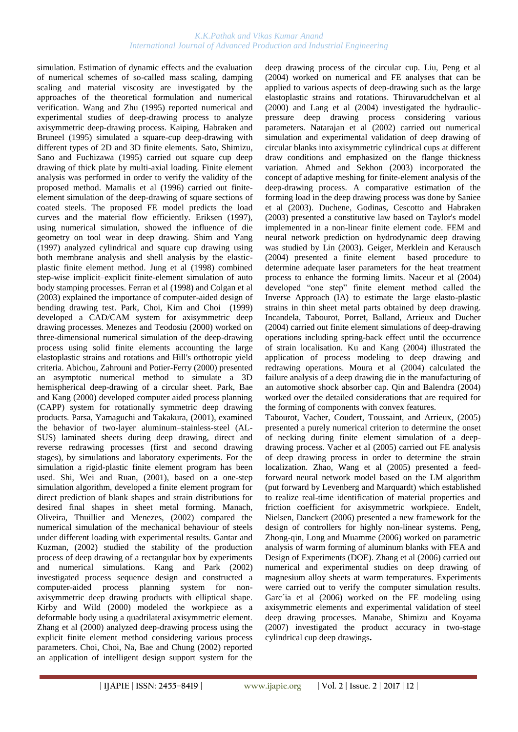#### *K.K.Pathak and Vikas Kumar Anand International Journal of Advanced Production and Industrial Engineering*

simulation. Estimation of dynamic effects and the evaluation of numerical schemes of so-called mass scaling, damping scaling and material viscosity are investigated by the approaches of the theoretical formulation and numerical verification. Wang and Zhu (1995) reported numerical and experimental studies of deep-drawing process to analyze axisymmetric deep-drawing process. Kaiping, Habraken and Bruneel (1995) simulated a square-cup deep-drawing with different types of 2D and 3D finite elements. Sato, Shimizu, Sano and Fuchizawa (1995) carried out square cup deep drawing of thick plate by multi-axial loading. Finite element analysis was performed in order to verify the validity of the proposed method. Mamalis et al (1996) carried out finiteelement simulation of the deep-drawing of square sections of coated steels. The proposed FE model predicts the load curves and the material flow efficiently. Eriksen (1997), using numerical simulation, showed the influence of die geometry on tool wear in deep drawing. [Shim](http://apps.isiknowledge.com/WoS/CIW.cgi?SID=1AJM5iKdKA546ePn1B6&Func=OneClickSearch&field=AU&val=Shim+HB&ut=A1997XV70800011&auloc=1&curr_doc=1/887&Form=FullRecordPage&doc=1/887) and [Yang](http://apps.isiknowledge.com/WoS/CIW.cgi?SID=1AJM5iKdKA546ePn1B6&Func=OneClickSearch&field=AU&val=Yang+DY&ut=A1997XV70800011&auloc=2&curr_doc=1/887&Form=FullRecordPage&doc=1/887)  (1997) analyzed cylindrical and square cup drawing using both membrane analysis and shell analysis by the elasticplastic finite element method. Jung et al (1998) combined step-wise implicit–explicit finite-element simulation of auto body stamping processes. Ferran et al (1998) and Colgan et al (2003) explained the importance of computer-aided design of bending drawing test. [Park,](http://apps.isiknowledge.com/WoS/CIW.cgi?SID=1AJM5iKdKA546ePn1B6&Func=OneClickSearch&field=AU&val=Park+SB&ut=000072750200003&auloc=1&curr_doc=1/844&Form=FullRecordPage&doc=1/844) [Choi,](http://apps.isiknowledge.com/WoS/CIW.cgi?SID=1AJM5iKdKA546ePn1B6&Func=OneClickSearch&field=AU&val=Choi+Y&ut=000072750200003&auloc=2&curr_doc=1/844&Form=FullRecordPage&doc=1/844) [Kim](http://apps.isiknowledge.com/WoS/CIW.cgi?SID=1AJM5iKdKA546ePn1B6&Func=OneClickSearch&field=AU&val=Kim+BM&ut=000072750200003&auloc=3&curr_doc=1/844&Form=FullRecordPage&doc=1/844) and [Choi](http://apps.isiknowledge.com/WoS/CIW.cgi?SID=1AJM5iKdKA546ePn1B6&Func=OneClickSearch&field=AU&val=Choi+JC&ut=000072750200003&auloc=4&curr_doc=1/844&Form=FullRecordPage&doc=1/844) (1999) developed a CAD/CAM system for axisymmetric deep drawing processes. Menezes and Teodosiu (2000) worked on three-dimensional numerical simulation of the deep-drawing process using solid finite elements accounting the large elastoplastic strains and rotations and Hill's orthotropic yield criteria. [Abichou,](http://apps.isiknowledge.com/WoS/CIW.cgi?SID=2DkOCF9aP3omdaABJnA&Func=OneClickSearch&field=AU&val=Abichou+H&ut=000086621100118&auloc=1&curr_doc=1/677&Form=FullRecordPage&doc=1/677) [Zahrouni](http://apps.isiknowledge.com/WoS/CIW.cgi?SID=2DkOCF9aP3omdaABJnA&Func=OneClickSearch&field=AU&val=Zahrouni+H&ut=000086621100118&auloc=2&curr_doc=1/677&Form=FullRecordPage&doc=1/677) an[d Potier-Ferry](http://apps.isiknowledge.com/WoS/CIW.cgi?SID=2DkOCF9aP3omdaABJnA&Func=OneClickSearch&field=AU&val=Potier-Ferry+M&ut=000086621100118&auloc=3&curr_doc=1/677&Form=FullRecordPage&doc=1/677) (2000) presented an asymptotic numerical method to simulate a 3D hemispherical deep-drawing of a circular sheet. [Park,](http://apps.isiknowledge.com/WoS/CIW.cgi?SID=2DkOCF9aP3omdaABJnA&Func=OneClickSearch&field=AU&val=Park+DH&ut=000089404200082&auloc=1&curr_doc=1/652&Form=FullRecordPage&doc=1/652) [Bae](http://apps.isiknowledge.com/WoS/CIW.cgi?SID=2DkOCF9aP3omdaABJnA&Func=OneClickSearch&field=AU&val=Bae+WR&ut=000089404200082&auloc=2&curr_doc=1/652&Form=FullRecordPage&doc=1/652) and [Kang](http://apps.isiknowledge.com/WoS/CIW.cgi?SID=2DkOCF9aP3omdaABJnA&Func=OneClickSearch&field=AU&val=Kang+SS&ut=000089404200082&auloc=3&curr_doc=1/652&Form=FullRecordPage&doc=1/652) (2000) developed computer aided process planning (CAPP) system for rotationally symmetric deep drawing products. Parsa, Yamaguchi and Takakura, (2001), examined the behavior of two-layer aluminum–stainless-steel (AL-SUS) laminated sheets during deep drawing, direct and reverse redrawing processes (first and second drawing stages), by simulations and laboratory experiments. For the simulation a rigid-plastic finite element program has been used. Shi, Wei and Ruan, (2001), based on a one-step simulation algorithm, developed a finite element program for direct prediction of blank shapes and strain distributions for desired final shapes in sheet metal forming. [Manach,](http://apps.isiknowledge.com/WoS/CIW.cgi?SID=2DkOCF9aP3omdaABJnA&Func=OneClickSearch&field=AU&val=Manach+PY&ut=000179553200127&auloc=4&curr_doc=1/451&Form=FullRecordPage&doc=1/451) Oliveira, Thuillier and Menezes, (2002) compared the numerical simulation of the mechanical behaviour of steels under different loading with experimental results. Gantar and Kuzman, (2002) studied the stability of the production process of deep drawing of a rectangular box by experiments and numerical simulations. [Kang](http://apps.isiknowledge.com/WoS/CIW.cgi?SID=2DkOCF9aP3omdaABJnA&Func=OneClickSearch&field=AU&val=Kang+SS&ut=000176776800007&auloc=1&curr_doc=1/497&Form=FullRecordPage&doc=1/497) and [Park \(](http://apps.isiknowledge.com/WoS/CIW.cgi?SID=2DkOCF9aP3omdaABJnA&Func=OneClickSearch&field=AU&val=Park+DH&ut=000176776800007&auloc=2&curr_doc=1/497&Form=FullRecordPage&doc=1/497)2002) investigated process sequence design and constructed a computer-aided process planning system for nonaxisymmetric deep drawing products with elliptical shape. Kirby and Wild (2000) modeled the workpiece as a deformable body using a quadrilateral axisymmetric element. Zhang et al (2000) analyzed deep-drawing process using the explicit finite element method considering various process parameters. [Choi,](http://apps.isiknowledge.com/WoS/CIW.cgi?SID=2DkOCF9aP3omdaABJnA&Func=OneClickSearch&field=AU&val=Choi+TH&ut=000179981100013&auloc=1&curr_doc=1/429&Form=FullRecordPage&doc=1/429) [Choi,](http://apps.isiknowledge.com/WoS/CIW.cgi?SID=2DkOCF9aP3omdaABJnA&Func=OneClickSearch&field=AU&val=Choi+S&ut=000179981100013&auloc=2&curr_doc=1/429&Form=FullRecordPage&doc=1/429) [Na,](http://apps.isiknowledge.com/WoS/CIW.cgi?SID=2DkOCF9aP3omdaABJnA&Func=OneClickSearch&field=AU&val=Na+KJ&ut=000179981100013&auloc=3&curr_doc=1/429&Form=FullRecordPage&doc=1/429) [Bae](http://apps.isiknowledge.com/WoS/CIW.cgi?SID=2DkOCF9aP3omdaABJnA&Func=OneClickSearch&field=AU&val=Bae+HS&ut=000179981100013&auloc=4&curr_doc=1/429&Form=FullRecordPage&doc=1/429) and [Chung](http://apps.isiknowledge.com/WoS/CIW.cgi?SID=2DkOCF9aP3omdaABJnA&Func=OneClickSearch&field=AU&val=Chung+WJ&ut=000179981100013&auloc=5&curr_doc=1/429&Form=FullRecordPage&doc=1/429) (2002) reported an application of intelligent design support system for the

deep drawing process of the circular cup. Liu, Peng et al (2004) worked on numerical and FE analyses that can be applied to various aspects of deep-drawing such as the large elastoplastic strains and rotations. Thiruvarudchelvan et al (2000) and Lang et al (2004) investigated the hydraulicpressure deep drawing process considering various parameters. Natarajan et al (2002) carried out numerical simulation and experimental validation of deep drawing of circular blanks into axisymmetric cylindrical cups at different draw conditions and emphasized on the flange thickness variation. [Ahmed](http://apps.isiknowledge.com/WoS/CIW.cgi?SID=2DkOCF9aP3omdaABJnA&Func=OneClickSearch&field=AU&val=Ahmed+M&ut=000181587100008&auloc=1&curr_doc=1/425&Form=FullRecordPage&doc=1/425) and [Sekhon](http://apps.isiknowledge.com/WoS/CIW.cgi?SID=2DkOCF9aP3omdaABJnA&Func=OneClickSearch&field=AU&val=Sekhon+GS&ut=000181587100008&auloc=2&curr_doc=1/425&Form=FullRecordPage&doc=1/425) (2003) incorporated the concept of adaptive meshing for finite-element analysis of the deep-drawing process. A comparative estimation of the forming load in the deep drawing process was done by Saniee et al (2003). [Duchene,](http://apps.isiknowledge.com/WoS/CIW.cgi?SID=2DkOCF9aP3omdaABJnA&Func=OneClickSearch&field=AU&val=Duchene+L&ut=000183274400027&auloc=1&curr_doc=1/406&Form=FullRecordPage&doc=1/406) [Godinas,](http://apps.isiknowledge.com/WoS/CIW.cgi?SID=2DkOCF9aP3omdaABJnA&Func=OneClickSearch&field=AU&val=Godinas+A&ut=000183274400027&auloc=2&curr_doc=1/406&Form=FullRecordPage&doc=1/406) [Cescotto](http://apps.isiknowledge.com/WoS/CIW.cgi?SID=2DkOCF9aP3omdaABJnA&Func=OneClickSearch&field=AU&val=Cescotto+S&ut=000183274400027&auloc=3&curr_doc=1/406&Form=FullRecordPage&doc=1/406) and [Habraken](http://apps.isiknowledge.com/WoS/CIW.cgi?SID=2DkOCF9aP3omdaABJnA&Func=OneClickSearch&field=AU&val=Habraken+AM&ut=000183274400027&auloc=4&curr_doc=1/406&Form=FullRecordPage&doc=1/406) (2003) presented a constitutive law based on Taylor's model implemented in a non-linear finite element code. FEM and neural network prediction on hydrodynamic deep drawing was studied by Lin (2003). [Geiger,](http://apps.isiknowledge.com/WoS/CIW.cgi?SID=2FlDIFKMAffmlO8GHpf&Func=OneClickSearch&field=AU&val=Geiger+M&ut=000222519700054&auloc=1&curr_doc=1/308&Form=FullRecordPage&doc=1/308) [Merklein](http://apps.isiknowledge.com/WoS/CIW.cgi?SID=2FlDIFKMAffmlO8GHpf&Func=OneClickSearch&field=AU&val=Merklein+M&ut=000222519700054&auloc=2&curr_doc=1/308&Form=FullRecordPage&doc=1/308) and [Kerausch](http://apps.isiknowledge.com/WoS/CIW.cgi?SID=2FlDIFKMAffmlO8GHpf&Func=OneClickSearch&field=AU&val=Kerausch+M&ut=000222519700054&auloc=3&curr_doc=1/308&Form=FullRecordPage&doc=1/308) (2004) presented a finite element based procedure to determine adequate laser parameters for the heat treatment process to enhance the forming limits. Naceur et al (2004) developed "one step" finite element method called the Inverse Approach (IA) to estimate the large elasto-plastic strains in thin sheet metal parts obtained by deep drawing. [Incandela,](http://apps.isiknowledge.com/WoS/CIW.cgi?SID=4F4DgpBnmJOk2a7nieI&Func=OneClickSearch&field=AU&val=Incandela+O&ut=000225845800001&auloc=1&curr_doc=1/252&Form=FullRecordPage&doc=1/252) [Tabourot,](http://apps.isiknowledge.com/WoS/CIW.cgi?SID=4F4DgpBnmJOk2a7nieI&Func=OneClickSearch&field=AU&val=Tabourot+L&ut=000225845800001&auloc=2&curr_doc=1/252&Form=FullRecordPage&doc=1/252) [Porret,](http://apps.isiknowledge.com/WoS/CIW.cgi?SID=4F4DgpBnmJOk2a7nieI&Func=OneClickSearch&field=AU&val=Porret+P&ut=000225845800001&auloc=3&curr_doc=1/252&Form=FullRecordPage&doc=1/252) [Balland,](http://apps.isiknowledge.com/WoS/CIW.cgi?SID=4F4DgpBnmJOk2a7nieI&Func=OneClickSearch&field=AU&val=Balland+P&ut=000225845800001&auloc=4&curr_doc=1/252&Form=FullRecordPage&doc=1/252) [Arrieux](http://apps.isiknowledge.com/WoS/CIW.cgi?SID=4F4DgpBnmJOk2a7nieI&Func=OneClickSearch&field=AU&val=Arrieux+R&ut=000225845800001&auloc=5&curr_doc=1/252&Form=FullRecordPage&doc=1/252) and [Ducher](http://apps.isiknowledge.com/WoS/CIW.cgi?SID=4F4DgpBnmJOk2a7nieI&Func=OneClickSearch&field=AU&val=Ducher+F&ut=000225845800001&auloc=6&curr_doc=1/252&Form=FullRecordPage&doc=1/252) (2004) carried out finite element simulations of deep-drawing operations including spring-back effect until the occurrence of strain localisation. [Ku](http://apps.isiknowledge.com/WoS/CIW.cgi?SID=4F4DgpBnmJOk2a7nieI&Func=OneClickSearch&field=AU&val=Ku+TW&ut=000227161500069&auloc=1&curr_doc=1/239&Form=FullRecordPage&doc=1/239) and [Kang \(](http://apps.isiknowledge.com/WoS/CIW.cgi?SID=4F4DgpBnmJOk2a7nieI&Func=OneClickSearch&field=AU&val=Kang+BS&ut=000227161500069&auloc=2&curr_doc=1/239&Form=FullRecordPage&doc=1/239)2004) illustrated the application of process modeling to deep drawing and redrawing operations. Moura et al (2004) calculated the failure analysis of a deep drawing die in the manufacturing of an automotive shock absorber cap. Qin and Balendra (2004) worked over the detailed considerations that are required for the forming of components with convex features.

Tabourot, Vacher, Coudert, Toussaint, and Arrieux, (2005) presented a purely numerical criterion to determine the onset of necking during finite element simulation of a deepdrawing process. Vacher et al (2005) carried out FE analysis of deep drawing process in order to determine the strain localization. [Zhao,](http://apps.isiknowledge.com/WoS/CIW.cgi?SID=4F4DgpBnmJOk2a7nieI&Func=OneClickSearch&field=AU&val=Zhao+J&ut=000231929200009&auloc=1&curr_doc=1/180&Form=FullRecordPage&doc=1/180) [Wang](http://apps.isiknowledge.com/WoS/CIW.cgi?SID=4F4DgpBnmJOk2a7nieI&Func=OneClickSearch&field=AU&val=Wang+FQ&ut=000231929200009&auloc=2&curr_doc=1/180&Form=FullRecordPage&doc=1/180) et al (2005) presented a feedforward neural network model based on the LM algorithm (put forward by Levenberg and Marquardt) which established to realize real-time identification of material properties and friction coefficient for axisymmetric workpiece. [Endelt,](http://apps.isiknowledge.com/WoS/CIW.cgi?SID=3Cic8Oijl8M@MI142Hp&Func=OneClickSearch&field=AU&val=Endelt+B&ut=000239611900095&auloc=1&fullauth=%20(Endelt,%20Benny)&curr_doc=1/94&Form=FullRecordPage&doc=1/94) [Nielsen,](http://apps.isiknowledge.com/WoS/CIW.cgi?SID=3Cic8Oijl8M@MI142Hp&Func=OneClickSearch&field=AU&val=Nielsen+KB&ut=000239611900095&auloc=2&fullauth=%20(Nielsen,%20Karl%20Brian)&curr_doc=1/94&Form=FullRecordPage&doc=1/94) [Danckert](http://apps.isiknowledge.com/WoS/CIW.cgi?SID=3Cic8Oijl8M@MI142Hp&Func=OneClickSearch&field=AU&val=Danckert+J&ut=000239611900095&auloc=3&fullauth=%20(Danckert,%20Joachim)&curr_doc=1/94&Form=FullRecordPage&doc=1/94) (2006) presented a new framework for the design of controllers for highly non-linear systems. Peng, Zhong-qin, Long and Muamme (2006) worked on parametric analysis of warm forming of aluminum blanks with FEA and Design of Experiments (DOE). Zhang et al (2006) carried out numerical and experimental studies on deep drawing of magnesium alloy sheets at warm temperatures. Experiments were carried out to verify the computer simulation results. Garc´ia et al (2006) worked on the FE modeling using axisymmetric elements and experimental validation of steel deep drawing processes. [Manabe,](http://apps.isiknowledge.com/WoS/CIW.cgi?SID=3Cic8Oijl8M@MI142Hp&Func=OneClickSearch&field=AU&val=Manabe+K&ut=000245898200055&auloc=1&fullauth=%20(Manabe,%20K.)&curr_doc=1/18&Form=FullRecordPage&doc=1/18) [Shimizu](http://apps.isiknowledge.com/WoS/CIW.cgi?SID=3Cic8Oijl8M@MI142Hp&Func=OneClickSearch&field=AU&val=Shimizu+T&ut=000245898200055&auloc=2&fullauth=%20(Shimizu,%20T.)&curr_doc=1/18&Form=FullRecordPage&doc=1/18) and [Koyama](http://apps.isiknowledge.com/WoS/CIW.cgi?SID=3Cic8Oijl8M@MI142Hp&Func=OneClickSearch&field=AU&val=Koyama+H&ut=000245898200055&auloc=3&fullauth=%20(Koyama,%20H.)&curr_doc=1/18&Form=FullRecordPage&doc=1/18) (2007) investigated the product accuracy in two-stage cylindrical cup deep drawings**.**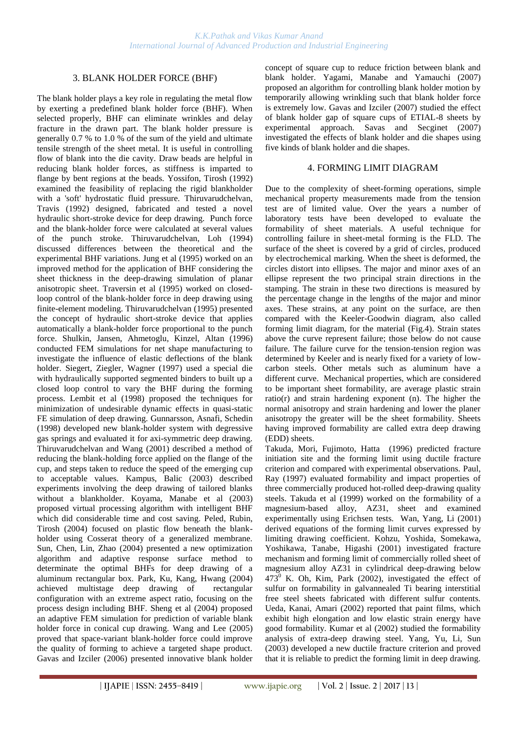# 3. BLANK HOLDER FORCE (BHF)

The blank holder plays a key role in regulating the metal flow by exerting a predefined blank holder force (BHF). When selected properly, BHF can eliminate wrinkles and delay fracture in the drawn part. The blank holder pressure is generally 0.7 % to 1.0 % of the sum of the yield and ultimate tensile strength of the sheet metal. It is useful in controlling flow of blank into the die cavity. Draw beads are helpful in reducing blank holder forces, as stiffness is imparted to flange by bent regions at the beads. [Yossifon,](http://apps.isiknowledge.com/WoS/CIW.cgi?SID=1AJM5iKdKA546ePn1B6&Func=OneClickSearch&field=AU&val=YOSSIFON+S&ut=A1992KN32900003&auloc=1&curr_doc=1/1102&Form=FullRecordPage&doc=1/1102) [Tirosh](http://apps.isiknowledge.com/WoS/CIW.cgi?SID=1AJM5iKdKA546ePn1B6&Func=OneClickSearch&field=AU&val=TIROSH+J&ut=A1992KN32900003&auloc=2&curr_doc=1/1102&Form=FullRecordPage&doc=1/1102) (1992) examined the feasibility of replacing the rigid blankholder with a 'soft' hydrostatic fluid pressure. [Thiruvarudchelvan,](http://apps.isiknowledge.com/WoS/CIW.cgi?SID=1AJM5iKdKA546ePn1B6&Func=OneClickSearch&field=AU&val=THIRUVARUDCHELVAN+S&ut=A1992KF05400006&auloc=1&curr_doc=1/1107&Form=FullRecordPage&doc=1/1107) [Travis](http://apps.isiknowledge.com/WoS/CIW.cgi?SID=1AJM5iKdKA546ePn1B6&Func=OneClickSearch&field=AU&val=TRAVIS+FW&ut=A1992KF05400006&auloc=2&curr_doc=1/1107&Form=FullRecordPage&doc=1/1107) (1992) designed, fabricated and tested a novel hydraulic short-stroke device for deep drawing. Punch force and the blank-holder force were calculated at several values of the punch stroke. [Thiruvarudchelvan,](http://apps.isiknowledge.com/WoS/CIW.cgi?SID=1AJM5iKdKA546ePn1B6&Func=OneClickSearch&field=AU&val=THIRUVARUDCHELVAN+S&ut=A1994MW12600008&auloc=1&curr_doc=1/1065&Form=FullRecordPage&doc=1/1065) [Loh](http://apps.isiknowledge.com/WoS/CIW.cgi?SID=1AJM5iKdKA546ePn1B6&Func=OneClickSearch&field=AU&val=LOH+NH&ut=A1994MW12600008&auloc=2&curr_doc=1/1065&Form=FullRecordPage&doc=1/1065) (1994) discussed differences between the theoretical and the experimental BHF variations. Jung et al (1995) worked on an improved method for the application of BHF considering the sheet thickness in the deep-drawing simulation of planar anisotropic sheet. Traversin et al (1995) worked on closedloop control of the blank-holder force in deep drawing using finite-element modeling. [Thiruvarudchelvan](http://apps.isiknowledge.com/WoS/CIW.cgi?SID=1AJM5iKdKA546ePn1B6&Func=OneClickSearch&field=AU&val=THIRUVARUDCHELVAN+S&ut=A1995RH06700008&auloc=1&curr_doc=1/998&Form=FullRecordPage&doc=1/998) (1995) presented the concept of hydraulic short-stroke device that applies automatically a blank-holder force proportional to the punch force. [Shulkin,](http://apps.isiknowledge.com/WoS/CIW.cgi?SID=1AJM5iKdKA546ePn1B6&Func=OneClickSearch&field=AU&val=Shulkin+L&ut=A1996UY65800006&auloc=1&curr_doc=1/945&Form=FullRecordPage&doc=1/945) [Jansen,](http://apps.isiknowledge.com/WoS/CIW.cgi?SID=1AJM5iKdKA546ePn1B6&Func=OneClickSearch&field=AU&val=Jansen+SW&ut=A1996UY65800006&auloc=2&curr_doc=1/945&Form=FullRecordPage&doc=1/945) [Ahmetoglu,](http://apps.isiknowledge.com/WoS/CIW.cgi?SID=1AJM5iKdKA546ePn1B6&Func=OneClickSearch&field=AU&val=Ahmetoglu+MA&ut=A1996UY65800006&auloc=3&curr_doc=1/945&Form=FullRecordPage&doc=1/945) [Kinzel,](http://apps.isiknowledge.com/WoS/CIW.cgi?SID=1AJM5iKdKA546ePn1B6&Func=OneClickSearch&field=AU&val=Kinzel+GL&ut=A1996UY65800006&auloc=4&curr_doc=1/945&Form=FullRecordPage&doc=1/945) [Altan](http://apps.isiknowledge.com/WoS/CIW.cgi?SID=1AJM5iKdKA546ePn1B6&Func=OneClickSearch&field=AU&val=Altan+T&ut=A1996UY65800006&auloc=5&curr_doc=1/945&Form=FullRecordPage&doc=1/945) (1996) conducted FEM simulations for net shape manufacturing to investigate the influence of elastic deflections of the blank holder. [Siegert,](http://apps.isiknowledge.com/WoS/CIW.cgi?SID=1AJM5iKdKA546ePn1B6&Func=OneClickSearch&field=AU&val=Siegert+K&ut=A1997YA23400018&auloc=1&curr_doc=1/879&Form=FullRecordPage&doc=1/879) [Ziegler,](http://apps.isiknowledge.com/WoS/CIW.cgi?SID=1AJM5iKdKA546ePn1B6&Func=OneClickSearch&field=AU&val=Ziegler+M&ut=A1997YA23400018&auloc=2&curr_doc=1/879&Form=FullRecordPage&doc=1/879) [Wagner](http://apps.isiknowledge.com/WoS/CIW.cgi?SID=1AJM5iKdKA546ePn1B6&Func=OneClickSearch&field=AU&val=Wagner+S&ut=A1997YA23400018&auloc=3&curr_doc=1/879&Form=FullRecordPage&doc=1/879) (1997) used a special die with hydraulically supported segmented binders to built up a closed loop control to vary the BHF during the forming process. Lembit et al (1998) proposed the techniques for minimization of undesirable dynamic effects in quasi-static FE simulation of deep drawing. [Gunnarsson,](http://apps.isiknowledge.com/WoS/CIW.cgi?SID=1AJM5iKdKA546ePn1B6&Func=OneClickSearch&field=AU&val=Gunnarsson+L&ut=000071336800013&auloc=1&curr_doc=1/862&Form=FullRecordPage&doc=1/862) [Asnafi,](http://apps.isiknowledge.com/WoS/CIW.cgi?SID=1AJM5iKdKA546ePn1B6&Func=OneClickSearch&field=AU&val=Asnafi+N&ut=000071336800013&auloc=2&curr_doc=1/862&Form=FullRecordPage&doc=1/862) [Schedin](http://apps.isiknowledge.com/WoS/CIW.cgi?SID=1AJM5iKdKA546ePn1B6&Func=OneClickSearch&field=AU&val=Schedin+E&ut=000071336800013&auloc=3&curr_doc=1/862&Form=FullRecordPage&doc=1/862) (1998) developed new blank-holder system with degressive gas springs and evaluated it for axi-symmetric deep drawing. Thiruvarudchelvan and Wang (2001) described a method of reducing the blank-holding force applied on the flange of the cup, and steps taken to reduce the speed of the emerging cup to acceptable values. [Kampus,](http://apps.isiknowledge.com/WoS/CIW.cgi?SID=2DkOCF9aP3omdaABJnA&Func=OneClickSearch&field=AU&val=Kampus+Z&ut=000181145700022&auloc=1&curr_doc=1/437&Form=FullRecordPage&doc=1/437) [Balic](http://apps.isiknowledge.com/WoS/CIW.cgi?SID=2DkOCF9aP3omdaABJnA&Func=OneClickSearch&field=AU&val=Balic+J&ut=000181145700022&auloc=2&curr_doc=1/437&Form=FullRecordPage&doc=1/437) (2003) described experiments involving the deep drawing of tailored blanks without a blankholder. [Koyama,](http://apps.isiknowledge.com/WoS/CIW.cgi?SID=2DkOCF9aP3omdaABJnA&Func=OneClickSearch&field=AU&val=Koyama+H&ut=000187510100050&auloc=1&curr_doc=1/357&Form=FullRecordPage&doc=1/357) [Manabe](http://apps.isiknowledge.com/WoS/CIW.cgi?SID=2DkOCF9aP3omdaABJnA&Func=OneClickSearch&field=AU&val=Manabe+K&ut=000187510100050&auloc=2&curr_doc=1/357&Form=FullRecordPage&doc=1/357) et al (2003) proposed virtual processing algorithm with intelligent BHF which did considerable time and cost saving. [Peled,](http://apps.isiknowledge.com/WoS/CIW.cgi?SID=2DkOCF9aP3omdaABJnA&Func=OneClickSearch&field=AU&val=Peled+A&ut=000189092400004&auloc=1&curr_doc=1/341&Form=FullRecordPage&doc=1/341) [Rubin,](http://apps.isiknowledge.com/WoS/CIW.cgi?SID=2DkOCF9aP3omdaABJnA&Func=OneClickSearch&field=AU&val=Rubin+MB&ut=000189092400004&auloc=2&curr_doc=1/341&Form=FullRecordPage&doc=1/341) [Tirosh](http://apps.isiknowledge.com/WoS/CIW.cgi?SID=2DkOCF9aP3omdaABJnA&Func=OneClickSearch&field=AU&val=Tirosh+J&ut=000189092400004&auloc=3&curr_doc=1/341&Form=FullRecordPage&doc=1/341) (2004) focused on plastic flow beneath the blankholder using Cosserat theory of a generalized membrane. [Sun,](http://apps.isiknowledge.com/WoS/CIW.cgi?SID=4F4DgpBnmJOk2a7nieI&Func=OneClickSearch&field=AU&val=Sun+CZ&ut=000223667300008&auloc=1&curr_doc=1/288&Form=FullRecordPage&doc=1/288) [Chen,](http://apps.isiknowledge.com/WoS/CIW.cgi?SID=4F4DgpBnmJOk2a7nieI&Func=OneClickSearch&field=AU&val=Chen+GL&ut=000223667300008&auloc=2&curr_doc=1/288&Form=FullRecordPage&doc=1/288) [Lin,](http://apps.isiknowledge.com/WoS/CIW.cgi?SID=4F4DgpBnmJOk2a7nieI&Func=OneClickSearch&field=AU&val=Lin+ZQ&ut=000223667300008&auloc=3&curr_doc=1/288&Form=FullRecordPage&doc=1/288) [Zhao](http://apps.isiknowledge.com/WoS/CIW.cgi?SID=4F4DgpBnmJOk2a7nieI&Func=OneClickSearch&field=AU&val=Zhao+YX&ut=000223667300008&auloc=4&curr_doc=1/288&Form=FullRecordPage&doc=1/288) (2004) presented a new optimization algorithm and adaptive response surface method to determinate the optimal BHFs for deep drawing of a aluminum rectangular box. [Park,](http://apps.isiknowledge.com/WoS/CIW.cgi?SID=4F4DgpBnmJOk2a7nieI&Func=OneClickSearch&field=AU&val=Park+CS&ut=000225845500122&auloc=1&curr_doc=1/264&Form=FullRecordPage&doc=1/264) [Ku,](http://apps.isiknowledge.com/WoS/CIW.cgi?SID=4F4DgpBnmJOk2a7nieI&Func=OneClickSearch&field=AU&val=Ku+TW&ut=000225845500122&auloc=2&curr_doc=1/264&Form=FullRecordPage&doc=1/264) [Kang,](http://apps.isiknowledge.com/WoS/CIW.cgi?SID=4F4DgpBnmJOk2a7nieI&Func=OneClickSearch&field=AU&val=Kang+BS&ut=000225845500122&auloc=3&curr_doc=1/264&Form=FullRecordPage&doc=1/264) [Hwang](http://apps.isiknowledge.com/WoS/CIW.cgi?SID=4F4DgpBnmJOk2a7nieI&Func=OneClickSearch&field=AU&val=Hwang+SM&ut=000225845500122&auloc=4&curr_doc=1/264&Form=FullRecordPage&doc=1/264) (2004) achieved multistage deep drawing of rectangular configuration with an extreme aspect ratio, focusing on the process design including BHF. Sheng et al (2004) proposed an adaptive FEM simulation for prediction of variable blank holder force in conical cup drawing. [Wang](http://apps.isiknowledge.com/WoS/CIW.cgi?SID=4F4DgpBnmJOk2a7nieI&Func=OneClickSearch&field=AU&val=Wang+L&ut=000230414200006&auloc=1&curr_doc=1/205&Form=FullRecordPage&doc=1/205) and [Lee](http://apps.isiknowledge.com/WoS/CIW.cgi?SID=4F4DgpBnmJOk2a7nieI&Func=OneClickSearch&field=AU&val=Lee+TC&ut=000230414200006&auloc=2&curr_doc=1/205&Form=FullRecordPage&doc=1/205) (2005) proved that space-variant blank-holder force could improve the quality of forming to achieve a targeted shape product. [Gavas](http://apps.isiknowledge.com/WoS/CIW.cgi?SID=4F4DgpBnmJOk2a7nieI&Func=OneClickSearch&field=AU&val=Gavas+M&ut=000234864200014&auloc=1&curr_doc=1/143&Form=FullRecordPage&doc=1/143) and [Izciler](http://apps.isiknowledge.com/WoS/CIW.cgi?SID=4F4DgpBnmJOk2a7nieI&Func=OneClickSearch&field=AU&val=Izciler+M&ut=000234864200014&auloc=2&curr_doc=1/143&Form=FullRecordPage&doc=1/143) (2006) presented innovative blank holder

concept of square cup to reduce friction between blank and blank holder. [Yagami,](http://apps.isiknowledge.com/WoS/CIW.cgi?SID=3Cic8Oijl8M@MI142Hp&Func=OneClickSearch&field=AU&val=Yagami+T&ut=000245898200042&auloc=1&fullauth=%20(Yagami,%20T.)&curr_doc=1/15&Form=FullRecordPage&doc=1/15) [Manabe](http://apps.isiknowledge.com/WoS/CIW.cgi?SID=3Cic8Oijl8M@MI142Hp&Func=OneClickSearch&field=AU&val=Manabe+K&ut=000245898200042&auloc=2&fullauth=%20(Manabe,%20K.)&curr_doc=1/15&Form=FullRecordPage&doc=1/15) and [Yamauchi](http://apps.isiknowledge.com/WoS/CIW.cgi?SID=3Cic8Oijl8M@MI142Hp&Func=OneClickSearch&field=AU&val=Yamauchi+Y&ut=000245898200042&auloc=3&fullauth=%20(Yamauchi,%20Y.)&curr_doc=1/15&Form=FullRecordPage&doc=1/15) (2007) proposed an algorithm for controlling blank holder motion by temporarily allowing wrinkling such that blank holder force is extremely low. [Gavas](http://apps.isiknowledge.com/WoS/CIW.cgi?SID=3Cic8Oijl8M@MI142Hp&Func=OneClickSearch&field=AU&val=Gavas+M&ut=000245047300024&auloc=1&fullauth=%20(Gavas,%20M.)&curr_doc=1/28&Form=FullRecordPage&doc=1/28) and [Izciler](http://apps.isiknowledge.com/WoS/CIW.cgi?SID=3Cic8Oijl8M@MI142Hp&Func=OneClickSearch&field=AU&val=Izciler+M&ut=000245047300024&auloc=2&fullauth=%20(Izciler,%20M.)&curr_doc=1/28&Form=FullRecordPage&doc=1/28) (2007) studied the effect of blank holder gap of square cups of ETIAL-8 sheets by experimental approach. [Savas](http://apps.isiknowledge.com/WoS/CIW.cgi?SID=3Cic8Oijl8M@MI142Hp&Func=OneClickSearch&field=AU&val=Savas+V&ut=000244232400030&auloc=1&fullauth=%20(Savas,%20Vedat)&curr_doc=1/38&Form=FullRecordPage&doc=1/38) and [Secgine](http://apps.isiknowledge.com/WoS/CIW.cgi?SID=3Cic8Oijl8M@MI142Hp&Func=OneClickSearch&field=AU&val=Secgin+O&ut=000244232400030&auloc=2&fullauth=%20(Secgin,%20Omer)&curr_doc=1/38&Form=FullRecordPage&doc=1/38)t (2007) investigated the effects of blank holder and die shapes using five kinds of blank holder and die shapes.

### 4. FORMING LIMIT DIAGRAM

Due to the complexity of sheet-forming operations, simple mechanical property measurements made from the tension test are of limited value. Over the years a number of laboratory tests have been developed to evaluate the formability of sheet materials. A useful technique for controlling failure in sheet-metal forming is the FLD. The surface of the sheet is covered by a grid of circles, produced by electrochemical marking. When the sheet is deformed, the circles distort into ellipses. The major and minor axes of an ellipse represent the two principal strain directions in the stamping. The strain in these two directions is measured by the percentage change in the lengths of the major and minor axes. These strains, at any point on the surface, are then compared with the Keeler-Goodwin diagram, also called forming limit diagram, for the material (Fig.4). Strain states above the curve represent failure; those below do not cause failure. The failure curve for the tension-tension region was determined by Keeler and is nearly fixed for a variety of lowcarbon steels. Other metals such as aluminum have a different curve. Mechanical properties, which are considered to be important sheet formability, are average plastic strain ratio(r) and strain hardening exponent (n). The higher the normal anisotropy and strain hardening and lower the planer anisotropy the greater will be the sheet formability. Sheets having improved formability are called extra deep drawing (EDD) sheets.

[Takuda,](http://apps.isiknowledge.com/WoS/CIW.cgi?SID=1AJM5iKdKA546ePn1B6&Func=OneClickSearch&field=AU&val=Takuda+H&ut=A1996UT57300046&auloc=1&curr_doc=1/955&Form=FullRecordPage&doc=1/955) [Mori,](http://apps.isiknowledge.com/WoS/CIW.cgi?SID=1AJM5iKdKA546ePn1B6&Func=OneClickSearch&field=AU&val=Mori+K&ut=A1996UT57300046&auloc=2&curr_doc=1/955&Form=FullRecordPage&doc=1/955) [Fujimoto,](http://apps.isiknowledge.com/WoS/CIW.cgi?SID=1AJM5iKdKA546ePn1B6&Func=OneClickSearch&field=AU&val=Fujimoto+H&ut=A1996UT57300046&auloc=3&curr_doc=1/955&Form=FullRecordPage&doc=1/955) [Hatta](http://apps.isiknowledge.com/WoS/CIW.cgi?SID=1AJM5iKdKA546ePn1B6&Func=OneClickSearch&field=AU&val=Hatta+N&ut=A1996UT57300046&auloc=4&curr_doc=1/955&Form=FullRecordPage&doc=1/955) (1996) predicted fracture initiation site and the forming limit using ductile fracture criterion and compared with experimental observations. [Paul,](http://apps.isiknowledge.com/WoS/CIW.cgi?SID=1AJM5iKdKA546ePn1B6&Func=OneClickSearch&field=AU&val=Paul+SK&ut=A1997WF87400003&auloc=1&curr_doc=1/916&Form=FullRecordPage&doc=1/916) [Ray](http://apps.isiknowledge.com/WoS/CIW.cgi?SID=1AJM5iKdKA546ePn1B6&Func=OneClickSearch&field=AU&val=Ray+A&ut=A1997WF87400003&auloc=2&curr_doc=1/916&Form=FullRecordPage&doc=1/916) (1997) evaluated formability and impact properties of three commercially produced hot-rolled deep-drawing quality steels. Takuda et al (1999) worked on the formability of a magnesium-based alloy, AZ31, sheet and examined experimentally using Erichsen tests. [Wan,](http://apps.isiknowledge.com/WoS/CIW.cgi?SID=2DkOCF9aP3omdaABJnA&Func=OneClickSearch&field=AU&val=Wan+M&ut=000169769000004&auloc=1&curr_doc=1/585&Form=FullRecordPage&doc=1/585) [Yang,](http://apps.isiknowledge.com/WoS/CIW.cgi?SID=2DkOCF9aP3omdaABJnA&Func=OneClickSearch&field=AU&val=Yang+YY&ut=000169769000004&auloc=2&curr_doc=1/585&Form=FullRecordPage&doc=1/585) [Li \(](http://apps.isiknowledge.com/WoS/CIW.cgi?SID=2DkOCF9aP3omdaABJnA&Func=OneClickSearch&field=AU&val=Li+SB&ut=000169769000004&auloc=3&curr_doc=1/585&Form=FullRecordPage&doc=1/585)2001) derived equations of the forming limit curves expressed by limiting drawing coefficient. [Kohzu,](http://apps.isiknowledge.com/WoS/CIW.cgi?SID=2DkOCF9aP3omdaABJnA&Func=OneClickSearch&field=AU&val=Kohzu+M&ut=000170408600021&auloc=1&curr_doc=1/577&Form=FullRecordPage&doc=1/577) [Yoshida,](http://apps.isiknowledge.com/WoS/CIW.cgi?SID=2DkOCF9aP3omdaABJnA&Func=OneClickSearch&field=AU&val=Yoshida+F&ut=000170408600021&auloc=2&curr_doc=1/577&Form=FullRecordPage&doc=1/577) [Somekawa,](http://apps.isiknowledge.com/WoS/CIW.cgi?SID=2DkOCF9aP3omdaABJnA&Func=OneClickSearch&field=AU&val=Somekawa+H&ut=000170408600021&auloc=3&curr_doc=1/577&Form=FullRecordPage&doc=1/577) [Yoshikawa,](http://apps.isiknowledge.com/WoS/CIW.cgi?SID=2DkOCF9aP3omdaABJnA&Func=OneClickSearch&field=AU&val=Yoshikawa+M&ut=000170408600021&auloc=4&curr_doc=1/577&Form=FullRecordPage&doc=1/577) [Tanabe,](http://apps.isiknowledge.com/WoS/CIW.cgi?SID=2DkOCF9aP3omdaABJnA&Func=OneClickSearch&field=AU&val=Tanabe+S&ut=000170408600021&auloc=5&curr_doc=1/577&Form=FullRecordPage&doc=1/577) [Higashi \(](http://apps.isiknowledge.com/WoS/CIW.cgi?SID=2DkOCF9aP3omdaABJnA&Func=OneClickSearch&field=AU&val=Higashi+K&ut=000170408600021&auloc=6&curr_doc=1/577&Form=FullRecordPage&doc=1/577)2001) investigated fracture mechanism and forming limit of commercially rolled sheet of magnesium alloy AZ31 in cylindrical deep-drawing below  $473^{\circ}$  K. [Oh,](http://apps.isiknowledge.com/WoS/CIW.cgi?SID=2DkOCF9aP3omdaABJnA&Func=OneClickSearch&field=AU&val=Oh+JE&ut=000178202200189&auloc=1&curr_doc=1/469&Form=FullRecordPage&doc=1/469) [Kim,](http://apps.isiknowledge.com/WoS/CIW.cgi?SID=2DkOCF9aP3omdaABJnA&Func=OneClickSearch&field=AU&val=Kim+JK&ut=000178202200189&auloc=2&curr_doc=1/469&Form=FullRecordPage&doc=1/469) [Park](http://apps.isiknowledge.com/WoS/CIW.cgi?SID=2DkOCF9aP3omdaABJnA&Func=OneClickSearch&field=AU&val=Park+YB&ut=000178202200189&auloc=3&curr_doc=1/469&Form=FullRecordPage&doc=1/469) (2002), investigated the effect of sulfur on formability in galvannealed Ti bearing interstitial free steel sheets fabricated with different sulfur contents. [Ueda,](http://apps.isiknowledge.com/WoS/CIW.cgi?SID=2DkOCF9aP3omdaABJnA&Func=OneClickSearch&field=AU&val=Ueda+K&ut=000179535200002&auloc=1&curr_doc=1/453&Form=FullRecordPage&doc=1/453) [Kanai,](http://apps.isiknowledge.com/WoS/CIW.cgi?SID=2DkOCF9aP3omdaABJnA&Func=OneClickSearch&field=AU&val=Kanai+H&ut=000179535200002&auloc=2&curr_doc=1/453&Form=FullRecordPage&doc=1/453) [Amari \(](http://apps.isiknowledge.com/WoS/CIW.cgi?SID=2DkOCF9aP3omdaABJnA&Func=OneClickSearch&field=AU&val=Amari+T&ut=000179535200002&auloc=3&curr_doc=1/453&Form=FullRecordPage&doc=1/453)2002) reported that paint films, which exhibit high elongation and low elastic strain energy have good formability. Kumar et al (2002) studied the formability analysis of extra-deep drawing steel. Yang, [Yu,](http://apps.isiknowledge.com/WoS/CIW.cgi?SID=2FlDIFKMAffmlO8GHpf&Func=OneClickSearch&field=AU&val=Yu+ZQ&ut=000220898800074&auloc=2&curr_doc=1/329&Form=FullRecordPage&doc=1/329) [Li,](http://apps.isiknowledge.com/WoS/CIW.cgi?SID=2FlDIFKMAffmlO8GHpf&Func=OneClickSearch&field=AU&val=Li+XC&ut=000220898800074&auloc=3&curr_doc=1/329&Form=FullRecordPage&doc=1/329) [Sun](http://apps.isiknowledge.com/WoS/CIW.cgi?SID=2FlDIFKMAffmlO8GHpf&Func=OneClickSearch&field=AU&val=Sun+ZZ&ut=000220898800074&auloc=4&curr_doc=1/329&Form=FullRecordPage&doc=1/329) (2003) developed a new ductile fracture criterion and proved that it is reliable to predict the forming limit in deep drawing.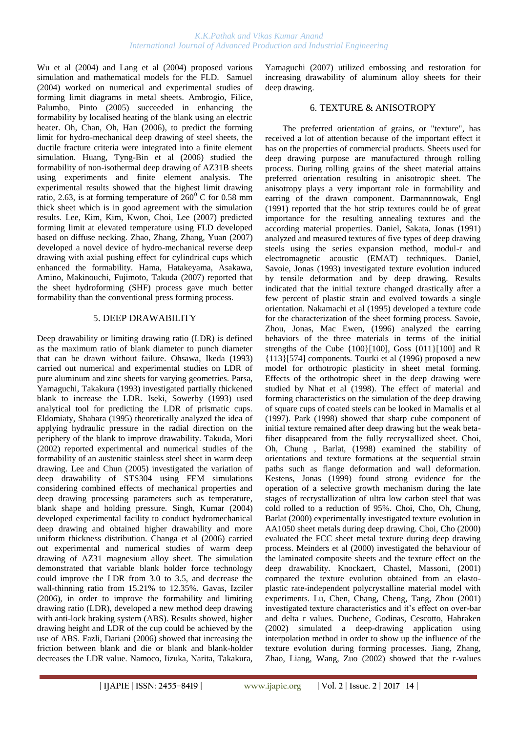Wu et al (2004) and Lang et al (2004) proposed various simulation and mathematical models for the FLD. Samuel (2004) worked on numerical and experimental studies of forming limit diagrams in metal sheets. [Ambrogio,](http://apps.isiknowledge.com/WoS/CIW.cgi?SID=4F4DgpBnmJOk2a7nieI&Func=OneClickSearch&field=AU&val=Ambrogio+G&ut=000229375500072&auloc=1&curr_doc=1/218&Form=FullRecordPage&doc=1/218) [Filice,](http://apps.isiknowledge.com/WoS/CIW.cgi?SID=4F4DgpBnmJOk2a7nieI&Func=OneClickSearch&field=AU&val=Filice+L&ut=000229375500072&auloc=2&curr_doc=1/218&Form=FullRecordPage&doc=1/218) [Palumbo,](http://apps.isiknowledge.com/WoS/CIW.cgi?SID=4F4DgpBnmJOk2a7nieI&Func=OneClickSearch&field=AU&val=Palumbo+G&ut=000229375500072&auloc=3&curr_doc=1/218&Form=FullRecordPage&doc=1/218) [Pinto](http://apps.isiknowledge.com/WoS/CIW.cgi?SID=4F4DgpBnmJOk2a7nieI&Func=OneClickSearch&field=AU&val=Pinto+S&ut=000229375500072&auloc=4&curr_doc=1/218&Form=FullRecordPage&doc=1/218) (2005) succeeded in enhancing the formability by localised heating of the blank using an electric heater. [Oh,](http://apps.isiknowledge.com/WoS/CIW.cgi?SID=4F4DgpBnmJOk2a7nieI&Func=OneClickSearch&field=AU&val=Oh+ST&ut=000237302600004&auloc=1&curr_doc=1/116&Form=FullRecordPage&doc=1/116) [Chan,](http://apps.isiknowledge.com/WoS/CIW.cgi?SID=4F4DgpBnmJOk2a7nieI&Func=OneClickSearch&field=AU&val=Chan+HJ&ut=000237302600004&auloc=2&curr_doc=1/116&Form=FullRecordPage&doc=1/116) [Oh,](http://apps.isiknowledge.com/WoS/CIW.cgi?SID=4F4DgpBnmJOk2a7nieI&Func=OneClickSearch&field=AU&val=Oh+KH&ut=000237302600004&auloc=3&curr_doc=1/116&Form=FullRecordPage&doc=1/116) [Han](http://apps.isiknowledge.com/WoS/CIW.cgi?SID=4F4DgpBnmJOk2a7nieI&Func=OneClickSearch&field=AU&val=Han+HN&ut=000237302600004&auloc=4&curr_doc=1/116&Form=FullRecordPage&doc=1/116) (2006), to predict the forming limit for hydro-mechanical deep drawing of steel sheets, the ductile fracture criteria were integrated into a finite element simulation. Huang, Tyng-Bin et al (2006) studied the formability of non-isothermal deep drawing of AZ31B sheets using experiments and finite element analysis. The experimental results showed that the highest limit drawing ratio, 2.63, is at forming temperature of  $260^{\circ}$  C for 0.58 mm thick sheet which is in good agreement with the simulation results. [Lee,](http://apps.isiknowledge.com/WoS/CIW.cgi?SID=3Cic8Oijl8M@MI142Hp&Func=OneClickSearch&field=AU&val=Lee+YS&ut=000245898200024&auloc=1&fullauth=%20(Lee,%20Y.%20S.)&curr_doc=1/13&Form=FullRecordPage&doc=1/13) [Kim,](http://apps.isiknowledge.com/WoS/CIW.cgi?SID=3Cic8Oijl8M@MI142Hp&Func=OneClickSearch&field=AU&val=Kim+MC&ut=000245898200024&auloc=2&fullauth=%20(Kim,%20M.%20C.)&curr_doc=1/13&Form=FullRecordPage&doc=1/13) [Kim,](http://apps.isiknowledge.com/WoS/CIW.cgi?SID=3Cic8Oijl8M@MI142Hp&Func=OneClickSearch&field=AU&val=Kim+SW&ut=000245898200024&auloc=3&fullauth=%20(Kim,%20S.%20W.)&curr_doc=1/13&Form=FullRecordPage&doc=1/13) [Kwon,](http://apps.isiknowledge.com/WoS/CIW.cgi?SID=3Cic8Oijl8M@MI142Hp&Func=OneClickSearch&field=AU&val=Kwon+YN&ut=000245898200024&auloc=4&fullauth=%20(Kwon,%20Y.%20N.)&curr_doc=1/13&Form=FullRecordPage&doc=1/13) [Choi,](http://apps.isiknowledge.com/WoS/CIW.cgi?SID=3Cic8Oijl8M@MI142Hp&Func=OneClickSearch&field=AU&val=Choi+SW&ut=000245898200024&auloc=5&fullauth=%20(Choi,%20S.%20W.)&curr_doc=1/13&Form=FullRecordPage&doc=1/13) [Lee](http://apps.isiknowledge.com/WoS/CIW.cgi?SID=3Cic8Oijl8M@MI142Hp&Func=OneClickSearch&field=AU&val=Lee+JH&ut=000245898200024&auloc=6&fullauth=%20(Lee,%20J.%20H.)&curr_doc=1/13&Form=FullRecordPage&doc=1/13) (2007) predicted forming limit at elevated temperature using FLD developed based on diffuse necking. [Zhao,](http://apps.isiknowledge.com/WoS/CIW.cgi?SID=3Cic8Oijl8M@MI142Hp&Func=OneClickSearch&field=AU&val=Zhao+SD&ut=000245898200067&auloc=1&fullauth=%20(Zhao,%20S.%20D.)&curr_doc=1/19&Form=FullRecordPage&doc=1/19) [Zhang,](http://apps.isiknowledge.com/WoS/CIW.cgi?SID=3Cic8Oijl8M@MI142Hp&Func=OneClickSearch&field=AU&val=Zhang+ZY&ut=000245898200067&auloc=2&fullauth=%20(Zhang,%20Z.%20Y.)&curr_doc=1/19&Form=FullRecordPage&doc=1/19) [Zhang,](http://apps.isiknowledge.com/WoS/CIW.cgi?SID=3Cic8Oijl8M@MI142Hp&Func=OneClickSearch&field=AU&val=Zhang+Y&ut=000245898200067&auloc=3&fullauth=%20(Zhang,%20Y.)&curr_doc=1/19&Form=FullRecordPage&doc=1/19) [Yuan](http://apps.isiknowledge.com/WoS/CIW.cgi?SID=3Cic8Oijl8M@MI142Hp&Func=OneClickSearch&field=AU&val=Yuan+JH&ut=000245898200067&auloc=4&fullauth=%20(Yuan,%20J.%20H.)&curr_doc=1/19&Form=FullRecordPage&doc=1/19) (2007) developed a novel device of hydro-mechanical reverse deep drawing with axial pushing effect for cylindrical cups which enhanced the formability. [Hama,](http://apps.isiknowledge.com/WoS/CIW.cgi?SID=3Cic8Oijl8M@MI142Hp&Func=OneClickSearch&field=AU&val=Hama+T&ut=000243654500005&auloc=1&fullauth=%20(Hama,%20Takayuki)&curr_doc=1/44&Form=FullRecordPage&doc=1/44) [Hatakeyama,](http://apps.isiknowledge.com/WoS/CIW.cgi?SID=3Cic8Oijl8M@MI142Hp&Func=OneClickSearch&field=AU&val=Hatakeyama+T&ut=000243654500005&auloc=2&fullauth=%20(Hatakeyama,%20Tomohiro)&curr_doc=1/44&Form=FullRecordPage&doc=1/44) [Asakawa,](http://apps.isiknowledge.com/WoS/CIW.cgi?SID=3Cic8Oijl8M@MI142Hp&Func=OneClickSearch&field=AU&val=Asakawa+M&ut=000243654500005&auloc=3&fullauth=%20(Asakawa,%20Motoo)&curr_doc=1/44&Form=FullRecordPage&doc=1/44) [Amino,](http://apps.isiknowledge.com/WoS/CIW.cgi?SID=3Cic8Oijl8M@MI142Hp&Func=OneClickSearch&field=AU&val=Amino+H&ut=000243654500005&auloc=4&fullauth=%20(Amino,%20Hiroyuki)&curr_doc=1/44&Form=FullRecordPage&doc=1/44) [Makinouchi,](http://apps.isiknowledge.com/WoS/CIW.cgi?SID=3Cic8Oijl8M@MI142Hp&Func=OneClickSearch&field=AU&val=Makinouchi+A&ut=000243654500005&auloc=5&fullauth=%20(Makinouchi,%20Akitake)&curr_doc=1/44&Form=FullRecordPage&doc=1/44) [Fujimoto,](http://apps.isiknowledge.com/WoS/CIW.cgi?SID=3Cic8Oijl8M@MI142Hp&Func=OneClickSearch&field=AU&val=Fujimoto+H&ut=000243654500005&auloc=6&fullauth=%20(Fujimoto,%20Hitoshi)&curr_doc=1/44&Form=FullRecordPage&doc=1/44) [Takuda](http://apps.isiknowledge.com/WoS/CIW.cgi?SID=3Cic8Oijl8M@MI142Hp&Func=OneClickSearch&field=AU&val=Takuda+H&ut=000243654500005&auloc=7&fullauth=%20(Takuda,%20Hirohiko)&curr_doc=1/44&Form=FullRecordPage&doc=1/44) (2007) reported that the sheet hydroforming (SHF) process gave much better formability than the conventional press forming process.

# 5. DEEP DRAWABILITY

Deep drawability or limiting drawing ratio (LDR) is defined as the maximum ratio of blank diameter to punch diameter that can be drawn without failure. [Ohsawa,](http://apps.isiknowledge.com/WoS/CIW.cgi?SID=1AJM5iKdKA546ePn1B6&Func=OneClickSearch&field=AU&val=OHSAWA+H&ut=A1993LN32300005&auloc=1&curr_doc=1/1086&Form=FullRecordPage&doc=1/1086) [Ikeda](http://apps.isiknowledge.com/WoS/CIW.cgi?SID=1AJM5iKdKA546ePn1B6&Func=OneClickSearch&field=AU&val=IKEDA+M&ut=A1993LN32300005&auloc=2&curr_doc=1/1086&Form=FullRecordPage&doc=1/1086) (1993) carried out numerical and experimental studies on LDR of pure aluminum and zinc sheets for varying geometries. [Parsa,](http://apps.isiknowledge.com/WoS/CIW.cgi?SID=1AJM5iKdKA546ePn1B6&Func=OneClickSearch&field=AU&val=PARSA+MH&ut=A1993LC00700009&auloc=1&curr_doc=1/1095&Form=FullRecordPage&doc=1/1095) [Yamaguchi,](http://apps.isiknowledge.com/WoS/CIW.cgi?SID=1AJM5iKdKA546ePn1B6&Func=OneClickSearch&field=AU&val=YAMAGUCHI+K&ut=A1993LC00700009&auloc=2&curr_doc=1/1095&Form=FullRecordPage&doc=1/1095) [Takakura](http://apps.isiknowledge.com/WoS/CIW.cgi?SID=1AJM5iKdKA546ePn1B6&Func=OneClickSearch&field=AU&val=TAKAKURA+N&ut=A1993LC00700009&auloc=3&curr_doc=1/1095&Form=FullRecordPage&doc=1/1095) (1993) investigated partially thickened blank to increase the LDR. [Iseki,](http://apps.isiknowledge.com/WoS/CIW.cgi?SID=1AJM5iKdKA546ePn1B6&Func=OneClickSearch&field=AU&val=ISEKI+H&ut=A1993KT38500010&auloc=1&curr_doc=1/1099&Form=FullRecordPage&doc=1/1099) [Sowerby \(](http://apps.isiknowledge.com/WoS/CIW.cgi?SID=1AJM5iKdKA546ePn1B6&Func=OneClickSearch&field=AU&val=SOWERBY+R&ut=A1993KT38500010&auloc=2&curr_doc=1/1099&Form=FullRecordPage&doc=1/1099)1993) used analytical tool for predicting the LDR of prismatic cups. [Eldomiaty,](http://apps.isiknowledge.com/WoS/CIW.cgi?SID=1AJM5iKdKA546ePn1B6&Func=OneClickSearch&field=AU&val=ELDOMIATY+A&ut=A1995QK23400007&auloc=1&curr_doc=1/1021&Form=FullRecordPage&doc=1/1021) [Shabara](http://apps.isiknowledge.com/WoS/CIW.cgi?SID=1AJM5iKdKA546ePn1B6&Func=OneClickSearch&field=AU&val=SHABARA+MA&ut=A1995QK23400007&auloc=2&curr_doc=1/1021&Form=FullRecordPage&doc=1/1021) (1995) theoretically analyzed the idea of applying hydraulic pressure in the radial direction on the periphery of the blank to improve drawability. Takuda, Mori (2002) reported experimental and numerical studies of the formability of an austenitic stainless steel sheet in warm deep drawing. Lee and Chun (2005) investigated the variation of deep drawability of STS304 using FEM simulations considering combined effects of mechanical properties and deep drawing processing parameters such as temperature, blank shape and holding pressure. [Singh,](http://apps.isiknowledge.com/WoS/CIW.cgi?SID=2FlDIFKMAffmlO8GHpf&Func=OneClickSearch&field=AU&val=Singh+SK&ut=000222601300008&auloc=1&curr_doc=1/303&Form=FullRecordPage&doc=1/303) [Kumar](http://apps.isiknowledge.com/WoS/CIW.cgi?SID=2FlDIFKMAffmlO8GHpf&Func=OneClickSearch&field=AU&val=Kumar+DR&ut=000222601300008&auloc=2&curr_doc=1/303&Form=FullRecordPage&doc=1/303) (2004) developed experimental facility to conduct hydromechanical deep drawing and obtained higher drawability and more uniform thickness distribution. Changa et al (2006) carried out experimental and numerical studies of warm deep drawing of AZ31 magnesium alloy sheet. The simulation demonstrated that variable blank holder force technology could improve the LDR from 3.0 to 3.5, and decrease the wall-thinning ratio from 15.21% to 12.35%. [Gavas,](http://apps.isiknowledge.com/WoS/CIW.cgi?SID=3Cic8Oijl8M@MI142Hp&Func=OneClickSearch&field=AU&val=Gavas+M&ut=000241994900005&auloc=1&fullauth=%20(Gavas,%20M.)&curr_doc=1/65&Form=FullRecordPage&doc=1/65) [Izciler](http://apps.isiknowledge.com/WoS/CIW.cgi?SID=3Cic8Oijl8M@MI142Hp&Func=OneClickSearch&field=AU&val=Izciler+M&ut=000241994900005&auloc=2&fullauth=%20(Izciler,%20M.)&curr_doc=1/65&Form=FullRecordPage&doc=1/65)  (2006), in order to improve the formability and limiting drawing ratio (LDR), developed a new method deep drawing with anti-lock braking system (ABS). Results showed, higher drawing height and LDR of the cup could be achieved by the use of ABS. [Fazli,](http://apps.isiknowledge.com/WoS/CIW.cgi?SID=3Cic8Oijl8M@MI142Hp&Func=OneClickSearch&field=AU&val=Fazli+A&ut=000243418200003&auloc=1&fullauth=%20(Fazli,%20A.)&curr_doc=1/45&Form=FullRecordPage&doc=1/45) [Dariani](http://apps.isiknowledge.com/WoS/CIW.cgi?SID=3Cic8Oijl8M@MI142Hp&Func=OneClickSearch&field=AU&val=Dariani+BM&ut=000243418200003&auloc=2&fullauth=%20(Mollaei%20Dariani,%20B.)&curr_doc=1/45&Form=FullRecordPage&doc=1/45) (2006) showed that increasing the friction between blank and die or blank and blank-holder decreases the LDR value. Namoco, Iizuka, Narita, Takakura,

Yamaguchi (2007) utilized embossing and restoration for increasing drawability of aluminum alloy sheets for their deep drawing.

# 6. TEXTURE & ANISOTROPY

 The preferred orientation of grains, or "texture", has received a lot of attention because of the important effect it has on the properties of commercial products. Sheets used for deep drawing purpose are manufactured through rolling process. During rolling grains of the sheet material attains preferred orientation resulting in anisotropic sheet. The anisotropy plays a very important role in formability and earring of the drawn component. Darmannnowak, Engl (1991) reported that the hot strip textures could be of great importance for the resulting annealing textures and the according material properties. [Daniel,](http://apps.isiknowledge.com/WoS/CIW.cgi?SID=1AJM5iKdKA546ePn1B6&Func=OneClickSearch&field=AU&val=DANIEL+D&ut=A1991FW79000006&auloc=1&curr_doc=1/1162&Form=FullRecordPage&doc=1/1162) [Sakata,](http://apps.isiknowledge.com/WoS/CIW.cgi?SID=1AJM5iKdKA546ePn1B6&Func=OneClickSearch&field=AU&val=SAKATA+K&ut=A1991FW79000006&auloc=2&curr_doc=1/1162&Form=FullRecordPage&doc=1/1162) [Jonas \(](http://apps.isiknowledge.com/WoS/CIW.cgi?SID=1AJM5iKdKA546ePn1B6&Func=OneClickSearch&field=AU&val=JONAS+JJ&ut=A1991FW79000006&auloc=3&curr_doc=1/1162&Form=FullRecordPage&doc=1/1162)1991) analyzed and measured textures of five types of deep drawing steels using the series expansion method, modul-r and electromagnetic acoustic (EMAT) techniques. Daniel, Savoie, Jonas (1993) investigated texture evolution induced by tensile deformation and by deep drawing. Results indicated that the initial texture changed drastically after a few percent of plastic strain and evolved towards a single orientation. Nakamachi et al (1995) developed a texture code for the characterization of the sheet forming process. Savoie, Zhou, Jonas, Mac Ewen, (1996) analyzed the earring behaviors of the three materials in terms of the initial strengths of the Cube  $\{100\}$ [100], Goss  $\{011\}$ [100] and R {113}[574] components. Tourki et al (1996) proposed a new model for orthotropic plasticity in sheet metal forming. Effects of the orthotropic sheet in the deep drawing were studied by Nhat et al (1998). The effect of material and forming characteristics on the simulation of the deep drawing of square cups of coated steels can be looked in Mamalis et al (1997). [Park \(1](http://apps.isiknowledge.com/WoS/CIW.cgi?SID=2DkOCF9aP3omdaABJnA&Func=OneClickSearch&field=AU&val=Park+NJ&ut=000074597700048&auloc=1&curr_doc=1/822&Form=FullRecordPage&doc=1/822)998) showed that sharp cube component of initial texture remained after deep drawing but the weak betafiber disappeared from the fully recrystallized sheet. [Choi,](http://apps.isiknowledge.com/WoS/CIW.cgi?SID=2DkOCF9aP3omdaABJnA&Func=OneClickSearch&field=AU&val=Choi+SH&ut=000074597700052&auloc=1&curr_doc=1/823&Form=FullRecordPage&doc=1/823) [Oh,](http://apps.isiknowledge.com/WoS/CIW.cgi?SID=2DkOCF9aP3omdaABJnA&Func=OneClickSearch&field=AU&val=Oh+KH&ut=000074597700052&auloc=2&curr_doc=1/823&Form=FullRecordPage&doc=1/823) [Chung ,](http://apps.isiknowledge.com/WoS/CIW.cgi?SID=2DkOCF9aP3omdaABJnA&Func=OneClickSearch&field=AU&val=Chung+KS&ut=000074597700052&auloc=3&curr_doc=1/823&Form=FullRecordPage&doc=1/823) [Barlat, \(1](http://apps.isiknowledge.com/WoS/CIW.cgi?SID=2DkOCF9aP3omdaABJnA&Func=OneClickSearch&field=AU&val=Barlat+F&ut=000074597700052&auloc=4&curr_doc=1/823&Form=FullRecordPage&doc=1/823)998) examined the stability of orientations and texture formations at the sequential strain paths such as flange deformation and wall deformation. [Kestens,](http://apps.isiknowledge.com/WoS/CIW.cgi?SID=2DkOCF9aP3omdaABJnA&Func=OneClickSearch&field=AU&val=Kestens+L&ut=000083514400002&auloc=1&curr_doc=1/722&Form=FullRecordPage&doc=1/722) [Jonas](http://apps.isiknowledge.com/WoS/CIW.cgi?SID=2DkOCF9aP3omdaABJnA&Func=OneClickSearch&field=AU&val=Jonas+JJ&ut=000083514400002&auloc=2&curr_doc=1/722&Form=FullRecordPage&doc=1/722) (1999) found strong evidence for the operation of a selective growth mechanism during the late stages of recrystallization of ultra low carbon steel that was cold rolled to a reduction of 95%. [Choi,](http://apps.isiknowledge.com/WoS/CIW.cgi?SID=2DkOCF9aP3omdaABJnA&Func=OneClickSearch&field=AU&val=Choi+SH&ut=000087434100008&auloc=1&curr_doc=1/672&Form=FullRecordPage&doc=1/672) [Cho,](http://apps.isiknowledge.com/WoS/CIW.cgi?SID=2DkOCF9aP3omdaABJnA&Func=OneClickSearch&field=AU&val=Cho+JH&ut=000087434100008&auloc=2&curr_doc=1/672&Form=FullRecordPage&doc=1/672) [Oh,](http://apps.isiknowledge.com/WoS/CIW.cgi?SID=2DkOCF9aP3omdaABJnA&Func=OneClickSearch&field=AU&val=Oh+KH&ut=000087434100008&auloc=3&curr_doc=1/672&Form=FullRecordPage&doc=1/672) [Chung,](http://apps.isiknowledge.com/WoS/CIW.cgi?SID=2DkOCF9aP3omdaABJnA&Func=OneClickSearch&field=AU&val=Chung+KK&ut=000087434100008&auloc=4&curr_doc=1/672&Form=FullRecordPage&doc=1/672) [Barlat](http://apps.isiknowledge.com/WoS/CIW.cgi?SID=2DkOCF9aP3omdaABJnA&Func=OneClickSearch&field=AU&val=Barlat+F&ut=000087434100008&auloc=5&curr_doc=1/672&Form=FullRecordPage&doc=1/672) (2000) experimentally investigated texture evolution in AA1050 sheet metals during deep drawing. Choi, Cho (2000) evaluated the FCC sheet metal texture during deep drawing process. Meinders et al (2000) investigated the behaviour of the laminated composite sheets and the texture effect on the deep drawability. [Knockaert,](http://apps.isiknowledge.com/WoS/CIW.cgi?SID=2DkOCF9aP3omdaABJnA&Func=OneClickSearch&field=AU&val=Knockaert+R&ut=000167487800005&auloc=1&curr_doc=1/613&Form=FullRecordPage&doc=1/613) [Chastel,](http://apps.isiknowledge.com/WoS/CIW.cgi?SID=2DkOCF9aP3omdaABJnA&Func=OneClickSearch&field=AU&val=Chastel+Y&ut=000167487800005&auloc=2&curr_doc=1/613&Form=FullRecordPage&doc=1/613) [Massoni, \(2001\)](http://apps.isiknowledge.com/WoS/CIW.cgi?SID=2DkOCF9aP3omdaABJnA&Func=OneClickSearch&field=AU&val=Massoni+E&ut=000167487800005&auloc=3&curr_doc=1/613&Form=FullRecordPage&doc=1/613)  compared the texture evolution obtained from an elastoplastic rate-independent polycrystalline material model with experiments. [Lu,](http://apps.isiknowledge.com/WoS/CIW.cgi?SID=2DkOCF9aP3omdaABJnA&Func=OneClickSearch&field=AU&val=Lu+QG&ut=000172766900002&auloc=1&curr_doc=1/540&Form=FullRecordPage&doc=1/540) [Chen,](http://apps.isiknowledge.com/WoS/CIW.cgi?SID=2DkOCF9aP3omdaABJnA&Func=OneClickSearch&field=AU&val=Chen+GN&ut=000172766900002&auloc=2&curr_doc=1/540&Form=FullRecordPage&doc=1/540) [Chang,](http://apps.isiknowledge.com/WoS/CIW.cgi?SID=2DkOCF9aP3omdaABJnA&Func=OneClickSearch&field=AU&val=Chang+J&ut=000172766900002&auloc=3&curr_doc=1/540&Form=FullRecordPage&doc=1/540) [Cheng,](http://apps.isiknowledge.com/WoS/CIW.cgi?SID=2DkOCF9aP3omdaABJnA&Func=OneClickSearch&field=AU&val=Cheng+XD&ut=000172766900002&auloc=4&curr_doc=1/540&Form=FullRecordPage&doc=1/540) [Tang,](http://apps.isiknowledge.com/WoS/CIW.cgi?SID=2DkOCF9aP3omdaABJnA&Func=OneClickSearch&field=AU&val=Tang+L&ut=000172766900002&auloc=5&curr_doc=1/540&Form=FullRecordPage&doc=1/540) [Zhou](http://apps.isiknowledge.com/WoS/CIW.cgi?SID=2DkOCF9aP3omdaABJnA&Func=OneClickSearch&field=AU&val=Zhou+JC&ut=000172766900002&auloc=6&curr_doc=1/540&Form=FullRecordPage&doc=1/540) (2001) investigated texture characteristics and it's effect on over-bar and delta r values. [Duchene,](http://apps.isiknowledge.com/WoS/CIW.cgi?SID=2DkOCF9aP3omdaABJnA&Func=OneClickSearch&field=AU&val=Duchene+L&ut=000178405200014&auloc=1&curr_doc=1/472&Form=FullRecordPage&doc=1/472) [Godinas,](http://apps.isiknowledge.com/WoS/CIW.cgi?SID=2DkOCF9aP3omdaABJnA&Func=OneClickSearch&field=AU&val=Godinas+A&ut=000178405200014&auloc=2&curr_doc=1/472&Form=FullRecordPage&doc=1/472) [Cescotto,](http://apps.isiknowledge.com/WoS/CIW.cgi?SID=2DkOCF9aP3omdaABJnA&Func=OneClickSearch&field=AU&val=Cescotto+S&ut=000178405200014&auloc=3&curr_doc=1/472&Form=FullRecordPage&doc=1/472) [Habraken](http://apps.isiknowledge.com/WoS/CIW.cgi?SID=2DkOCF9aP3omdaABJnA&Func=OneClickSearch&field=AU&val=Habraken+AM&ut=000178405200014&auloc=4&curr_doc=1/472&Form=FullRecordPage&doc=1/472)  (2002) simulated a deep-drawing application using interpolation method in order to show up the influence of the texture evolution during forming processes. [Jiang,](http://apps.isiknowledge.com/WoS/CIW.cgi?SID=2DkOCF9aP3omdaABJnA&Func=OneClickSearch&field=AU&val=Jiang+QW&ut=000178202200173&auloc=1&curr_doc=1/468&Form=FullRecordPage&doc=1/468) [Zhang,](http://apps.isiknowledge.com/WoS/CIW.cgi?SID=2DkOCF9aP3omdaABJnA&Func=OneClickSearch&field=AU&val=Zhang+YD&ut=000178202200173&auloc=2&curr_doc=1/468&Form=FullRecordPage&doc=1/468) [Zhao,](http://apps.isiknowledge.com/WoS/CIW.cgi?SID=2DkOCF9aP3omdaABJnA&Func=OneClickSearch&field=AU&val=Zhao+X&ut=000178202200173&auloc=3&curr_doc=1/468&Form=FullRecordPage&doc=1/468) [Liang,](http://apps.isiknowledge.com/WoS/CIW.cgi?SID=2DkOCF9aP3omdaABJnA&Func=OneClickSearch&field=AU&val=Liang+ZD&ut=000178202200173&auloc=4&curr_doc=1/468&Form=FullRecordPage&doc=1/468) [Wang,](http://apps.isiknowledge.com/WoS/CIW.cgi?SID=2DkOCF9aP3omdaABJnA&Func=OneClickSearch&field=AU&val=Wang+F&ut=000178202200173&auloc=5&curr_doc=1/468&Form=FullRecordPage&doc=1/468) [Zuo](http://apps.isiknowledge.com/WoS/CIW.cgi?SID=2DkOCF9aP3omdaABJnA&Func=OneClickSearch&field=AU&val=Zuo+L&ut=000178202200173&auloc=6&curr_doc=1/468&Form=FullRecordPage&doc=1/468) (2002) showed that the r-values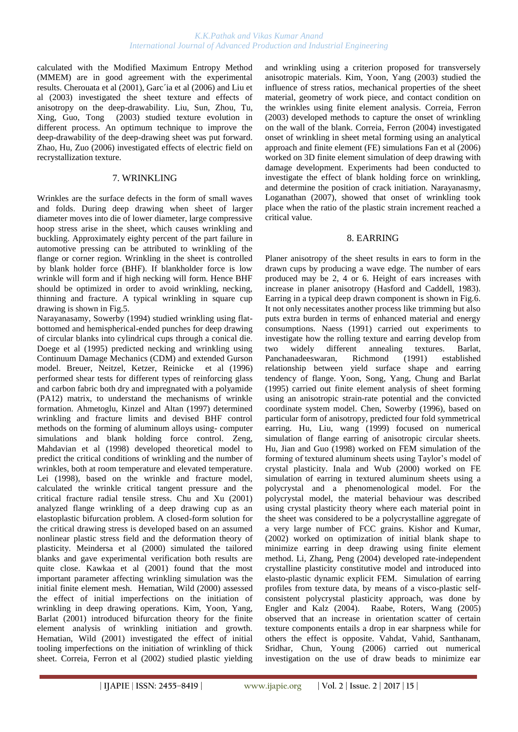calculated with the Modified Maximum Entropy Method (MMEM) are in good agreement with the experimental results. Cherouata et al (2001), Garc´ia et al (2006) and Liu et al (2003) investigated the sheet texture and effects of anisotropy on the deep-drawability. [Liu,](http://apps.isiknowledge.com/WoS/CIW.cgi?SID=2DkOCF9aP3omdaABJnA&Func=OneClickSearch&field=AU&val=Liu+YZ&ut=000185489700089&auloc=1&curr_doc=1/375&Form=FullRecordPage&doc=1/375) [Sun,](http://apps.isiknowledge.com/WoS/CIW.cgi?SID=2DkOCF9aP3omdaABJnA&Func=OneClickSearch&field=AU&val=Sun+JH&ut=000185489700089&auloc=2&curr_doc=1/375&Form=FullRecordPage&doc=1/375) [Zhou,](http://apps.isiknowledge.com/WoS/CIW.cgi?SID=2DkOCF9aP3omdaABJnA&Func=OneClickSearch&field=AU&val=Zhou+LY&ut=000185489700089&auloc=3&curr_doc=1/375&Form=FullRecordPage&doc=1/375) [Tu,](http://apps.isiknowledge.com/WoS/CIW.cgi?SID=2DkOCF9aP3omdaABJnA&Func=OneClickSearch&field=AU&val=Tu+YG&ut=000185489700089&auloc=4&curr_doc=1/375&Form=FullRecordPage&doc=1/375) [Xing,](http://apps.isiknowledge.com/WoS/CIW.cgi?SID=2DkOCF9aP3omdaABJnA&Func=OneClickSearch&field=AU&val=Xing+F&ut=000185489700089&auloc=5&curr_doc=1/375&Form=FullRecordPage&doc=1/375) [Guo,](http://apps.isiknowledge.com/WoS/CIW.cgi?SID=2DkOCF9aP3omdaABJnA&Func=OneClickSearch&field=AU&val=Guo+YC&ut=000185489700089&auloc=6&curr_doc=1/375&Form=FullRecordPage&doc=1/375) [Tong](http://apps.isiknowledge.com/WoS/CIW.cgi?SID=2DkOCF9aP3omdaABJnA&Func=OneClickSearch&field=AU&val=Tong+Q&ut=000185489700089&auloc=7&curr_doc=1/375&Form=FullRecordPage&doc=1/375) (2003) studied texture evolution in different process. An optimum technique to improve the deep-drawability of the deep-drawing sheet was put forward. Zhao, Hu, Zuo (2006) investigated effects of electric field on recrystallization texture.

#### 7. WRINKLING

Wrinkles are the surface defects in the form of small waves and folds. During deep drawing when sheet of larger diameter moves into die of lower diameter, large compressive hoop stress arise in the sheet, which causes wrinkling and buckling. Approximately eighty percent of the part failure in automotive pressing can be attributed to wrinkling of the flange or corner region. Wrinkling in the sheet is controlled by blank holder force (BHF). If blankholder force is low wrinkle will form and if high necking will form. Hence BHF should be optimized in order to avoid wrinkling, necking, thinning and fracture. A typical wrinkling in square cup drawing is shown in Fig.5.

[Narayanasamy,](http://apps.isiknowledge.com/WoS/CIW.cgi?SID=1AJM5iKdKA546ePn1B6&Func=OneClickSearch&field=AU&val=NARAYANASAMY+R&ut=A1994MY38000003&auloc=1&curr_doc=1/1062&Form=FullRecordPage&doc=1/1062) [Sowerby](http://apps.isiknowledge.com/WoS/CIW.cgi?SID=1AJM5iKdKA546ePn1B6&Func=OneClickSearch&field=AU&val=SOWERBY+R&ut=A1994MY38000003&auloc=2&curr_doc=1/1062&Form=FullRecordPage&doc=1/1062) (1994) studied wrinkling using flatbottomed and hemispherical-ended punches for deep drawing of circular blanks into cylindrical cups through a conical die. Doege et al (1995) predicted necking and wrinkling using Continuum Damage Mechanics (CDM) and extended Gurson model. [Breuer,](http://apps.isiknowledge.com/WoS/CIW.cgi?SID=1AJM5iKdKA546ePn1B6&Func=OneClickSearch&field=AU&val=Breuer+U&ut=A1996VC39100012&auloc=1&curr_doc=1/939&Form=FullRecordPage&doc=1/939) [Neitzel,](http://apps.isiknowledge.com/WoS/CIW.cgi?SID=1AJM5iKdKA546ePn1B6&Func=OneClickSearch&field=AU&val=Neitzel+M&ut=A1996VC39100012&auloc=2&curr_doc=1/939&Form=FullRecordPage&doc=1/939) [Ketzer,](http://apps.isiknowledge.com/WoS/CIW.cgi?SID=1AJM5iKdKA546ePn1B6&Func=OneClickSearch&field=AU&val=Ketzer+V&ut=A1996VC39100012&auloc=3&curr_doc=1/939&Form=FullRecordPage&doc=1/939) [Reinicke](http://apps.isiknowledge.com/WoS/CIW.cgi?SID=1AJM5iKdKA546ePn1B6&Func=OneClickSearch&field=AU&val=Reinicke+R&ut=A1996VC39100012&auloc=4&curr_doc=1/939&Form=FullRecordPage&doc=1/939) et al (1996) performed shear tests for different types of reinforcing glass and carbon fabric both dry and impregnated with a polyamide (PA12) matrix, to understand the mechanisms of wrinkle formation. Ahmetoglu, Kinzel and Altan (1997) determined wrinkling and fracture limits and devised BHF control methods on the forming of aluminum alloys using- computer simulations and blank holding force control. [Zeng,](http://apps.isiknowledge.com/WoS/CIW.cgi?SID=2DkOCF9aP3omdaABJnA&Func=OneClickSearch&field=AU&val=Zeng+XM&ut=000076724300005&auloc=1&curr_doc=1/788&Form=FullRecordPage&doc=1/788) [Mahdavian](http://apps.isiknowledge.com/WoS/CIW.cgi?SID=2DkOCF9aP3omdaABJnA&Func=OneClickSearch&field=AU&val=Mahdavian+SM&ut=000076724300005&auloc=2&curr_doc=1/788&Form=FullRecordPage&doc=1/788) et al (1998) developed theoretical model to predict the critical conditions of wrinkling and the number of wrinkles, both at room temperature and elevated temperature. [Lei](http://apps.isiknowledge.com/WoS/CIW.cgi?SID=2DkOCF9aP3omdaABJnA&Func=OneClickSearch&field=AU&val=Lei+JX&ut=000080921800010&auloc=1&curr_doc=1/744&Form=FullRecordPage&doc=1/744) (1998), based on the wrinkle and fracture model, calculated the wrinkle critical tangent pressure and the critical fracture radial tensile stress. Chu and Xu (2001) analyzed flange wrinkling of a deep drawing cup as an elastoplastic bifurcation problem. A closed-form solution for the critical drawing stress is developed based on an assumed nonlinear plastic stress field and the deformation theory of plasticity. Meindersa et al (2000) simulated the tailored blanks and gave experimental verification both results are quite close. Kawkaa et al (2001) found that the most important parameter affecting wrinkling simulation was the initial finite element mesh. [Hematian,](http://apps.isiknowledge.com/WoS/CIW.cgi?SID=2DkOCF9aP3omdaABJnA&Func=OneClickSearch&field=AU&val=Hematian+J&ut=000087560100006&auloc=1&curr_doc=1/671&Form=FullRecordPage&doc=1/671) [Wild](http://apps.isiknowledge.com/WoS/CIW.cgi?SID=2DkOCF9aP3omdaABJnA&Func=OneClickSearch&field=AU&val=Wild+PM&ut=000087560100006&auloc=2&curr_doc=1/671&Form=FullRecordPage&doc=1/671) (2000) assessed the effect of initial imperfections on the initiation of wrinkling in deep drawing operations. [Kim,](http://apps.isiknowledge.com/WoS/CIW.cgi?SID=2DkOCF9aP3omdaABJnA&Func=OneClickSearch&field=AU&val=Kim+JB&ut=000168462000033&auloc=1&curr_doc=1/606&Form=FullRecordPage&doc=1/606) [Yoon,](http://apps.isiknowledge.com/WoS/CIW.cgi?SID=2DkOCF9aP3omdaABJnA&Func=OneClickSearch&field=AU&val=Yoon+JW&ut=000168462000033&auloc=2&curr_doc=1/606&Form=FullRecordPage&doc=1/606) [Yang,](http://apps.isiknowledge.com/WoS/CIW.cgi?SID=2DkOCF9aP3omdaABJnA&Func=OneClickSearch&field=AU&val=Yang+DY&ut=000168462000033&auloc=3&curr_doc=1/606&Form=FullRecordPage&doc=1/606) [Barlat](http://apps.isiknowledge.com/WoS/CIW.cgi?SID=2DkOCF9aP3omdaABJnA&Func=OneClickSearch&field=AU&val=Barlat+F&ut=000168462000033&auloc=4&curr_doc=1/606&Form=FullRecordPage&doc=1/606) (2001) introduced bifurcation theory for the finite element analysis of wrinkling initiation and growth. [Hematian,](http://apps.isiknowledge.com/WoS/CIW.cgi?SID=2DkOCF9aP3omdaABJnA&Func=OneClickSearch&field=AU&val=Hematian+J&ut=000171892600012&auloc=1&curr_doc=1/548&Form=FullRecordPage&doc=1/548) [Wild](http://apps.isiknowledge.com/WoS/CIW.cgi?SID=2DkOCF9aP3omdaABJnA&Func=OneClickSearch&field=AU&val=Wild+PM&ut=000171892600012&auloc=2&curr_doc=1/548&Form=FullRecordPage&doc=1/548) (2001) investigated the effect of initial tooling imperfections on the initiation of wrinkling of thick sheet. [Correia,](http://apps.isiknowledge.com/WoS/CIW.cgi?SID=2DkOCF9aP3omdaABJnA&Func=OneClickSearch&field=AU&val=Correia+JPD&ut=000178711000022&auloc=1&curr_doc=1/462&Form=FullRecordPage&doc=1/462) [Ferron](http://apps.isiknowledge.com/WoS/CIW.cgi?SID=2DkOCF9aP3omdaABJnA&Func=OneClickSearch&field=AU&val=Ferron+G&ut=000178711000022&auloc=2&curr_doc=1/462&Form=FullRecordPage&doc=1/462) et al (2002) studied plastic yielding

and wrinkling using a criterion proposed for transversely anisotropic materials. [Kim,](http://apps.isiknowledge.com/WoS/CIW.cgi?SID=2DkOCF9aP3omdaABJnA&Func=OneClickSearch&field=AU&val=Kim+JB&ut=000181820800001&auloc=1&curr_doc=1/424&Form=FullRecordPage&doc=1/424) [Yoon,](http://apps.isiknowledge.com/WoS/CIW.cgi?SID=2DkOCF9aP3omdaABJnA&Func=OneClickSearch&field=AU&val=Yoon+JW&ut=000181820800001&auloc=2&curr_doc=1/424&Form=FullRecordPage&doc=1/424) [Yang](http://apps.isiknowledge.com/WoS/CIW.cgi?SID=2DkOCF9aP3omdaABJnA&Func=OneClickSearch&field=AU&val=Yang+DY&ut=000181820800001&auloc=3&curr_doc=1/424&Form=FullRecordPage&doc=1/424) (2003) studied the influence of stress ratios, mechanical properties of the sheet material, geometry of work piece, and contact condition on the wrinkles using finite element analysis. [Correia,](http://apps.isiknowledge.com/WoS/CIW.cgi?SID=2DkOCF9aP3omdaABJnA&Func=OneClickSearch&field=AU&val=Correia+JPD&ut=000183274400011&auloc=1&curr_doc=1/405&Form=FullRecordPage&doc=1/405) [Ferron](http://apps.isiknowledge.com/WoS/CIW.cgi?SID=2DkOCF9aP3omdaABJnA&Func=OneClickSearch&field=AU&val=Ferron+G&ut=000183274400011&auloc=2&curr_doc=1/405&Form=FullRecordPage&doc=1/405) (2003) developed methods to capture the onset of wrinkling on the wall of the blank. [Correia,](http://apps.isiknowledge.com/WoS/CIW.cgi?SID=4F4DgpBnmJOk2a7nieI&Func=OneClickSearch&field=AU&val=Correia+JPD&ut=000225845800076&auloc=1&curr_doc=1/256&Form=FullRecordPage&doc=1/256) [Ferron \(](http://apps.isiknowledge.com/WoS/CIW.cgi?SID=4F4DgpBnmJOk2a7nieI&Func=OneClickSearch&field=AU&val=Ferron+G&ut=000225845800076&auloc=2&curr_doc=1/256&Form=FullRecordPage&doc=1/256)2004) investigated onset of wrinkling in sheet metal forming using an analytical approach and finite element (FE) simulations Fan et al (2006) worked on 3D finite element simulation of deep drawing with damage development. Experiments had been conducted to investigate the effect of blank holding force on wrinkling, and determine the position of crack initiation. [Narayanasmy,](http://apps.isiknowledge.com/WoS/CIW.cgi?SID=3Cic8Oijl8M@MI142Hp&Func=OneClickSearch&field=AU&val=Narayanasmy+R&ut=000243733400019&auloc=1&fullauth=%20(Narayanasmy,%20R.)&curr_doc=1/42&Form=FullRecordPage&doc=1/42) [Loganathan](http://apps.isiknowledge.com/WoS/CIW.cgi?SID=3Cic8Oijl8M@MI142Hp&Func=OneClickSearch&field=AU&val=Loganathan+C&ut=000243733400019&auloc=2&fullauth=%20(Loganathan,%20C.)&curr_doc=1/42&Form=FullRecordPage&doc=1/42) (2007), showed that onset of wrinkling took place when the ratio of the plastic strain increment reached a critical value.

#### 8. EARRING

Planer anisotropy of the sheet results in ears to form in the drawn cups by producing a wave edge. The number of ears produced may be 2, 4 or 6. Height of ears increases with increase in planer anisotropy (Hasford and Caddell, 1983). Earring in a typical deep drawn component is shown in Fig.6. It not only necessitates another process like trimming but also puts extra burden in terms of enhanced material and energy consumptions. [Naess](http://apps.isiknowledge.com/WoS/CIW.cgi?SID=1AJM5iKdKA546ePn1B6&Func=OneClickSearch&field=AU&val=NAESS+SE&ut=A1991FK79200002&auloc=1&curr_doc=1/1172&Form=FullRecordPage&doc=1/1172) (1991) carried out experiments to investigate how the rolling texture and earring develop from two widely different annealing textures. [Barlat,](http://apps.isiknowledge.com/WoS/CIW.cgi?SID=1AJM5iKdKA546ePn1B6&Func=OneClickSearch&field=AU&val=BARLAT+F&ut=A1991FV34900006&auloc=1&curr_doc=1/1165&Form=FullRecordPage&doc=1/1165) [Panchanadeeswaran,](http://apps.isiknowledge.com/WoS/CIW.cgi?SID=1AJM5iKdKA546ePn1B6&Func=OneClickSearch&field=AU&val=PANCHANADEESWARAN+S&ut=A1991FV34900006&auloc=2&curr_doc=1/1165&Form=FullRecordPage&doc=1/1165) [Richmond](http://apps.isiknowledge.com/WoS/CIW.cgi?SID=1AJM5iKdKA546ePn1B6&Func=OneClickSearch&field=AU&val=RICHMOND+O&ut=A1991FV34900006&auloc=3&curr_doc=1/1165&Form=FullRecordPage&doc=1/1165) (1991) established relationship between yield surface shape and earring tendency of flange. Yoon, Song, Yang, Chung and Barlat (1995) carried out finite element analysis of sheet forming using an anisotropic strain-rate potential and the convicted coordinate system model. [Chen,](http://apps.isiknowledge.com/WoS/CIW.cgi?SID=1AJM5iKdKA546ePn1B6&Func=OneClickSearch&field=AU&val=Chen+X&ut=A1996TZ86800004&auloc=1&curr_doc=1/973&Form=FullRecordPage&doc=1/973) [Sowerby](http://apps.isiknowledge.com/WoS/CIW.cgi?SID=1AJM5iKdKA546ePn1B6&Func=OneClickSearch&field=AU&val=Sowerby+R&ut=A1996TZ86800004&auloc=2&curr_doc=1/973&Form=FullRecordPage&doc=1/973) (1996), based on particular form of anisotropy, predicted four fold symmetrical earring. [Hu,](http://apps.isiknowledge.com/WoS/CIW.cgi?SID=2DkOCF9aP3omdaABJnA&Func=OneClickSearch&field=AU&val=Hu+P&ut=000084540900002&auloc=2&curr_doc=1/710&Form=FullRecordPage&doc=1/710) [Liu,](http://apps.isiknowledge.com/WoS/CIW.cgi?SID=2DkOCF9aP3omdaABJnA&Func=OneClickSearch&field=AU&val=Liu+YQ&ut=000084540900002&auloc=1&curr_doc=1/710&Form=FullRecordPage&doc=1/710) wang (1999) focused on numerical simulation of flange earring of anisotropic circular sheets. Hu, Jian and Guo (1998) worked on FEM simulation of the forming of textured aluminum sheets using Taylor's model of crystal plasticity. Inala and Wub (2000) worked on FE simulation of earring in textured aluminum sheets using a polycrystal and a phenomenological model. For the polycrystal model, the material behaviour was described using crystal plasticity theory where each material point in the sheet was considered to be a polycrystalline aggregate of a very large number of FCC grains. Kishor and Kumar, (2002) worked on optimization of initial blank shape to minimize earring in deep drawing using finite element method. [Li,](http://apps.isiknowledge.com/WoS/CIW.cgi?SID=4F4DgpBnmJOk2a7nieI&Func=OneClickSearch&field=AU&val=Li+DY&ut=000227161500091&auloc=1&curr_doc=1/240&Form=FullRecordPage&doc=1/240) [Zhang,](http://apps.isiknowledge.com/WoS/CIW.cgi?SID=4F4DgpBnmJOk2a7nieI&Func=OneClickSearch&field=AU&val=Zhang+SR&ut=000227161500091&auloc=2&curr_doc=1/240&Form=FullRecordPage&doc=1/240) [Peng](http://apps.isiknowledge.com/WoS/CIW.cgi?SID=4F4DgpBnmJOk2a7nieI&Func=OneClickSearch&field=AU&val=Peng+YH&ut=000227161500091&auloc=3&curr_doc=1/240&Form=FullRecordPage&doc=1/240) (2004) developed rate-independent crystalline plasticity constitutive model and introduced into elasto-plastic dynamic explicit FEM. Simulation of earring profiles from texture data, by means of a visco-plastic selfconsistent polycrystal plasticity approach, was done by Engler and Kalz (2004). [Raabe,](http://apps.isiknowledge.com/WoS/CIW.cgi?SID=4F4DgpBnmJOk2a7nieI&Func=OneClickSearch&field=AU&val=Raabe+D&ut=000231284400234&auloc=1&curr_doc=1/185&Form=FullRecordPage&doc=1/185) [Roters,](http://apps.isiknowledge.com/WoS/CIW.cgi?SID=4F4DgpBnmJOk2a7nieI&Func=OneClickSearch&field=AU&val=Roters+F&ut=000231284400234&auloc=2&curr_doc=1/185&Form=FullRecordPage&doc=1/185) [Wang](http://apps.isiknowledge.com/WoS/CIW.cgi?SID=4F4DgpBnmJOk2a7nieI&Func=OneClickSearch&field=AU&val=Wang+Y&ut=000231284400234&auloc=3&curr_doc=1/185&Form=FullRecordPage&doc=1/185) (2005) observed that an increase in orientation scatter of certain texture components entails a drop in ear sharpness while for others the effect is opposite. Vahdat, Vahid, Santhanam, Sridhar, Chun, Young (2006) carried out numerical investigation on the use of draw beads to minimize ear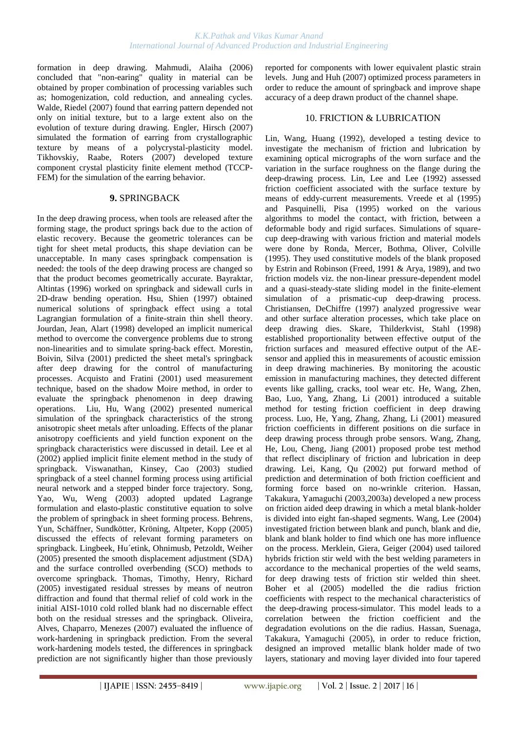formation in deep drawing. [Mahmudi,](http://apps.isiknowledge.com/WoS/CIW.cgi?SID=3Cic8Oijl8M@MI142Hp&Func=OneClickSearch&field=AU&val=Mahmudi+R&ut=000240309000245&auloc=1&fullauth=%20(Mahmudi,%20R.)&curr_doc=1/78&Form=FullRecordPage&doc=1/78) [Alaiha](http://apps.isiknowledge.com/WoS/CIW.cgi?SID=3Cic8Oijl8M@MI142Hp&Func=OneClickSearch&field=AU&val=Alaiha+MM&ut=000240309000245&auloc=2&fullauth=%20(Alaiha,%20M.%20M.)&curr_doc=1/78&Form=FullRecordPage&doc=1/78) (2006) concluded that "non-earing" quality in material can be obtained by proper combination of processing variables such as; homogenization, cold reduction, and annealing cycles. [Walde,](http://apps.isiknowledge.com/WoS/CIW.cgi?SID=3Cic8Oijl8M@MI142Hp&Func=OneClickSearch&field=AU&val=Walde+T&ut=000246435100010&auloc=1&fullauth=%20(Walde,%20Tom)&curr_doc=1/7&Form=FullRecordPage&doc=1/7) [Riedel](http://apps.isiknowledge.com/WoS/CIW.cgi?SID=3Cic8Oijl8M@MI142Hp&Func=OneClickSearch&field=AU&val=Riedel+H&ut=000246435100010&auloc=2&fullauth=%20(Riedel,%20Hermann)&curr_doc=1/7&Form=FullRecordPage&doc=1/7) (2007) found that earring pattern depended not only on initial texture, but to a large extent also on the evolution of texture during drawing. [Engler,](http://apps.isiknowledge.com/WoS/CIW.cgi?SID=3Cic8Oijl8M@MI142Hp&Func=OneClickSearch&field=AU&val=Engler+O&ut=000245639800087&auloc=1&fullauth=%20(Engler,%20Olaf)&curr_doc=1/24&Form=FullRecordPage&doc=1/24) [Hirsch](http://apps.isiknowledge.com/WoS/CIW.cgi?SID=3Cic8Oijl8M@MI142Hp&Func=OneClickSearch&field=AU&val=Hirsch+J&ut=000245639800087&auloc=2&fullauth=%20(Hirsch,%20Juergen)&curr_doc=1/24&Form=FullRecordPage&doc=1/24) (2007) simulated the formation of earring from crystallographic texture by means of a polycrystal-plasticity model. [Tikhovskiy,](http://apps.isiknowledge.com/WoS/CIW.cgi?SID=3Cic8Oijl8M@MI142Hp&Func=OneClickSearch&field=AU&val=Tikhovskiy+I&ut=000244827000004&auloc=1&fullauth=%20(Tikhovskiy,%20I.)&curr_doc=1/30&Form=FullRecordPage&doc=1/30) [Raabe,](http://apps.isiknowledge.com/WoS/CIW.cgi?SID=3Cic8Oijl8M@MI142Hp&Func=OneClickSearch&field=AU&val=Raabe+D&ut=000244827000004&auloc=2&fullauth=%20(Raabe,%20D.)&curr_doc=1/30&Form=FullRecordPage&doc=1/30) [Roters](http://apps.isiknowledge.com/WoS/CIW.cgi?SID=3Cic8Oijl8M@MI142Hp&Func=OneClickSearch&field=AU&val=Roters+F&ut=000244827000004&auloc=3&fullauth=%20(Roters,%20F.)&curr_doc=1/30&Form=FullRecordPage&doc=1/30) (2007) developed texture component crystal plasticity finite element method (TCCP-FEM) for the simulation of the earring behavior.

# **9.** SPRINGBACK

In the deep drawing process, when tools are released after the forming stage, the product springs back due to the action of elastic recovery. Because the geometric tolerances can be tight for sheet metal products, this shape deviation can be unacceptable. In many cases springback compensation is needed: the tools of the deep drawing process are changed so that the product becomes geometrically accurate. Bayraktar, Altintas (1996) worked on springback and sidewall curls in 2D-draw bending operation. Hsu, Shien (1997) obtained numerical solutions of springback effect using a total Lagrangian formulation of a finite-strain thin shell theory. [Jourdan,](http://apps.isiknowledge.com/WoS/CIW.cgi?SID=2DkOCF9aP3omdaABJnA&Func=OneClickSearch&field=AU&val=Jourdan+F&ut=000075700400042&auloc=1&curr_doc=1/802&Form=FullRecordPage&doc=1/802) [Jean,](http://apps.isiknowledge.com/WoS/CIW.cgi?SID=2DkOCF9aP3omdaABJnA&Func=OneClickSearch&field=AU&val=Jean+M&ut=000075700400042&auloc=2&curr_doc=1/802&Form=FullRecordPage&doc=1/802) [Alart](http://apps.isiknowledge.com/WoS/CIW.cgi?SID=2DkOCF9aP3omdaABJnA&Func=OneClickSearch&field=AU&val=Alart+P&ut=000075700400042&auloc=3&curr_doc=1/802&Form=FullRecordPage&doc=1/802) (1998) developed an implicit numerical method to overcome the convergence problems due to strong non-linearities and to simulate spring-back effect. Morestin, Boivin, Silva (2001) predicted the sheet metal's springback after deep drawing for the control of manufacturing processes. [Acquisto](http://findarticles.com/p/search?tb=art&qt=%22D%27Acquisto%2C+L%22) and [Fratini](http://findarticles.com/p/search?tb=art&qt=%22Fratini%2C+L%22) (2001) used measurement technique, based on the shadow Moire method, in order to evaluate the springback phenomenon in deep drawing operations. [Liu,](http://apps.isiknowledge.com/WoS/CIW.cgi?SID=2DkOCF9aP3omdaABJnA&Func=OneClickSearch&field=AU&val=Liu+YQ&ut=000176582600007&auloc=1&curr_doc=1/501&Form=FullRecordPage&doc=1/501) [Hu,](http://apps.isiknowledge.com/WoS/CIW.cgi?SID=2DkOCF9aP3omdaABJnA&Func=OneClickSearch&field=AU&val=Hu+P&ut=000176582600007&auloc=2&curr_doc=1/501&Form=FullRecordPage&doc=1/501) [Wang \(](http://apps.isiknowledge.com/WoS/CIW.cgi?SID=2DkOCF9aP3omdaABJnA&Func=OneClickSearch&field=AU&val=Wang+JC&ut=000176582600007&auloc=3&curr_doc=1/501&Form=FullRecordPage&doc=1/501)2002) presented numerical simulation of the springback characteristics of the strong anisotropic sheet metals after unloading. Effects of the planar anisotropy coefficients and yield function exponent on the springback characteristics were discussed in detail. Lee et al (2002) applied implicit finite element method in the study of springback. [Viswanathan,](http://scitation.aip.org/vsearch/servlet/VerityServlet?KEY=ALL&possible1=Viswanathan%2C+Vikram&possible1zone=author&maxdisp=25&smode=strresults&aqs=true) [Kinsey,](http://scitation.aip.org/vsearch/servlet/VerityServlet?KEY=ALL&possible1=Kinsey%2C+Brad&possible1zone=author&maxdisp=25&smode=strresults&aqs=true) [Cao](http://scitation.aip.org/vsearch/servlet/VerityServlet?KEY=ALL&possible1=Cao%2C+Jian&possible1zone=author&maxdisp=25&smode=strresults&aqs=true) (2003) studied springback of a steel channel forming process using artificial neural network and a stepped binder force trajectory. [Song,](http://apps.isiknowledge.com/WoS/CIW.cgi?SID=2DkOCF9aP3omdaABJnA&Func=OneClickSearch&field=AU&val=Song+YT&ut=000185638700062&auloc=1&curr_doc=1/372&Form=FullRecordPage&doc=1/372) [Yao,](http://apps.isiknowledge.com/WoS/CIW.cgi?SID=2DkOCF9aP3omdaABJnA&Func=OneClickSearch&field=AU&val=Yao+DM&ut=000185638700062&auloc=2&curr_doc=1/372&Form=FullRecordPage&doc=1/372) [Wu,](http://apps.isiknowledge.com/WoS/CIW.cgi?SID=2DkOCF9aP3omdaABJnA&Func=OneClickSearch&field=AU&val=Wu+ST&ut=000185638700062&auloc=3&curr_doc=1/372&Form=FullRecordPage&doc=1/372) [Weng \(](http://apps.isiknowledge.com/WoS/CIW.cgi?SID=2DkOCF9aP3omdaABJnA&Func=OneClickSearch&field=AU&val=Weng+PD&ut=000185638700062&auloc=4&curr_doc=1/372&Form=FullRecordPage&doc=1/372)2003) adopted updated Lagrange formulation and elasto-plastic constitutive equation to solve the problem of springback in sheet forming process. Behrens, Yun, Schäffner, Sundkötter, Kröning, Altpeter, Kopp (2005) discussed the effects of relevant forming parameters on springback. Lingbeek, Hu´etink, Ohnimusb, Petzoldt, Weiher (2005) presented the smooth displacement adjustment (SDA) and the surface controlled overbending (SCO) methods to overcome springback. Thomas, Timothy, Henry, Richard (2005) investigated residual stresses by means of neutron diffraction and found that thermal relief of cold work in the initial AISI-1010 cold rolled blank had no discernable effect both on the residual stresses and the springback. Oliveira, Alves, Chaparro, Menezes (2007) evaluated the influence of work-hardening in springback prediction. From the several work-hardening models tested, the differences in springback prediction are not significantly higher than those previously

reported for components with lower equivalent plastic strain levels. Jung and [Huh](http://scitation.aip.org/vsearch/servlet/VerityServlet?KEY=ALL&possible1=Huh%2C+Hoon&possible1zone=author&maxdisp=25&smode=strresults&aqs=true) (2007) optimized process parameters in order to reduce the amount of springback and improve shape accuracy of a deep drawn product of the channel shape.

# 10. FRICTION & LUBRICATION

[Lin,](http://apps.isiknowledge.com/WoS/CIW.cgi?SID=1AJM5iKdKA546ePn1B6&Func=OneClickSearch&field=AU&val=LIN+JF&ut=A1992JF58500014&auloc=1&curr_doc=1/1124&Form=FullRecordPage&doc=1/1124) [Wang,](http://apps.isiknowledge.com/WoS/CIW.cgi?SID=1AJM5iKdKA546ePn1B6&Func=OneClickSearch&field=AU&val=WANG+LY&ut=A1992JF58500014&auloc=2&curr_doc=1/1124&Form=FullRecordPage&doc=1/1124) [Huang](http://apps.isiknowledge.com/WoS/CIW.cgi?SID=1AJM5iKdKA546ePn1B6&Func=OneClickSearch&field=AU&val=HUANG+TK&ut=A1992JF58500014&auloc=3&curr_doc=1/1124&Form=FullRecordPage&doc=1/1124) (1992), developed a testing device to investigate the mechanism of friction and lubrication by examining optical micrographs of the worn surface and the variation in the surface roughness on the flange during the deep-drawing process. [Lin,](http://apps.isiknowledge.com/WoS/CIW.cgi?SID=1AJM5iKdKA546ePn1B6&Func=OneClickSearch&field=AU&val=LIN+JF&ut=A1992JR74600008&auloc=1&curr_doc=1/1116&Form=FullRecordPage&doc=1/1116) [Lee](http://apps.isiknowledge.com/WoS/CIW.cgi?SID=1AJM5iKdKA546ePn1B6&Func=OneClickSearch&field=AU&val=LEE+AY&ut=A1992JR74600008&auloc=2&curr_doc=1/1116&Form=FullRecordPage&doc=1/1116) and [Lee](http://apps.isiknowledge.com/WoS/CIW.cgi?SID=1AJM5iKdKA546ePn1B6&Func=OneClickSearch&field=AU&val=LEE+KY&ut=A1992JR74600008&auloc=3&curr_doc=1/1116&Form=FullRecordPage&doc=1/1116) (1992) assessed friction coefficient associated with the surface texture by means of eddy-current measurements. Vreede et al (1995) and Pasquinelli, Pisa (1995) worked on the various algorithms to model the contact, with friction, between a deformable body and rigid surfaces. Simulations of squarecup deep-drawing with various friction and material models were done by Ronda, Mercer, Bothma, Oliver, Colville (1995). They used constitutive models of the blank proposed by Estrin and Robinson (Freed, 1991 & Arya, 1989), and two friction models viz. the non-linear pressure-dependent model and a quasi-steady-state sliding model in the finite-element simulation of a prismatic-cup deep-drawing process. [Christiansen,](http://apps.isiknowledge.com/WoS/CIW.cgi?SID=1AJM5iKdKA546ePn1B6&Func=OneClickSearch&field=AU&val=Christiansen+S&ut=A1997WX39400022&auloc=1&curr_doc=1/902&Form=FullRecordPage&doc=1/902) [DeChiffre](http://apps.isiknowledge.com/WoS/CIW.cgi?SID=1AJM5iKdKA546ePn1B6&Func=OneClickSearch&field=AU&val=DeChiffre+L&ut=A1997WX39400022&auloc=2&curr_doc=1/902&Form=FullRecordPage&doc=1/902) (1997) analyzed progressive wear and other surface alteration processes, which take place on deep drawing dies. [Skare,](http://apps.isiknowledge.com/WoS/CIW.cgi?SID=2DkOCF9aP3omdaABJnA&Func=OneClickSearch&field=AU&val=Skare+T&ut=000075700400043&auloc=1&curr_doc=1/803&Form=FullRecordPage&doc=1/803) [Thilderkvist,](http://apps.isiknowledge.com/WoS/CIW.cgi?SID=2DkOCF9aP3omdaABJnA&Func=OneClickSearch&field=AU&val=Thilderkvist+P&ut=000075700400043&auloc=2&curr_doc=1/803&Form=FullRecordPage&doc=1/803) [Stahl](http://apps.isiknowledge.com/WoS/CIW.cgi?SID=2DkOCF9aP3omdaABJnA&Func=OneClickSearch&field=AU&val=Stahl+JE&ut=000075700400043&auloc=3&curr_doc=1/803&Form=FullRecordPage&doc=1/803) (1998) established proportionality between effective output of the friction surfaces and measured effective output of the AEsensor and applied this in measurements of acoustic emission in deep drawing machineries. By monitoring the acoustic emission in manufacturing machines, they detected different events like galling, cracks, tool wear etc. [He,](http://apps.isiknowledge.com/WoS/CIW.cgi?SID=2DkOCF9aP3omdaABJnA&Func=OneClickSearch&field=AU&val=He+DN&ut=000171793000035&auloc=1&curr_doc=1/553&Form=FullRecordPage&doc=1/553) [Wang,](http://apps.isiknowledge.com/WoS/CIW.cgi?SID=2DkOCF9aP3omdaABJnA&Func=OneClickSearch&field=AU&val=Wang+R&ut=000171793000035&auloc=2&curr_doc=1/553&Form=FullRecordPage&doc=1/553) [Zhen,](http://apps.isiknowledge.com/WoS/CIW.cgi?SID=2DkOCF9aP3omdaABJnA&Func=OneClickSearch&field=AU&val=Zhen+XD&ut=000171793000035&auloc=3&curr_doc=1/553&Form=FullRecordPage&doc=1/553) [Bao,](http://apps.isiknowledge.com/WoS/CIW.cgi?SID=2DkOCF9aP3omdaABJnA&Func=OneClickSearch&field=AU&val=Bao+XJ&ut=000171793000035&auloc=4&curr_doc=1/553&Form=FullRecordPage&doc=1/553) [Luo,](http://apps.isiknowledge.com/WoS/CIW.cgi?SID=2DkOCF9aP3omdaABJnA&Func=OneClickSearch&field=AU&val=Luo+YJ&ut=000171793000035&auloc=5&curr_doc=1/553&Form=FullRecordPage&doc=1/553) [Yang,](http://apps.isiknowledge.com/WoS/CIW.cgi?SID=2DkOCF9aP3omdaABJnA&Func=OneClickSearch&field=AU&val=Yang+JH&ut=000171793000035&auloc=6&curr_doc=1/553&Form=FullRecordPage&doc=1/553) [Zhang,](http://apps.isiknowledge.com/WoS/CIW.cgi?SID=2DkOCF9aP3omdaABJnA&Func=OneClickSearch&field=AU&val=Zhang+W&ut=000171793000035&auloc=7&curr_doc=1/553&Form=FullRecordPage&doc=1/553) [Li](http://apps.isiknowledge.com/WoS/CIW.cgi?SID=2DkOCF9aP3omdaABJnA&Func=OneClickSearch&field=AU&val=Li+J&ut=000171793000035&auloc=8&curr_doc=1/553&Form=FullRecordPage&doc=1/553) (2001) introduced a suitable method for testing friction coefficient in deep drawing process. [Luo,](http://apps.isiknowledge.com/WoS/CIW.cgi?SID=2DkOCF9aP3omdaABJnA&Func=OneClickSearch&field=AU&val=Luo+YJ&ut=000171793000036&auloc=1&curr_doc=1/554&Form=FullRecordPage&doc=1/554) [He,](http://apps.isiknowledge.com/WoS/CIW.cgi?SID=2DkOCF9aP3omdaABJnA&Func=OneClickSearch&field=AU&val=He+DN&ut=000171793000036&auloc=2&curr_doc=1/554&Form=FullRecordPage&doc=1/554) [Yang,](http://apps.isiknowledge.com/WoS/CIW.cgi?SID=2DkOCF9aP3omdaABJnA&Func=OneClickSearch&field=AU&val=Yang+JH&ut=000171793000036&auloc=3&curr_doc=1/554&Form=FullRecordPage&doc=1/554) [Zhang,](http://apps.isiknowledge.com/WoS/CIW.cgi?SID=2DkOCF9aP3omdaABJnA&Func=OneClickSearch&field=AU&val=Zhang+YQ&ut=000171793000036&auloc=4&curr_doc=1/554&Form=FullRecordPage&doc=1/554) [Zhang,](http://apps.isiknowledge.com/WoS/CIW.cgi?SID=2DkOCF9aP3omdaABJnA&Func=OneClickSearch&field=AU&val=Zhang+W&ut=000171793000036&auloc=5&curr_doc=1/554&Form=FullRecordPage&doc=1/554) [Li](http://apps.isiknowledge.com/WoS/CIW.cgi?SID=2DkOCF9aP3omdaABJnA&Func=OneClickSearch&field=AU&val=Li+J&ut=000171793000036&auloc=6&curr_doc=1/554&Form=FullRecordPage&doc=1/554) (2001) measured friction coefficients in different positions on die surface in deep drawing process through probe sensors. [Wang,](http://apps.isiknowledge.com/WoS/CIW.cgi?SID=2DkOCF9aP3omdaABJnA&Func=OneClickSearch&field=AU&val=Wang+DZ&ut=000172767000009&auloc=1&curr_doc=1/538&Form=FullRecordPage&doc=1/538) [Zhang,](http://apps.isiknowledge.com/WoS/CIW.cgi?SID=2DkOCF9aP3omdaABJnA&Func=OneClickSearch&field=AU&val=Zhang+YQ&ut=000172767000009&auloc=2&curr_doc=1/538&Form=FullRecordPage&doc=1/538) [He,](http://apps.isiknowledge.com/WoS/CIW.cgi?SID=2DkOCF9aP3omdaABJnA&Func=OneClickSearch&field=AU&val=He+DN&ut=000172767000009&auloc=3&curr_doc=1/538&Form=FullRecordPage&doc=1/538) [Lou,](http://apps.isiknowledge.com/WoS/CIW.cgi?SID=2DkOCF9aP3omdaABJnA&Func=OneClickSearch&field=AU&val=Lou+ZL&ut=000172767000009&auloc=4&curr_doc=1/538&Form=FullRecordPage&doc=1/538) [Cheng,](http://apps.isiknowledge.com/WoS/CIW.cgi?SID=2DkOCF9aP3omdaABJnA&Func=OneClickSearch&field=AU&val=Cheng+JL&ut=000172767000009&auloc=5&curr_doc=1/538&Form=FullRecordPage&doc=1/538) [Jiang](http://apps.isiknowledge.com/WoS/CIW.cgi?SID=2DkOCF9aP3omdaABJnA&Func=OneClickSearch&field=AU&val=Jiang+JY&ut=000172767000009&auloc=6&curr_doc=1/538&Form=FullRecordPage&doc=1/538) (2001) proposed probe test method that reflect disciplinary of friction and lubrication in deep drawing. [Lei,](http://apps.isiknowledge.com/WoS/CIW.cgi?SID=2DkOCF9aP3omdaABJnA&Func=OneClickSearch&field=AU&val=Lei+JX&ut=000179015000010&auloc=1&curr_doc=1/458&Form=FullRecordPage&doc=1/458) [Kang,](http://apps.isiknowledge.com/WoS/CIW.cgi?SID=2DkOCF9aP3omdaABJnA&Func=OneClickSearch&field=AU&val=Kang+YL&ut=000179015000010&auloc=2&curr_doc=1/458&Form=FullRecordPage&doc=1/458) [Qu](http://apps.isiknowledge.com/WoS/CIW.cgi?SID=2DkOCF9aP3omdaABJnA&Func=OneClickSearch&field=AU&val=Qu+FQ&ut=000179015000010&auloc=3&curr_doc=1/458&Form=FullRecordPage&doc=1/458) (2002) put forward method of prediction and determination of both friction coefficient and forming force based on no-wrinkle criterion. [Hassan,](http://apps.isiknowledge.com/WoS/CIW.cgi?SID=2DkOCF9aP3omdaABJnA&Func=OneClickSearch&field=AU&val=Hassan+MA&ut=000181838500009&auloc=1&curr_doc=1/423&Form=FullRecordPage&doc=1/423) [Takakura,](http://apps.isiknowledge.com/WoS/CIW.cgi?SID=2DkOCF9aP3omdaABJnA&Func=OneClickSearch&field=AU&val=Takakura+N&ut=000181838500009&auloc=2&curr_doc=1/423&Form=FullRecordPage&doc=1/423) [Yamaguchi](http://apps.isiknowledge.com/WoS/CIW.cgi?SID=2DkOCF9aP3omdaABJnA&Func=OneClickSearch&field=AU&val=Yamaguchi+K&ut=000181838500009&auloc=3&curr_doc=1/423&Form=FullRecordPage&doc=1/423) (2003,2003a) developed a new process on friction aided deep drawing in which a metal blank-holder is divided into eight fan-shaped segments. [Wang,](http://apps.isiknowledge.com/WoS/CIW.cgi?SID=4F4DgpBnmJOk2a7nieI&Func=OneClickSearch&field=AU&val=Wang+L&ut=000227161500136&auloc=1&curr_doc=1/243&Form=FullRecordPage&doc=1/243) [Lee](http://apps.isiknowledge.com/WoS/CIW.cgi?SID=4F4DgpBnmJOk2a7nieI&Func=OneClickSearch&field=AU&val=Lee+TC&ut=000227161500136&auloc=2&curr_doc=1/243&Form=FullRecordPage&doc=1/243) (2004) investigated friction between blank and punch, blank and die, blank and blank holder to find which one has more influence on the process. [Merklein,](http://apps.isiknowledge.com/WoS/CIW.cgi?SID=4F4DgpBnmJOk2a7nieI&Func=OneClickSearch&field=AU&val=Merklein+M&ut=000227238700030&auloc=1&curr_doc=1/233&Form=FullRecordPage&doc=1/233) [Giera,](http://apps.isiknowledge.com/WoS/CIW.cgi?SID=4F4DgpBnmJOk2a7nieI&Func=OneClickSearch&field=AU&val=Giera+A&ut=000227238700030&auloc=2&curr_doc=1/233&Form=FullRecordPage&doc=1/233) [Geiger](http://apps.isiknowledge.com/WoS/CIW.cgi?SID=4F4DgpBnmJOk2a7nieI&Func=OneClickSearch&field=AU&val=Geiger+M&ut=000227238700030&auloc=3&curr_doc=1/233&Form=FullRecordPage&doc=1/233) (2004) used tailored hybrids friction stir weld with the best welding parameters in accordance to the mechanical properties of the weld seams, for deep drawing tests of friction stir welded thin sheet. Boher et al (2005) modelled the die radius friction coefficients with respect to the mechanical characteristics of the deep-drawing process-simulator. This model leads to a correlation between the friction coefficient and the degradation evolutions on the die radius. [Hassan,](http://apps.isiknowledge.com/WoS/CIW.cgi?SID=4F4DgpBnmJOk2a7nieI&Func=OneClickSearch&field=AU&val=Hassan+MA&ut=000227194500019&auloc=1&curr_doc=1/236&Form=FullRecordPage&doc=1/236) [Suenaga,](http://apps.isiknowledge.com/WoS/CIW.cgi?SID=4F4DgpBnmJOk2a7nieI&Func=OneClickSearch&field=AU&val=Suenaga+R&ut=000227194500019&auloc=2&curr_doc=1/236&Form=FullRecordPage&doc=1/236) [Takakura,](http://apps.isiknowledge.com/WoS/CIW.cgi?SID=4F4DgpBnmJOk2a7nieI&Func=OneClickSearch&field=AU&val=Takakura+N&ut=000227194500019&auloc=3&curr_doc=1/236&Form=FullRecordPage&doc=1/236) [Yamaguchi \(](http://apps.isiknowledge.com/WoS/CIW.cgi?SID=4F4DgpBnmJOk2a7nieI&Func=OneClickSearch&field=AU&val=Yamaguchi+K&ut=000227194500019&auloc=4&curr_doc=1/236&Form=FullRecordPage&doc=1/236)2005), in order to reduce friction, designed an improved metallic blank holder made of two layers, stationary and moving layer divided into four tapered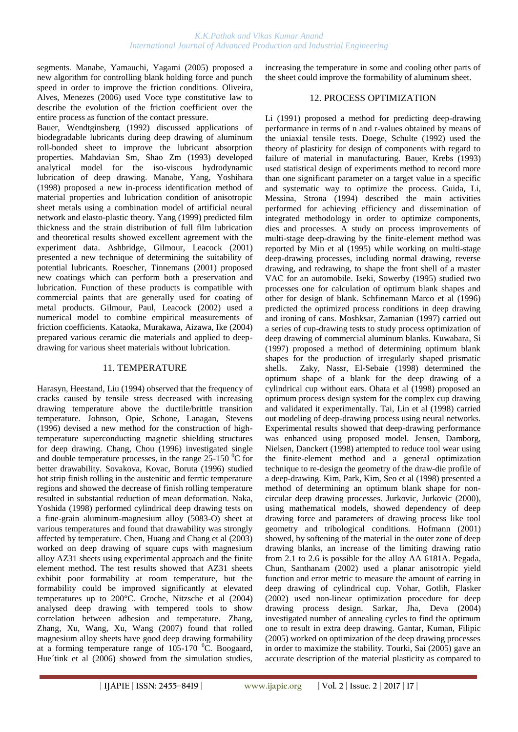segments. [Manabe,](http://apps.isiknowledge.com/WoS/CIW.cgi?SID=4F4DgpBnmJOk2a7nieI&Func=OneClickSearch&field=AU&val=Manabe+KI&ut=000233627200030&auloc=1&curr_doc=1/160&Form=FullRecordPage&doc=1/160) [Yamauchi,](http://apps.isiknowledge.com/WoS/CIW.cgi?SID=4F4DgpBnmJOk2a7nieI&Func=OneClickSearch&field=AU&val=Yamauchi+Y&ut=000233627200030&auloc=2&curr_doc=1/160&Form=FullRecordPage&doc=1/160) [Yagami](http://apps.isiknowledge.com/WoS/CIW.cgi?SID=4F4DgpBnmJOk2a7nieI&Func=OneClickSearch&field=AU&val=Yagami+T&ut=000233627200030&auloc=3&curr_doc=1/160&Form=FullRecordPage&doc=1/160) (2005) proposed a new algorithm for controlling blank holding force and punch speed in order to improve the friction conditions. [Oliveira,](http://apps.isiknowledge.com/WoS/CIW.cgi?SID=4F4DgpBnmJOk2a7nieI&Func=OneClickSearch&field=AU&val=Oliveira+MC&ut=000238056400286&auloc=1&curr_doc=1/105&Form=FullRecordPage&doc=1/105) [Alves,](http://apps.isiknowledge.com/WoS/CIW.cgi?SID=4F4DgpBnmJOk2a7nieI&Func=OneClickSearch&field=AU&val=Alves+JL&ut=000238056400286&auloc=2&curr_doc=1/105&Form=FullRecordPage&doc=1/105) [Menezes](http://apps.isiknowledge.com/WoS/CIW.cgi?SID=4F4DgpBnmJOk2a7nieI&Func=OneClickSearch&field=AU&val=Menezes+LF&ut=000238056400286&auloc=3&curr_doc=1/105&Form=FullRecordPage&doc=1/105) (2006) used Voce type constitutive law to describe the evolution of the friction coefficient over the entire process as function of the contact pressure.

[Bauer,](http://apps.isiknowledge.com/WoS/CIW.cgi?SID=1AJM5iKdKA546ePn1B6&Func=OneClickSearch&field=AU&val=BAUER+D&ut=A1992JA40400004&auloc=1&curr_doc=1/1130&Form=FullRecordPage&doc=1/1130) [Wendtginsberg](http://apps.isiknowledge.com/WoS/CIW.cgi?SID=1AJM5iKdKA546ePn1B6&Func=OneClickSearch&field=AU&val=WENDTGINSBERG+M&ut=A1992JA40400004&auloc=2&curr_doc=1/1130&Form=FullRecordPage&doc=1/1130) (1992) discussed applications of biodegradable lubricants during deep drawing of aluminum roll-bonded sheet to improve the lubricant absorption properties. [Mahdavian Sm,](http://apps.isiknowledge.com/WoS/CIW.cgi?SID=1AJM5iKdKA546ePn1B6&Func=OneClickSearch&field=AU&val=MAHDAVIAN+SM&ut=A1993KK63200016&auloc=1&curr_doc=1/1105&Form=FullRecordPage&doc=1/1105) [Shao Zm](http://apps.isiknowledge.com/WoS/CIW.cgi?SID=1AJM5iKdKA546ePn1B6&Func=OneClickSearch&field=AU&val=SHAO+ZM&ut=A1993KK63200016&auloc=2&curr_doc=1/1105&Form=FullRecordPage&doc=1/1105) (1993) developed analytical model for the iso-viscous hydrodynamic lubrication of deep drawing. [Manabe,](http://apps.isiknowledge.com/WoS/CIW.cgi?SID=2DkOCF9aP3omdaABJnA&Func=OneClickSearch&field=AU&val=Manabe+K&ut=000075700400070&auloc=1&curr_doc=1/806&Form=FullRecordPage&doc=1/806) [Yang,](http://apps.isiknowledge.com/WoS/CIW.cgi?SID=2DkOCF9aP3omdaABJnA&Func=OneClickSearch&field=AU&val=Yang+M&ut=000075700400070&auloc=2&curr_doc=1/806&Form=FullRecordPage&doc=1/806) [Yoshihara](http://apps.isiknowledge.com/WoS/CIW.cgi?SID=2DkOCF9aP3omdaABJnA&Func=OneClickSearch&field=AU&val=Yoshihara+S&ut=000075700400070&auloc=3&curr_doc=1/806&Form=FullRecordPage&doc=1/806)  (1998) proposed a new in-process identification method of material properties and lubrication condition of anisotropic sheet metals using a combination model of artificial neural network and elasto-plastic theory[. Yang \(1](http://apps.isiknowledge.com/WoS/CIW.cgi?SID=2DkOCF9aP3omdaABJnA&Func=OneClickSearch&field=AU&val=Yang+TS&ut=000082174500003&auloc=1&curr_doc=1/737&Form=FullRecordPage&doc=1/737)999) predicted film thickness and the strain distribution of full film lubrication and theoretical results showed excellent agreement with the experiment data. [Ashbridge,](http://apps.isiknowledge.com/WoS/CIW.cgi?SID=2DkOCF9aP3omdaABJnA&Func=OneClickSearch&field=AU&val=Ashbridge+MTJ&ut=000167767100002&auloc=1&curr_doc=1/610&Form=FullRecordPage&doc=1/610) [Gilmour,](http://apps.isiknowledge.com/WoS/CIW.cgi?SID=2DkOCF9aP3omdaABJnA&Func=OneClickSearch&field=AU&val=Gilmour+KR&ut=000167767100002&auloc=2&curr_doc=1/610&Form=FullRecordPage&doc=1/610) [Leacock](http://apps.isiknowledge.com/WoS/CIW.cgi?SID=2DkOCF9aP3omdaABJnA&Func=OneClickSearch&field=AU&val=Leacock+AG&ut=000167767100002&auloc=3&curr_doc=1/610&Form=FullRecordPage&doc=1/610) (2001) presented a new technique of determining the suitability of potential lubricants. [Roescher,](http://apps.isiknowledge.com/WoS/CIW.cgi?SID=2DkOCF9aP3omdaABJnA&Func=OneClickSearch&field=AU&val=Roescher+A&ut=000177046000013&auloc=1&curr_doc=1/489&Form=FullRecordPage&doc=1/489) [Tinnemans](http://apps.isiknowledge.com/WoS/CIW.cgi?SID=2DkOCF9aP3omdaABJnA&Func=OneClickSearch&field=AU&val=Tinnemans+AHA&ut=000177046000013&auloc=2&curr_doc=1/489&Form=FullRecordPage&doc=1/489) (2001) proposed new coatings which can perform both a preservation and lubrication. Function of these products is compatible with commercial paints that are generally used for coating of metal products. [Gilmour,](http://apps.isiknowledge.com/WoS/CIW.cgi?SID=2DkOCF9aP3omdaABJnA&Func=OneClickSearch&field=AU&val=Gilmour+KR&ut=000178565200024&auloc=1&curr_doc=1/463&Form=FullRecordPage&doc=1/463) [Paul,](http://apps.isiknowledge.com/WoS/CIW.cgi?SID=2DkOCF9aP3omdaABJnA&Func=OneClickSearch&field=AU&val=Paul+S&ut=000178565200024&auloc=2&curr_doc=1/463&Form=FullRecordPage&doc=1/463) [Leacock](http://apps.isiknowledge.com/WoS/CIW.cgi?SID=2DkOCF9aP3omdaABJnA&Func=OneClickSearch&field=AU&val=Leacock+AG&ut=000178565200024&auloc=3&curr_doc=1/463&Form=FullRecordPage&doc=1/463) (2002) used a numerical model to combine empirical measurements of friction coefficients. [Kataoka,](http://apps.isiknowledge.com/WoS/CIW.cgi?SID=2DkOCF9aP3omdaABJnA&Func=OneClickSearch&field=AU&val=Kataoka+S&ut=000189038100087&auloc=1&curr_doc=1/344&Form=FullRecordPage&doc=1/344) [Murakawa,](http://apps.isiknowledge.com/WoS/CIW.cgi?SID=2DkOCF9aP3omdaABJnA&Func=OneClickSearch&field=AU&val=Murakawa+M&ut=000189038100087&auloc=2&curr_doc=1/344&Form=FullRecordPage&doc=1/344) [Aizawa,](http://apps.isiknowledge.com/WoS/CIW.cgi?SID=2DkOCF9aP3omdaABJnA&Func=OneClickSearch&field=AU&val=Aizawa+T&ut=000189038100087&auloc=3&curr_doc=1/344&Form=FullRecordPage&doc=1/344) [Ike](http://apps.isiknowledge.com/WoS/CIW.cgi?SID=2DkOCF9aP3omdaABJnA&Func=OneClickSearch&field=AU&val=Ike+H&ut=000189038100087&auloc=4&curr_doc=1/344&Form=FullRecordPage&doc=1/344) (2004) prepared various ceramic die materials and applied to deepdrawing for various sheet materials without lubrication.

#### 11. TEMPERATURE

[Harasyn,](http://apps.isiknowledge.com/WoS/CIW.cgi?SID=1AJM5iKdKA546ePn1B6&Func=OneClickSearch&field=AU&val=HARASYN+DE&ut=A1994PP77500007&auloc=1&curr_doc=1/1039&Form=FullRecordPage&doc=1/1039) [Heestand,](http://apps.isiknowledge.com/WoS/CIW.cgi?SID=1AJM5iKdKA546ePn1B6&Func=OneClickSearch&field=AU&val=HEESTAND+RL&ut=A1994PP77500007&auloc=2&curr_doc=1/1039&Form=FullRecordPage&doc=1/1039) [Liu](http://apps.isiknowledge.com/WoS/CIW.cgi?SID=1AJM5iKdKA546ePn1B6&Func=OneClickSearch&field=AU&val=LIU+CT&ut=A1994PP77500007&auloc=3&curr_doc=1/1039&Form=FullRecordPage&doc=1/1039) (1994) observed that the frequency of cracks caused by tensile stress decreased with increasing drawing temperature above the ductile/brittle transition temperature. [Johnson,](http://apps.isiknowledge.com/WoS/CIW.cgi?SID=1AJM5iKdKA546ePn1B6&Func=OneClickSearch&field=AU&val=Johnson+DF&ut=A1996UJ41900010&auloc=1&curr_doc=1/969&Form=FullRecordPage&doc=1/969) [Opie,](http://apps.isiknowledge.com/WoS/CIW.cgi?SID=1AJM5iKdKA546ePn1B6&Func=OneClickSearch&field=AU&val=Opie+DB&ut=A1996UJ41900010&auloc=2&curr_doc=1/969&Form=FullRecordPage&doc=1/969) [Schone,](http://apps.isiknowledge.com/WoS/CIW.cgi?SID=1AJM5iKdKA546ePn1B6&Func=OneClickSearch&field=AU&val=Schone+HE&ut=A1996UJ41900010&auloc=3&curr_doc=1/969&Form=FullRecordPage&doc=1/969) [Lanagan,](http://apps.isiknowledge.com/WoS/CIW.cgi?SID=1AJM5iKdKA546ePn1B6&Func=OneClickSearch&field=AU&val=Lanagan+MT&ut=A1996UJ41900010&auloc=4&curr_doc=1/969&Form=FullRecordPage&doc=1/969) [Stevens](http://apps.isiknowledge.com/WoS/CIW.cgi?SID=1AJM5iKdKA546ePn1B6&Func=OneClickSearch&field=AU&val=Stevens+JC&ut=A1996UJ41900010&auloc=5&curr_doc=1/969&Form=FullRecordPage&doc=1/969) (1996) devised a new method for the construction of hightemperature superconducting magnetic shielding structures for deep drawing. [Chang,](http://apps.isiknowledge.com/WoS/CIW.cgi?SID=1AJM5iKdKA546ePn1B6&Func=OneClickSearch&field=AU&val=Chang+JS&ut=A1996UR12300005&auloc=1&curr_doc=1/960&Form=FullRecordPage&doc=1/960) [Chou \(](http://apps.isiknowledge.com/WoS/CIW.cgi?SID=1AJM5iKdKA546ePn1B6&Func=OneClickSearch&field=AU&val=Chou+SS&ut=A1996UR12300005&auloc=2&curr_doc=1/960&Form=FullRecordPage&doc=1/960)1996) investigated single and double temperature processes, in the range  $25{\text -}150$  °C for better drawability. [Sovakova,](http://apps.isiknowledge.com/WoS/CIW.cgi?SID=1AJM5iKdKA546ePn1B6&Func=OneClickSearch&field=AU&val=Sovakova+I&ut=A1996VK87300008&auloc=1&curr_doc=1/935&Form=FullRecordPage&doc=1/935) [Kovac,](http://apps.isiknowledge.com/WoS/CIW.cgi?SID=1AJM5iKdKA546ePn1B6&Func=OneClickSearch&field=AU&val=Kovac+F&ut=A1996VK87300008&auloc=2&curr_doc=1/935&Form=FullRecordPage&doc=1/935) [Boruta](http://apps.isiknowledge.com/WoS/CIW.cgi?SID=1AJM5iKdKA546ePn1B6&Func=OneClickSearch&field=AU&val=Boruta+J&ut=A1996VK87300008&auloc=3&curr_doc=1/935&Form=FullRecordPage&doc=1/935) (1996) studied hot strip finish rolling in the austenitic and ferrtic temperature regions and showed the decrease of finish rolling temperature resulted in substantial reduction of mean deformation. [Naka,](http://apps.isiknowledge.com/WoS/CIW.cgi?SID=2DkOCF9aP3omdaABJnA&Func=OneClickSearch&field=AU&val=Naka+T&ut=000074597700047&auloc=1&curr_doc=1/821&Form=FullRecordPage&doc=1/821) [Yoshida](http://apps.isiknowledge.com/WoS/CIW.cgi?SID=2DkOCF9aP3omdaABJnA&Func=OneClickSearch&field=AU&val=Yoshida+F&ut=000074597700047&auloc=2&curr_doc=1/821&Form=FullRecordPage&doc=1/821) (1998) performed cylindrical deep drawing tests on a fine-grain aluminum-magnesium alloy (5083-O) sheet at various temperatures and found that drawability was strongly affected by temperature. Chen, Huang and Chang et al (2003) worked on deep drawing of square cups with magnesium alloy AZ31 sheets using experimental approach and the finite element method. The test results showed that AZ31 sheets exhibit poor formability at room temperature, but the formability could be improved significantly at elevated temperatures up to 200°C. [Groche,](http://apps.isiknowledge.com/WoS/CIW.cgi?SID=4F4DgpBnmJOk2a7nieI&Func=OneClickSearch&field=AU&val=Groche+P&ut=000223017700006&auloc=1&curr_doc=1/298&Form=FullRecordPage&doc=1/298) [Nitzsche](http://apps.isiknowledge.com/WoS/CIW.cgi?SID=4F4DgpBnmJOk2a7nieI&Func=OneClickSearch&field=AU&val=Nitzsche+G&ut=000223017700006&auloc=2&curr_doc=1/298&Form=FullRecordPage&doc=1/298) et al (2004) analysed deep drawing with tempered tools to show correlation between adhesion and temperature. [Zhang,](http://apps.isiknowledge.com/WoS/CIW.cgi?SID=3Cic8Oijl8M@MI142Hp&Func=OneClickSearch&field=AU&val=Zhang+SH&ut=000245390000020&auloc=1&fullauth=%20(Zhang,%20S.%20H.)&curr_doc=1/27&Form=FullRecordPage&doc=1/27) [Zhang,](http://apps.isiknowledge.com/WoS/CIW.cgi?SID=3Cic8Oijl8M@MI142Hp&Func=OneClickSearch&field=AU&val=Zhang+K&ut=000245390000020&auloc=2&fullauth=%20(Zhang,%20K.)&curr_doc=1/27&Form=FullRecordPage&doc=1/27) [Xu,](http://apps.isiknowledge.com/WoS/CIW.cgi?SID=3Cic8Oijl8M@MI142Hp&Func=OneClickSearch&field=AU&val=Xu+YC&ut=000245390000020&auloc=3&fullauth=%20(Xu,%20Y.%20C.)&curr_doc=1/27&Form=FullRecordPage&doc=1/27) [Wang,](http://apps.isiknowledge.com/WoS/CIW.cgi?SID=3Cic8Oijl8M@MI142Hp&Func=OneClickSearch&field=AU&val=Wang+ZT&ut=000245390000020&auloc=4&fullauth=%20(Wang,%20Z.%20T.)&curr_doc=1/27&Form=FullRecordPage&doc=1/27) [Xu,](http://apps.isiknowledge.com/WoS/CIW.cgi?SID=3Cic8Oijl8M@MI142Hp&Func=OneClickSearch&field=AU&val=Xu+Y&ut=000245390000020&auloc=5&fullauth=%20(Xu,%20Y.)&curr_doc=1/27&Form=FullRecordPage&doc=1/27) [Wang](http://apps.isiknowledge.com/WoS/CIW.cgi?SID=3Cic8Oijl8M@MI142Hp&Func=OneClickSearch&field=AU&val=Wang+ZG&ut=000245390000020&auloc=6&fullauth=%20(Wang,%20Z.%20G.)&curr_doc=1/27&Form=FullRecordPage&doc=1/27) (2007) found that rolled magnesium alloy sheets have good deep drawing formability at a forming temperature range of  $105-170$   $\degree$ C. Boogaard, Hue'tink et al (2006) showed from the simulation studies, increasing the temperature in some and cooling other parts of the sheet could improve the formability of aluminum sheet.

# 12. PROCESS OPTIMIZATION

[Li \(](http://apps.isiknowledge.com/WoS/CIW.cgi?SID=1AJM5iKdKA546ePn1B6&Func=OneClickSearch&field=AU&val=LI+MQ&ut=A1991GA94200008&auloc=1&curr_doc=1/1160&Form=FullRecordPage&doc=1/1160)1991) proposed a method for predicting deep-drawing performance in terms of n and r-values obtained by means of the uniaxial tensile tests. [Doege,](http://apps.isiknowledge.com/WoS/CIW.cgi?SID=1AJM5iKdKA546ePn1B6&Func=OneClickSearch&field=AU&val=DOEGE+E&ut=A1992JQ97700056&auloc=1&curr_doc=1/1114&Form=FullRecordPage&doc=1/1114) [Schulte](http://apps.isiknowledge.com/WoS/CIW.cgi?SID=1AJM5iKdKA546ePn1B6&Func=OneClickSearch&field=AU&val=SCHULTE+S&ut=A1992JQ97700056&auloc=2&curr_doc=1/1114&Form=FullRecordPage&doc=1/1114) (1992) used the theory of plasticity for design of components with regard to failure of material in manufacturing. [Bauer,](http://apps.isiknowledge.com/WoS/CIW.cgi?SID=1AJM5iKdKA546ePn1B6&Func=OneClickSearch&field=AU&val=BAUER+D&ut=A1993MR21100004&auloc=1&curr_doc=1/1070&Form=FullRecordPage&doc=1/1070) [Krebs](http://apps.isiknowledge.com/WoS/CIW.cgi?SID=1AJM5iKdKA546ePn1B6&Func=OneClickSearch&field=AU&val=KREBS+R&ut=A1993MR21100004&auloc=2&curr_doc=1/1070&Form=FullRecordPage&doc=1/1070) (1993) used statistical design of experiments method to record more than one significant parameter on a target value in a specific and systematic way to optimize the process. [Guida,](http://apps.isiknowledge.com/WoS/CIW.cgi?SID=1AJM5iKdKA546ePn1B6&Func=OneClickSearch&field=AU&val=GUIDA+M&ut=A1994PD42300052&auloc=1&curr_doc=1/1050&Form=FullRecordPage&doc=1/1050) [Li,](http://apps.isiknowledge.com/WoS/CIW.cgi?SID=1AJM5iKdKA546ePn1B6&Func=OneClickSearch&field=AU&val=LI+X&ut=A1994PD42300052&auloc=2&curr_doc=1/1050&Form=FullRecordPage&doc=1/1050) [Messina,](http://apps.isiknowledge.com/WoS/CIW.cgi?SID=1AJM5iKdKA546ePn1B6&Func=OneClickSearch&field=AU&val=MESSINA+A&ut=A1994PD42300052&auloc=3&curr_doc=1/1050&Form=FullRecordPage&doc=1/1050) [Strona](http://apps.isiknowledge.com/WoS/CIW.cgi?SID=1AJM5iKdKA546ePn1B6&Func=OneClickSearch&field=AU&val=STRONA+PP&ut=A1994PD42300052&auloc=4&curr_doc=1/1050&Form=FullRecordPage&doc=1/1050) (1994) described the main activities performed for achieving efficiency and dissemination of integrated methodology in order to optimize components, dies and processes. A study on process improvements of multi-stage deep-drawing by the finite-element method was reported by Min et al (1995) while working on multi-stage deep-drawing processes, including normal drawing, reverse drawing, and redrawing, to shape the front shell of a master VAC for an automobile. [Iseki,](http://apps.isiknowledge.com/WoS/CIW.cgi?SID=1AJM5iKdKA546ePn1B6&Func=OneClickSearch&field=AU&val=ISEKI+H&ut=A1995TF11700010&auloc=1&curr_doc=1/986&Form=FullRecordPage&doc=1/986) [Sowerby](http://apps.isiknowledge.com/WoS/CIW.cgi?SID=1AJM5iKdKA546ePn1B6&Func=OneClickSearch&field=AU&val=SOWERBY+R&ut=A1995TF11700010&auloc=2&curr_doc=1/986&Form=FullRecordPage&doc=1/986) (1995) studied two processes one for calculation of optimum blank shapes and other for design of blank. Schfinemann Marco et al (1996) predicted the optimized process conditions in deep drawing and ironing of cans. [Moshksar,](http://apps.isiknowledge.com/WoS/CIW.cgi?SID=1AJM5iKdKA546ePn1B6&Func=OneClickSearch&field=AU&val=Moshksar+MM&ut=000071651500004&auloc=1&curr_doc=1/853&Form=FullRecordPage&doc=1/853) [Zamanian \(](http://apps.isiknowledge.com/WoS/CIW.cgi?SID=1AJM5iKdKA546ePn1B6&Func=OneClickSearch&field=AU&val=Zamanian+A&ut=000071651500004&auloc=2&curr_doc=1/853&Form=FullRecordPage&doc=1/853)1997) carried out a series of cup-drawing tests to study process optimization of deep drawing of commercial aluminum blanks. [Kuwabara,](http://apps.isiknowledge.com/WoS/CIW.cgi?SID=1AJM5iKdKA546ePn1B6&Func=OneClickSearch&field=AU&val=Kuwabara+T&ut=A1997WA73000013&auloc=1&curr_doc=1/920&Form=FullRecordPage&doc=1/920) [Si](http://apps.isiknowledge.com/WoS/CIW.cgi?SID=1AJM5iKdKA546ePn1B6&Func=OneClickSearch&field=AU&val=Si+WH&ut=A1997WA73000013&auloc=2&curr_doc=1/920&Form=FullRecordPage&doc=1/920) (1997) proposed a method of determining optimum blank shapes for the production of irregularly shaped prismatic shells. [Zaky,](http://apps.isiknowledge.com/WoS/CIW.cgi?SID=1AJM5iKdKA546ePn1B6&Func=OneClickSearch&field=AU&val=Zaky+AM&ut=000072777200035&auloc=1&curr_doc=1/846&Form=FullRecordPage&doc=1/846) [Nassr,](http://apps.isiknowledge.com/WoS/CIW.cgi?SID=1AJM5iKdKA546ePn1B6&Func=OneClickSearch&field=AU&val=Nassr+AB&ut=000072777200035&auloc=2&curr_doc=1/846&Form=FullRecordPage&doc=1/846) [El-Sebaie](http://apps.isiknowledge.com/WoS/CIW.cgi?SID=1AJM5iKdKA546ePn1B6&Func=OneClickSearch&field=AU&val=El-Sebaie+MG&ut=000072777200035&auloc=3&curr_doc=1/846&Form=FullRecordPage&doc=1/846) (1998) determined the optimum shape of a blank for the deep drawing of a cylindrical cup without ears. Ohata et al (1998) proposed an optimum process design system for the complex cup drawing and validated it experimentally. [Tai,](http://apps.isiknowledge.com/WoS/CIW.cgi?SID=2DkOCF9aP3omdaABJnA&Func=OneClickSearch&field=AU&val=Tai+CC&ut=000074917500002&auloc=1&curr_doc=1/814&Form=FullRecordPage&doc=1/814) [Lin](http://apps.isiknowledge.com/WoS/CIW.cgi?SID=2DkOCF9aP3omdaABJnA&Func=OneClickSearch&field=AU&val=Lin+JC&ut=000074917500002&auloc=2&curr_doc=1/814&Form=FullRecordPage&doc=1/814) et al (1998) carried out modeling of deep-drawing process using neural networks. Experimental results showed that deep-drawing performance was enhanced using proposed model. [Jensen,](http://apps.isiknowledge.com/WoS/CIW.cgi?SID=2DkOCF9aP3omdaABJnA&Func=OneClickSearch&field=AU&val=Jensen+MR&ut=000076192500011&auloc=1&curr_doc=1/795&Form=FullRecordPage&doc=1/795) [Damborg,](http://apps.isiknowledge.com/WoS/CIW.cgi?SID=2DkOCF9aP3omdaABJnA&Func=OneClickSearch&field=AU&val=Damborg+FF&ut=000076192500011&auloc=2&curr_doc=1/795&Form=FullRecordPage&doc=1/795) [Nielsen,](http://apps.isiknowledge.com/WoS/CIW.cgi?SID=2DkOCF9aP3omdaABJnA&Func=OneClickSearch&field=AU&val=Nielsen+KB&ut=000076192500011&auloc=3&curr_doc=1/795&Form=FullRecordPage&doc=1/795) [Danckert](http://apps.isiknowledge.com/WoS/CIW.cgi?SID=2DkOCF9aP3omdaABJnA&Func=OneClickSearch&field=AU&val=Danckert+J&ut=000076192500011&auloc=4&curr_doc=1/795&Form=FullRecordPage&doc=1/795) (1998) attempted to reduce tool wear using the finite-element method and a general optimization technique to re-design the geometry of the draw-die profile of a deep-drawing. [Kim,](http://apps.isiknowledge.com/WoS/CIW.cgi?SID=1AJM5iKdKA546ePn1B6&Func=OneClickSearch&field=AU&val=Kim+S&ut=000072750200012&auloc=1&curr_doc=1/845&Form=FullRecordPage&doc=1/845) [Park,](http://apps.isiknowledge.com/WoS/CIW.cgi?SID=1AJM5iKdKA546ePn1B6&Func=OneClickSearch&field=AU&val=Park+M&ut=000072750200012&auloc=2&curr_doc=1/845&Form=FullRecordPage&doc=1/845) [Kim,](http://apps.isiknowledge.com/WoS/CIW.cgi?SID=1AJM5iKdKA546ePn1B6&Func=OneClickSearch&field=AU&val=Kim+S&ut=000072750200012&auloc=3&curr_doc=1/845&Form=FullRecordPage&doc=1/845) [Seo](http://apps.isiknowledge.com/WoS/CIW.cgi?SID=1AJM5iKdKA546ePn1B6&Func=OneClickSearch&field=AU&val=Seo+D&ut=000072750200012&auloc=4&curr_doc=1/845&Form=FullRecordPage&doc=1/845) et al (1998) presented a method of determining an optimum blank shape for noncircular deep drawing processes. [Jurkovic,](http://apps.isiknowledge.com/WoS/CIW.cgi?SID=2DkOCF9aP3omdaABJnA&Func=OneClickSearch&field=AU&val=Jurkovic+Z&ut=000089462100002&auloc=1&curr_doc=1/654&Form=FullRecordPage&doc=1/654) [Jurkovic](http://apps.isiknowledge.com/WoS/CIW.cgi?SID=2DkOCF9aP3omdaABJnA&Func=OneClickSearch&field=AU&val=Jurkovic+M&ut=000089462100002&auloc=2&curr_doc=1/654&Form=FullRecordPage&doc=1/654) (2000), using mathematical models, showed dependency of deep drawing force and parameters of drawing process like tool geometry and tribological conditions. [Hofmann](http://apps.isiknowledge.com/WoS/CIW.cgi?SID=2DkOCF9aP3omdaABJnA&Func=OneClickSearch&field=AU&val=Hofmann+A&ut=000173193400019&auloc=1&curr_doc=1/530&Form=FullRecordPage&doc=1/530) (2001) showed, by softening of the material in the outer zone of deep drawing blanks, an increase of the limiting drawing ratio from 2.1 to 2.6 is possible for the alloy AA 6181A. [Pegada,](http://apps.isiknowledge.com/WoS/CIW.cgi?SID=2DkOCF9aP3omdaABJnA&Func=OneClickSearch&field=AU&val=Pegada+V&ut=000178405200107&auloc=1&curr_doc=1/476&Form=FullRecordPage&doc=1/476) [Chun,](http://apps.isiknowledge.com/WoS/CIW.cgi?SID=2DkOCF9aP3omdaABJnA&Func=OneClickSearch&field=AU&val=Chun+Y&ut=000178405200107&auloc=2&curr_doc=1/476&Form=FullRecordPage&doc=1/476) [Santhanam](http://apps.isiknowledge.com/WoS/CIW.cgi?SID=2DkOCF9aP3omdaABJnA&Func=OneClickSearch&field=AU&val=Santhanam+S&ut=000178405200107&auloc=3&curr_doc=1/476&Form=FullRecordPage&doc=1/476) (2002) used a planar anisotropic yield function and error metric to measure the amount of earring in deep drawing of cylindrical cup. [Vohar,](http://apps.isiknowledge.com/WoS/CIW.cgi?SID=2DkOCF9aP3omdaABJnA&Func=OneClickSearch&field=AU&val=Vohar+B&ut=000182113400005&auloc=1&curr_doc=1/421&Form=FullRecordPage&doc=1/421) [Gotlih,](http://apps.isiknowledge.com/WoS/CIW.cgi?SID=2DkOCF9aP3omdaABJnA&Func=OneClickSearch&field=AU&val=Gotlih+K&ut=000182113400005&auloc=2&curr_doc=1/421&Form=FullRecordPage&doc=1/421) [Flasker](http://apps.isiknowledge.com/WoS/CIW.cgi?SID=2DkOCF9aP3omdaABJnA&Func=OneClickSearch&field=AU&val=Flasker+J&ut=000182113400005&auloc=3&curr_doc=1/421&Form=FullRecordPage&doc=1/421)  (2002) used non-linear optimization procedure for deep drawing process design. [Sarkar,](http://apps.isiknowledge.com/WoS/CIW.cgi?SID=2FlDIFKMAffmlO8GHpf&Func=OneClickSearch&field=AU&val=Sarkar+B&ut=000221836800015&auloc=1&curr_doc=1/320&Form=FullRecordPage&doc=1/320) [Jha,](http://apps.isiknowledge.com/WoS/CIW.cgi?SID=2FlDIFKMAffmlO8GHpf&Func=OneClickSearch&field=AU&val=Jha+B&ut=000221836800015&auloc=2&curr_doc=1/320&Form=FullRecordPage&doc=1/320) [Deva](http://apps.isiknowledge.com/WoS/CIW.cgi?SID=2FlDIFKMAffmlO8GHpf&Func=OneClickSearch&field=AU&val=Deva+A&ut=000221836800015&auloc=3&curr_doc=1/320&Form=FullRecordPage&doc=1/320) (2004) investigated number of annealing cycles to find the optimum one to result in extra deep drawing. [Gantar,](http://apps.isiknowledge.com/WoS/CIW.cgi?SID=4F4DgpBnmJOk2a7nieI&Func=OneClickSearch&field=AU&val=Gantar+G&ut=000229609100079&auloc=1&curr_doc=1/212&Form=FullRecordPage&doc=1/212) [Kuman,](http://apps.isiknowledge.com/WoS/CIW.cgi?SID=4F4DgpBnmJOk2a7nieI&Func=OneClickSearch&field=AU&val=Kuman+K&ut=000229609100079&auloc=2&curr_doc=1/212&Form=FullRecordPage&doc=1/212) [Filipic](http://apps.isiknowledge.com/WoS/CIW.cgi?SID=4F4DgpBnmJOk2a7nieI&Func=OneClickSearch&field=AU&val=Filipic+B&ut=000229609100079&auloc=3&curr_doc=1/212&Form=FullRecordPage&doc=1/212) (2005) worked on optimization of the deep drawing processes in order to maximize the stability. [Tourki,](http://apps.isiknowledge.com/WoS/CIW.cgi?SID=4F4DgpBnmJOk2a7nieI&Func=OneClickSearch&field=AU&val=Tourki+Z&ut=000232380500003&auloc=1&curr_doc=1/174&Form=FullRecordPage&doc=1/174) [Sai](http://apps.isiknowledge.com/WoS/CIW.cgi?SID=4F4DgpBnmJOk2a7nieI&Func=OneClickSearch&field=AU&val=Sai+K&ut=000232380500003&auloc=2&curr_doc=1/174&Form=FullRecordPage&doc=1/174) (2005) gave an accurate description of the material plasticity as compared to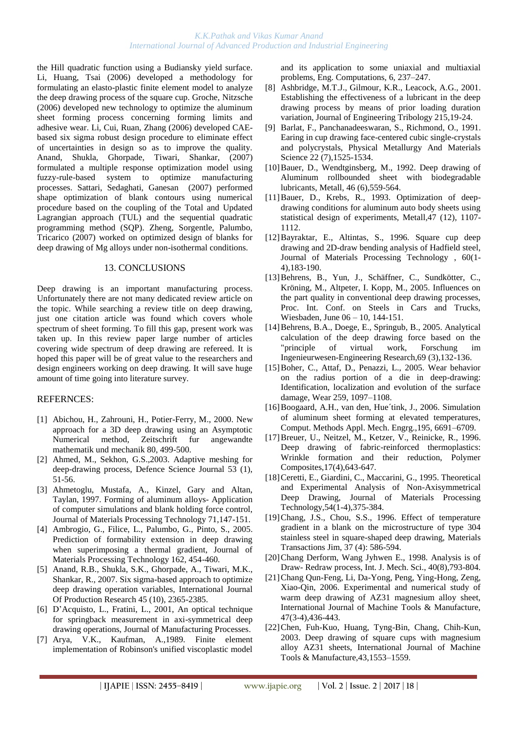#### *K.K.Pathak and Vikas Kumar Anand International Journal of Advanced Production and Industrial Engineering*

the Hill quadratic function using a Budiansky yield surface. [Li,](http://apps.isiknowledge.com/WoS/CIW.cgi?SID=4F4DgpBnmJOk2a7nieI&Func=OneClickSearch&field=AU&val=Li+CL&ut=000235279200122&auloc=1&curr_doc=1/135&Form=FullRecordPage&doc=1/135) [Huang,](http://apps.isiknowledge.com/WoS/CIW.cgi?SID=4F4DgpBnmJOk2a7nieI&Func=OneClickSearch&field=AU&val=Huang+YM&ut=000235279200122&auloc=2&curr_doc=1/135&Form=FullRecordPage&doc=1/135) [Tsai \(](http://apps.isiknowledge.com/WoS/CIW.cgi?SID=4F4DgpBnmJOk2a7nieI&Func=OneClickSearch&field=AU&val=Tsai+YW&ut=000235279200122&auloc=3&curr_doc=1/135&Form=FullRecordPage&doc=1/135)2006) developed a methodology for formulating an elasto-plastic finite element model to analyze the deep drawing process of the square cup. Groche, [Nitzsche](http://apps.isiknowledge.com/WoS/CIW.cgi?SID=4F4DgpBnmJOk2a7nieI&Func=OneClickSearch&field=AU&val=Nitzsche+G&ut=000236450500007&auloc=2&curr_doc=1/123&Form=FullRecordPage&doc=1/123) (2006) developed new technology to optimize the aluminum sheet forming process concerning forming limits and adhesive wear. [Li,](http://apps.isiknowledge.com/WoS/CIW.cgi?SID=4F4DgpBnmJOk2a7nieI&Func=OneClickSearch&field=AU&val=Li+YQ&ut=000240556200006&auloc=1&fullauth=%20(Li,%20Y.%20Q.)&curr_doc=1/77&Form=FullRecordPage&doc=1/77) [Cui,](http://apps.isiknowledge.com/WoS/CIW.cgi?SID=4F4DgpBnmJOk2a7nieI&Func=OneClickSearch&field=AU&val=Cui+ZS&ut=000240556200006&auloc=2&fullauth=%20(Cui,%20Z.%20S.)&curr_doc=1/77&Form=FullRecordPage&doc=1/77) [Ruan,](http://apps.isiknowledge.com/WoS/CIW.cgi?SID=4F4DgpBnmJOk2a7nieI&Func=OneClickSearch&field=AU&val=Ruan+XY&ut=000240556200006&auloc=3&fullauth=%20(Ruan,%20X.%20Y.)&curr_doc=1/77&Form=FullRecordPage&doc=1/77) [Zhang](http://apps.isiknowledge.com/WoS/CIW.cgi?SID=4F4DgpBnmJOk2a7nieI&Func=OneClickSearch&field=AU&val=Zhang+DJ&ut=000240556200006&auloc=4&fullauth=%20(Zhang,%20D.%20J.)&curr_doc=1/77&Form=FullRecordPage&doc=1/77) (2006) developed CAEbased six sigma robust design procedure to eliminate effect of uncertainties in design so as to improve the quality. [Anand,](http://apps.isiknowledge.com/WoS/CIW.cgi?SID=3Cic8Oijl8M@MI142Hp&Func=OneClickSearch&field=AU&val=Anand+RB&ut=000246549300011&auloc=1&fullauth=%20(Anand,%20Raj%20Bardhan)&curr_doc=1/23&Form=FullRecordPage&doc=1/23) [Shukla,](http://apps.isiknowledge.com/WoS/CIW.cgi?SID=3Cic8Oijl8M@MI142Hp&Func=OneClickSearch&field=AU&val=Shukla+SK&ut=000246549300011&auloc=2&fullauth=%20(Shukla,%20Sanjay%20Kumar)&curr_doc=1/23&Form=FullRecordPage&doc=1/23) [Ghorpade,](http://apps.isiknowledge.com/WoS/CIW.cgi?SID=3Cic8Oijl8M@MI142Hp&Func=OneClickSearch&field=AU&val=Ghorpade+A&ut=000246549300011&auloc=3&fullauth=%20(Ghorpade,%20Amol)&curr_doc=1/23&Form=FullRecordPage&doc=1/23) [Tiwari,](http://apps.isiknowledge.com/WoS/CIW.cgi?SID=3Cic8Oijl8M@MI142Hp&Func=OneClickSearch&field=AU&val=Tiwari+MK&ut=000246549300011&auloc=4&fullauth=%20(Tiwari,%20M.%20K.)&curr_doc=1/23&Form=FullRecordPage&doc=1/23) [Shankar, \(2007\)](http://apps.isiknowledge.com/WoS/CIW.cgi?SID=3Cic8Oijl8M@MI142Hp&Func=OneClickSearch&field=AU&val=Shankar+R&ut=000246549300011&auloc=5&fullauth=%20(Shankar,%20Ravi)&curr_doc=1/23&Form=FullRecordPage&doc=1/23)  [formulated a multiple response optimization model using](http://apps.isiknowledge.com/WoS/CIW.cgi?SID=3Cic8Oijl8M@MI142Hp&Func=OneClickSearch&field=AU&val=Shankar+R&ut=000246549300011&auloc=5&fullauth=%20(Shankar,%20Ravi)&curr_doc=1/23&Form=FullRecordPage&doc=1/23)  [fuzzy-rule-based system to optimize manufacturing](http://apps.isiknowledge.com/WoS/CIW.cgi?SID=3Cic8Oijl8M@MI142Hp&Func=OneClickSearch&field=AU&val=Shankar+R&ut=000246549300011&auloc=5&fullauth=%20(Shankar,%20Ravi)&curr_doc=1/23&Form=FullRecordPage&doc=1/23)  [processes. Sattari, Sedaghati, Ganesan \(2007\) performed](http://apps.isiknowledge.com/WoS/CIW.cgi?SID=3Cic8Oijl8M@MI142Hp&Func=OneClickSearch&field=AU&val=Shankar+R&ut=000246549300011&auloc=5&fullauth=%20(Shankar,%20Ravi)&curr_doc=1/23&Form=FullRecordPage&doc=1/23)  [shape optimization of blank contours using numerical](http://apps.isiknowledge.com/WoS/CIW.cgi?SID=3Cic8Oijl8M@MI142Hp&Func=OneClickSearch&field=AU&val=Shankar+R&ut=000246549300011&auloc=5&fullauth=%20(Shankar,%20Ravi)&curr_doc=1/23&Form=FullRecordPage&doc=1/23)  [procedure based on the coupling of the Total and Updated](http://apps.isiknowledge.com/WoS/CIW.cgi?SID=3Cic8Oijl8M@MI142Hp&Func=OneClickSearch&field=AU&val=Shankar+R&ut=000246549300011&auloc=5&fullauth=%20(Shankar,%20Ravi)&curr_doc=1/23&Form=FullRecordPage&doc=1/23)  [Lagrangian approach \(TUL\) and the sequential quadratic](http://apps.isiknowledge.com/WoS/CIW.cgi?SID=3Cic8Oijl8M@MI142Hp&Func=OneClickSearch&field=AU&val=Shankar+R&ut=000246549300011&auloc=5&fullauth=%20(Shankar,%20Ravi)&curr_doc=1/23&Form=FullRecordPage&doc=1/23)  [programming method \(SQP\). Zheng, Sorgentle, Palumbo,](http://apps.isiknowledge.com/WoS/CIW.cgi?SID=3Cic8Oijl8M@MI142Hp&Func=OneClickSearch&field=AU&val=Shankar+R&ut=000246549300011&auloc=5&fullauth=%20(Shankar,%20Ravi)&curr_doc=1/23&Form=FullRecordPage&doc=1/23)  [Tricarico \(2007\) worked on optimized design of blanks for](http://apps.isiknowledge.com/WoS/CIW.cgi?SID=3Cic8Oijl8M@MI142Hp&Func=OneClickSearch&field=AU&val=Shankar+R&ut=000246549300011&auloc=5&fullauth=%20(Shankar,%20Ravi)&curr_doc=1/23&Form=FullRecordPage&doc=1/23)  [deep drawing of Mg alloys under non-isothermal conditions.](http://apps.isiknowledge.com/WoS/CIW.cgi?SID=3Cic8Oijl8M@MI142Hp&Func=OneClickSearch&field=AU&val=Shankar+R&ut=000246549300011&auloc=5&fullauth=%20(Shankar,%20Ravi)&curr_doc=1/23&Form=FullRecordPage&doc=1/23) 

#### 13. CONCLUSIONS

Deep drawing is an important manufacturing process. Unfortunately there are not many dedicated review article on the topic. While searching a review title on deep drawing, just one citation article was found which covers whole spectrum of sheet forming. To fill this gap, present work was taken up. In this review paper large number of articles covering wide spectrum of deep drawing are refereed. It is hoped this paper will be of great value to the researchers and design engineers working on deep drawing. It will save huge amount of time going into literature survey.

# REFERNCES:

- [1] [Abichou, H.](http://apps.isiknowledge.com/WoS/CIW.cgi?SID=2DkOCF9aP3omdaABJnA&Func=OneClickSearch&field=AU&val=Abichou+H&ut=000086621100118&auloc=1&curr_doc=1/677&Form=FullRecordPage&doc=1/677), [Zahrouni, H.](http://apps.isiknowledge.com/WoS/CIW.cgi?SID=2DkOCF9aP3omdaABJnA&Func=OneClickSearch&field=AU&val=Zahrouni+H&ut=000086621100118&auloc=2&curr_doc=1/677&Form=FullRecordPage&doc=1/677), [Potier-Ferry, M.](http://apps.isiknowledge.com/WoS/CIW.cgi?SID=2DkOCF9aP3omdaABJnA&Func=OneClickSearch&field=AU&val=Potier-Ferry+M&ut=000086621100118&auloc=3&curr_doc=1/677&Form=FullRecordPage&doc=1/677), 2000. New approach for a 3D deep drawing using an Asymptotic Numerical method, Zeitschrift fur angewandte mathematik und mechanik 80, 499-500.
- [2] [Ahmed, M.](http://apps.isiknowledge.com/WoS/CIW.cgi?SID=2DkOCF9aP3omdaABJnA&Func=OneClickSearch&field=AU&val=Ahmed+M&ut=000181587100008&auloc=1&curr_doc=1/425&Form=FullRecordPage&doc=1/425), [Sekhon, G.S.,](http://apps.isiknowledge.com/WoS/CIW.cgi?SID=2DkOCF9aP3omdaABJnA&Func=OneClickSearch&field=AU&val=Sekhon+GS&ut=000181587100008&auloc=2&curr_doc=1/425&Form=FullRecordPage&doc=1/425)2003. Adaptive meshing for deep-drawing process, Defence Science Journal 53 (1), 51-56.
- [3] Ahmetoglu, Mustafa, A., Kinzel, Gary and Altan, Taylan, 1997. Forming of aluminum alloys- Application of computer simulations and blank holding force control, Journal of Materials Processing Technology 71,147-151.
- [4] [Ambrogio, G.](http://apps.isiknowledge.com/WoS/CIW.cgi?SID=4F4DgpBnmJOk2a7nieI&Func=OneClickSearch&field=AU&val=Ambrogio+G&ut=000229375500072&auloc=1&curr_doc=1/218&Form=FullRecordPage&doc=1/218), [Filice, L.,](http://apps.isiknowledge.com/WoS/CIW.cgi?SID=4F4DgpBnmJOk2a7nieI&Func=OneClickSearch&field=AU&val=Filice+L&ut=000229375500072&auloc=2&curr_doc=1/218&Form=FullRecordPage&doc=1/218) [Palumbo, G.,](http://apps.isiknowledge.com/WoS/CIW.cgi?SID=4F4DgpBnmJOk2a7nieI&Func=OneClickSearch&field=AU&val=Palumbo+G&ut=000229375500072&auloc=3&curr_doc=1/218&Form=FullRecordPage&doc=1/218) [Pinto, S.](http://apps.isiknowledge.com/WoS/CIW.cgi?SID=4F4DgpBnmJOk2a7nieI&Func=OneClickSearch&field=AU&val=Pinto+S&ut=000229375500072&auloc=4&curr_doc=1/218&Form=FullRecordPage&doc=1/218), 2005. Prediction of formability extension in deep drawing when superimposing a thermal gradient, Journal of Materials Processing Technology 162, 454-460.
- [5] [Anand,](http://apps.isiknowledge.com/WoS/CIW.cgi?SID=3Cic8Oijl8M@MI142Hp&Func=OneClickSearch&field=AU&val=Anand+RB&ut=000246549300011&auloc=1&fullauth=%20(Anand,%20Raj%20Bardhan)&curr_doc=1/23&Form=FullRecordPage&doc=1/23) R.B., [Shukla, S.K.](http://apps.isiknowledge.com/WoS/CIW.cgi?SID=3Cic8Oijl8M@MI142Hp&Func=OneClickSearch&field=AU&val=Shukla+SK&ut=000246549300011&auloc=2&fullauth=%20(Shukla,%20Sanjay%20Kumar)&curr_doc=1/23&Form=FullRecordPage&doc=1/23), [Ghorpade, A.,](http://apps.isiknowledge.com/WoS/CIW.cgi?SID=3Cic8Oijl8M@MI142Hp&Func=OneClickSearch&field=AU&val=Ghorpade+A&ut=000246549300011&auloc=3&fullauth=%20(Ghorpade,%20Amol)&curr_doc=1/23&Form=FullRecordPage&doc=1/23) [Tiwari, M.K.](http://apps.isiknowledge.com/WoS/CIW.cgi?SID=3Cic8Oijl8M@MI142Hp&Func=OneClickSearch&field=AU&val=Tiwari+MK&ut=000246549300011&auloc=4&fullauth=%20(Tiwari,%20M.%20K.)&curr_doc=1/23&Form=FullRecordPage&doc=1/23), [Shankar, R.](http://apps.isiknowledge.com/WoS/CIW.cgi?SID=3Cic8Oijl8M@MI142Hp&Func=OneClickSearch&field=AU&val=Shankar+R&ut=000246549300011&auloc=5&fullauth=%20(Shankar,%20Ravi)&curr_doc=1/23&Form=FullRecordPage&doc=1/23), 2007. Six sigma-based approach to optimize deep drawing operation variables, International Journal Of Production Research 45 (10), 2365-2385.
- [6] D['Acquisto, L.](http://findarticles.com/p/search?tb=art&qt=%22D%27Acquisto%2C+L%22), [Fratini, L.,](http://findarticles.com/p/search?tb=art&qt=%22Fratini%2C+L%22) [2001,](http://findarticles.com/p/articles/mi_qa3963/is_200101) An optical technique for springback measurement in axi-symmetrical deep drawing operations, [Journal of Manufacturing Processes.](http://findarticles.com/p/articles/mi_qa3963)
- [7] Arya, V.K., Kaufman, A.,1989. Finite element implementation of Robinson's unified viscoplastic model

and its application to some uniaxial and multiaxial problems, Eng. Computations, 6, 237–247.

- [8] [Ashbridge, M.T.J.](http://apps.isiknowledge.com/WoS/CIW.cgi?SID=2DkOCF9aP3omdaABJnA&Func=OneClickSearch&field=AU&val=Ashbridge+MTJ&ut=000167767100002&auloc=1&curr_doc=1/610&Form=FullRecordPage&doc=1/610), [Gilmour, K.R.](http://apps.isiknowledge.com/WoS/CIW.cgi?SID=2DkOCF9aP3omdaABJnA&Func=OneClickSearch&field=AU&val=Gilmour+KR&ut=000167767100002&auloc=2&curr_doc=1/610&Form=FullRecordPage&doc=1/610), [Leacock, A.G.](http://apps.isiknowledge.com/WoS/CIW.cgi?SID=2DkOCF9aP3omdaABJnA&Func=OneClickSearch&field=AU&val=Leacock+AG&ut=000167767100002&auloc=3&curr_doc=1/610&Form=FullRecordPage&doc=1/610), 2001. Establishing the effectiveness of a lubricant in the deep drawing process by means of prior loading duration variation, Journal of Engineering Tribology 215,19-24.
- [9] [Barlat, F.](http://apps.isiknowledge.com/WoS/CIW.cgi?SID=1AJM5iKdKA546ePn1B6&Func=OneClickSearch&field=AU&val=BARLAT+F&ut=A1991FV34900006&auloc=1&curr_doc=1/1165&Form=FullRecordPage&doc=1/1165), [Panchanadeeswaran, S.](http://apps.isiknowledge.com/WoS/CIW.cgi?SID=1AJM5iKdKA546ePn1B6&Func=OneClickSearch&field=AU&val=PANCHANADEESWARAN+S&ut=A1991FV34900006&auloc=2&curr_doc=1/1165&Form=FullRecordPage&doc=1/1165), [Richmond, O.](http://apps.isiknowledge.com/WoS/CIW.cgi?SID=1AJM5iKdKA546ePn1B6&Func=OneClickSearch&field=AU&val=RICHMOND+O&ut=A1991FV34900006&auloc=3&curr_doc=1/1165&Form=FullRecordPage&doc=1/1165), 1991. Earing in cup drawing face-centered cubic single-crystals and polycrystals, Physical Metallurgy And Materials Science 22 (7), 1525-1534.
- [10] Bauer, D., [Wendtginsberg, M.](http://apps.isiknowledge.com/WoS/CIW.cgi?SID=1AJM5iKdKA546ePn1B6&Func=OneClickSearch&field=AU&val=WENDTGINSBERG+M&ut=A1992JA40400004&auloc=2&curr_doc=1/1130&Form=FullRecordPage&doc=1/1130), 1992. Deep drawing of Aluminum rollbounded sheet with biodegradable lubricants, Metall, 46 (6),559-564.
- [11[\]Bauer, D.](http://apps.isiknowledge.com/WoS/CIW.cgi?SID=1AJM5iKdKA546ePn1B6&Func=OneClickSearch&field=AU&val=BAUER+D&ut=A1993MR21100004&auloc=1&curr_doc=1/1070&Form=FullRecordPage&doc=1/1070), [Krebs, R.](http://apps.isiknowledge.com/WoS/CIW.cgi?SID=1AJM5iKdKA546ePn1B6&Func=OneClickSearch&field=AU&val=KREBS+R&ut=A1993MR21100004&auloc=2&curr_doc=1/1070&Form=FullRecordPage&doc=1/1070), 1993. Optimization of deepdrawing conditions for aluminum auto body sheets using statistical design of experiments, Metall,47 (12), 1107- 1112.
- [12]Bayraktar, E., Altintas, S., 1996. Square cup deep drawing and 2D-draw bending analysis of Hadfield steel, [Journal of Materials Processing Technology](http://www.sciencedirect.com/science/journal/09240136) , 60(1- 4),183-190.
- [13]Behrens, B., Yun, J., Schäffner, C., Sundkötter, C., Kröning, M., Altpeter, I. Kopp, M., 2005. Influences on the part quality in conventional deep drawing processes, Proc. Int. Conf. on Steels in Cars and Trucks, Wiesbaden, June 06 – 10, 144-151.
- [14[\]Behrens, B.A.](http://apps.isiknowledge.com/WoS/CIW.cgi?SID=4F4DgpBnmJOk2a7nieI&Func=OneClickSearch&field=AU&val=Behrens+BA&ut=000230592900002&auloc=1&curr_doc=1/201&Form=FullRecordPage&doc=1/201), [Doege, E.](http://apps.isiknowledge.com/WoS/CIW.cgi?SID=4F4DgpBnmJOk2a7nieI&Func=OneClickSearch&field=AU&val=Doege+E&ut=000230592900002&auloc=2&curr_doc=1/201&Form=FullRecordPage&doc=1/201), [Springub, B.,](http://apps.isiknowledge.com/WoS/CIW.cgi?SID=4F4DgpBnmJOk2a7nieI&Func=OneClickSearch&field=AU&val=Springub+B&ut=000230592900002&auloc=3&curr_doc=1/201&Form=FullRecordPage&doc=1/201) 2005. Analytical calculation of the deep drawing force based on the "principle of virtual work, Forschung im Ingenieurwesen-Engineering Research,69 (3),132-136.
- [15]Boher, C., Attaf, D., Penazzi, L., 2005. Wear behavior on the radius portion of a die in deep-drawing: Identification, localization and evolution of the surface damage, Wear 259, 1097–1108.
- [16]Boogaard, A.H., van den, Hue´tink, J., 2006. Simulation of aluminum sheet forming at elevated temperatures, Comput. Methods Appl. Mech. Engrg.,195, 6691–6709.
- [17[\]Breuer, U.,](http://apps.isiknowledge.com/WoS/CIW.cgi?SID=1AJM5iKdKA546ePn1B6&Func=OneClickSearch&field=AU&val=Breuer+U&ut=A1996VC39100012&auloc=1&curr_doc=1/939&Form=FullRecordPage&doc=1/939) [Neitzel, M.](http://apps.isiknowledge.com/WoS/CIW.cgi?SID=1AJM5iKdKA546ePn1B6&Func=OneClickSearch&field=AU&val=Neitzel+M&ut=A1996VC39100012&auloc=2&curr_doc=1/939&Form=FullRecordPage&doc=1/939), [Ketzer, V.](http://apps.isiknowledge.com/WoS/CIW.cgi?SID=1AJM5iKdKA546ePn1B6&Func=OneClickSearch&field=AU&val=Ketzer+V&ut=A1996VC39100012&auloc=3&curr_doc=1/939&Form=FullRecordPage&doc=1/939), [Reinicke, R.](http://apps.isiknowledge.com/WoS/CIW.cgi?SID=1AJM5iKdKA546ePn1B6&Func=OneClickSearch&field=AU&val=Reinicke+R&ut=A1996VC39100012&auloc=4&curr_doc=1/939&Form=FullRecordPage&doc=1/939), 1996. Deep drawing of fabric-reinforced thermoplastics: Wrinkle formation and their reduction, Polymer Composites,17(4),643-647.
- [18[\]Ceretti, E.](http://apps.isiknowledge.com/WoS/CIW.cgi?SID=1AJM5iKdKA546ePn1B6&Func=OneClickSearch&field=AU&val=Ceretti+E&ut=A1995TP97400054&auloc=1&curr_doc=1/981&Form=FullRecordPage&doc=1/981), [Giardini, C.](http://apps.isiknowledge.com/WoS/CIW.cgi?SID=1AJM5iKdKA546ePn1B6&Func=OneClickSearch&field=AU&val=Giardini+C&ut=A1995TP97400054&auloc=2&curr_doc=1/981&Form=FullRecordPage&doc=1/981), [Maccarini, G.,](http://apps.isiknowledge.com/WoS/CIW.cgi?SID=1AJM5iKdKA546ePn1B6&Func=OneClickSearch&field=AU&val=Maccarini+G&ut=A1995TP97400054&auloc=3&curr_doc=1/981&Form=FullRecordPage&doc=1/981) 1995. Theoretical and Experimental Analysis of Non-Axisymmetrical Deep Drawing, Journal of Materials Processing Technology,54(1-4),375-384.
- [19[\]Chang, J.S.](http://apps.isiknowledge.com/WoS/CIW.cgi?SID=1AJM5iKdKA546ePn1B6&Func=OneClickSearch&field=AU&val=Chang+JS&ut=A1996UR12300005&auloc=1&curr_doc=1/960&Form=FullRecordPage&doc=1/960), [Chou, S.S.](http://apps.isiknowledge.com/WoS/CIW.cgi?SID=1AJM5iKdKA546ePn1B6&Func=OneClickSearch&field=AU&val=Chou+SS&ut=A1996UR12300005&auloc=2&curr_doc=1/960&Form=FullRecordPage&doc=1/960), 1996. Effect of temperature gradient in a blank on the microstructure of type 304 stainless steel in square-shaped deep drawing, Materials Transactions Jim, 37 (4): 586-594.
- [20]Chang Derform, Wang Jyhwen E., 1998. Analysis is of Draw- Redraw process, Int. J. Mech. Sci., 40(8),793-804.
- [21]Chang Qun-Feng, Li, Da-Yong, Peng, Ying-Hong, Zeng, Xiao-Qin, 2006. Experimental and numerical study of warm deep drawing of AZ31 magnesium alloy sheet, International Journal of Machine Tools & Manufacture, 47(3-4),436-443.
- [22]Chen, Fuh-Kuo, Huang, Tyng-Bin, Chang, Chih-Kun, 2003. Deep drawing of square cups with magnesium alloy AZ31 sheets, International Journal of Machine Tools & Manufacture,43,1553–1559.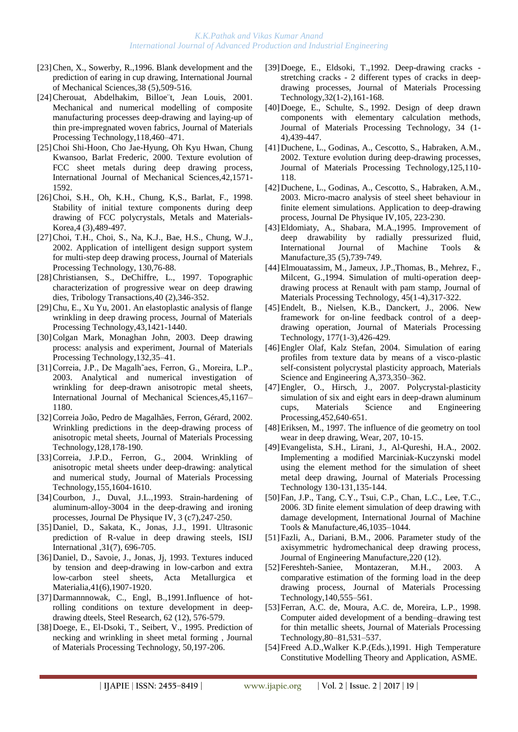- [23[\]Chen, X.](http://apps.isiknowledge.com/WoS/CIW.cgi?SID=1AJM5iKdKA546ePn1B6&Func=OneClickSearch&field=AU&val=Chen+X&ut=A1996TZ86800004&auloc=1&curr_doc=1/973&Form=FullRecordPage&doc=1/973), [Sowerby, R.](http://apps.isiknowledge.com/WoS/CIW.cgi?SID=1AJM5iKdKA546ePn1B6&Func=OneClickSearch&field=AU&val=Sowerby+R&ut=A1996TZ86800004&auloc=2&curr_doc=1/973&Form=FullRecordPage&doc=1/973),1996. Blank development and the prediction of earing in cup drawing, International Journal of Mechanical Sciences,38 (5),509-516.
- [24]Cherouat, Abdelhakim, Billoe¨t, Jean Louis, 2001. Mechanical and numerical modelling of composite manufacturing processes deep-drawing and laying-up of thin pre-impregnated woven fabrics, Journal of Materials Processing Technology,118,460–471.
- [25]Choi Shi-Hoon, Cho Jae-Hyung, Oh Kyu Hwan, Chung Kwansoo, Barlat Frederic, 2000. Texture evolution of FCC sheet metals during deep drawing process, International Journal of Mechanical Sciences,42,1571- 1592.
- [26[\]Choi, S.H.](http://apps.isiknowledge.com/WoS/CIW.cgi?SID=2DkOCF9aP3omdaABJnA&Func=OneClickSearch&field=AU&val=Choi+SH&ut=000074597700052&auloc=1&curr_doc=1/823&Form=FullRecordPage&doc=1/823), [Oh, K.H.](http://apps.isiknowledge.com/WoS/CIW.cgi?SID=2DkOCF9aP3omdaABJnA&Func=OneClickSearch&field=AU&val=Oh+KH&ut=000074597700052&auloc=2&curr_doc=1/823&Form=FullRecordPage&doc=1/823), [Chung, K,S.](http://apps.isiknowledge.com/WoS/CIW.cgi?SID=2DkOCF9aP3omdaABJnA&Func=OneClickSearch&field=AU&val=Chung+KS&ut=000074597700052&auloc=3&curr_doc=1/823&Form=FullRecordPage&doc=1/823), [Barlat, F.](http://apps.isiknowledge.com/WoS/CIW.cgi?SID=2DkOCF9aP3omdaABJnA&Func=OneClickSearch&field=AU&val=Barlat+F&ut=000074597700052&auloc=4&curr_doc=1/823&Form=FullRecordPage&doc=1/823), 1998. Stability of initial texture components during deep drawing of FCC polycrystals, Metals and Materials-Korea,4 (3),489-497.
- [27[\]Choi, T.H.](http://apps.isiknowledge.com/WoS/CIW.cgi?SID=2DkOCF9aP3omdaABJnA&Func=OneClickSearch&field=AU&val=Choi+TH&ut=000179981100013&auloc=1&curr_doc=1/429&Form=FullRecordPage&doc=1/429), [Choi, S.](http://apps.isiknowledge.com/WoS/CIW.cgi?SID=2DkOCF9aP3omdaABJnA&Func=OneClickSearch&field=AU&val=Choi+S&ut=000179981100013&auloc=2&curr_doc=1/429&Form=FullRecordPage&doc=1/429), [Na, K.J.,](http://apps.isiknowledge.com/WoS/CIW.cgi?SID=2DkOCF9aP3omdaABJnA&Func=OneClickSearch&field=AU&val=Na+KJ&ut=000179981100013&auloc=3&curr_doc=1/429&Form=FullRecordPage&doc=1/429) [Bae, H.S.](http://apps.isiknowledge.com/WoS/CIW.cgi?SID=2DkOCF9aP3omdaABJnA&Func=OneClickSearch&field=AU&val=Bae+HS&ut=000179981100013&auloc=4&curr_doc=1/429&Form=FullRecordPage&doc=1/429), [Chung, W.J.](http://apps.isiknowledge.com/WoS/CIW.cgi?SID=2DkOCF9aP3omdaABJnA&Func=OneClickSearch&field=AU&val=Chung+WJ&ut=000179981100013&auloc=5&curr_doc=1/429&Form=FullRecordPage&doc=1/429), 2002. Application of intelligent design support system for multi-step deep drawing process, Journal of Materials Processing Technology, 130,76-88.
- [28[\]Christiansen, S.,](http://apps.isiknowledge.com/WoS/CIW.cgi?SID=1AJM5iKdKA546ePn1B6&Func=OneClickSearch&field=AU&val=Christiansen+S&ut=A1997WX39400022&auloc=1&curr_doc=1/902&Form=FullRecordPage&doc=1/902) [DeChiffre, L.](http://apps.isiknowledge.com/WoS/CIW.cgi?SID=1AJM5iKdKA546ePn1B6&Func=OneClickSearch&field=AU&val=DeChiffre+L&ut=A1997WX39400022&auloc=2&curr_doc=1/902&Form=FullRecordPage&doc=1/902), 1997. Topographic characterization of progressive wear on deep drawing dies, Tribology Transactions,40 (2),346-352.
- [29]Chu, E., Xu Yu, 2001. An elastoplastic analysis of flange wrinkling in deep drawing process, Journal of Materials Processing Technology,43,1421-1440.
- [30]Colgan Mark, Monaghan John, 2003. Deep drawing process: analysis and experiment, Journal of Materials Processing Technology,132,35–41.
- [31]Correia, J.P., De Magalh˜aes, Ferron, G., Moreira, L.P., 2003. Analytical and numerical investigation of wrinkling for deep-drawn anisotropic metal sheets, International Journal of Mechanical Sciences,45,1167– 1180.
- [32]Correia João, Pedro de Magalhães, Ferron, Gérard, 2002. Wrinkling predictions in the deep-drawing process of anisotropic metal sheets, Journal of Materials Processing Technology,128,178-190.
- [33[\]Correia, J.P.D.,](http://apps.isiknowledge.com/WoS/CIW.cgi?SID=4F4DgpBnmJOk2a7nieI&Func=OneClickSearch&field=AU&val=Correia+JPD&ut=000225845800076&auloc=1&curr_doc=1/256&Form=FullRecordPage&doc=1/256) [Ferron, G.](http://apps.isiknowledge.com/WoS/CIW.cgi?SID=4F4DgpBnmJOk2a7nieI&Func=OneClickSearch&field=AU&val=Ferron+G&ut=000225845800076&auloc=2&curr_doc=1/256&Form=FullRecordPage&doc=1/256), 2004. Wrinkling of anisotropic metal sheets under deep-drawing: analytical and numerical study, Journal of Materials Processing Technology,155,1604-1610.
- [34[\]Courbon, J.](http://apps.isiknowledge.com/WoS/CIW.cgi?SID=1AJM5iKdKA546ePn1B6&Func=OneClickSearch&field=AU&val=COURBON+J&ut=A1993MT43600039&auloc=1&curr_doc=1/1063&Form=FullRecordPage&doc=1/1063), [Duval, J.](http://apps.isiknowledge.com/WoS/CIW.cgi?SID=1AJM5iKdKA546ePn1B6&Func=OneClickSearch&field=AU&val=DUVAL+JL&ut=A1993MT43600039&auloc=2&curr_doc=1/1063&Form=FullRecordPage&doc=1/1063)L.,1993. Strain-hardening of aluminum-alloy-3004 in the deep-drawing and ironing processes, Journal De Physique IV, 3 (c7),247-250.
- [35[\]Daniel, D.](http://apps.isiknowledge.com/WoS/CIW.cgi?SID=1AJM5iKdKA546ePn1B6&Func=OneClickSearch&field=AU&val=DANIEL+D&ut=A1991FW79000006&auloc=1&curr_doc=1/1162&Form=FullRecordPage&doc=1/1162), [Sakata, K.](http://apps.isiknowledge.com/WoS/CIW.cgi?SID=1AJM5iKdKA546ePn1B6&Func=OneClickSearch&field=AU&val=SAKATA+K&ut=A1991FW79000006&auloc=2&curr_doc=1/1162&Form=FullRecordPage&doc=1/1162), [Jonas, J.](http://apps.isiknowledge.com/WoS/CIW.cgi?SID=1AJM5iKdKA546ePn1B6&Func=OneClickSearch&field=AU&val=JONAS+JJ&ut=A1991FW79000006&auloc=3&curr_doc=1/1162&Form=FullRecordPage&doc=1/1162)J., 1991. Ultrasonic prediction of R-value in deep drawing steels, ISIJ International ,31(7), 696-705.
- [36[\]Daniel, D.,](http://apps.isiknowledge.com/WoS/CIW.cgi?SID=1AJM5iKdKA546ePn1B6&Func=OneClickSearch&field=AU&val=DANIEL+D&ut=A1993LD46700028&auloc=1&curr_doc=1/1094&Form=FullRecordPage&doc=1/1094) [Savoie, J.](http://apps.isiknowledge.com/WoS/CIW.cgi?SID=1AJM5iKdKA546ePn1B6&Func=OneClickSearch&field=AU&val=SAVOIE+J&ut=A1993LD46700028&auloc=2&curr_doc=1/1094&Form=FullRecordPage&doc=1/1094), [Jonas, Jj,](http://apps.isiknowledge.com/WoS/CIW.cgi?SID=1AJM5iKdKA546ePn1B6&Func=OneClickSearch&field=AU&val=JONAS+JJ&ut=A1993LD46700028&auloc=3&curr_doc=1/1094&Form=FullRecordPage&doc=1/1094) 1993. Textures induced by tension and deep-drawing in low-carbon and extra low-carbon steel sheets, Acta Metallurgica et Materialia,41(6),1907-1920.
- [37[\]Darmannnowak, C.,](http://apps.isiknowledge.com/WoS/CIW.cgi?SID=1AJM5iKdKA546ePn1B6&Func=OneClickSearch&field=AU&val=DARMANNNOWAK+C&ut=A1991HB31800007&auloc=1&curr_doc=1/1149&Form=FullRecordPage&doc=1/1149) [Engl, B.](http://apps.isiknowledge.com/WoS/CIW.cgi?SID=1AJM5iKdKA546ePn1B6&Func=OneClickSearch&field=AU&val=ENGL+B&ut=A1991HB31800007&auloc=2&curr_doc=1/1149&Form=FullRecordPage&doc=1/1149),1991.Influence of hotrolling conditions on texture development in deepdrawing dteels, Steel Research, 62 (12), 576-579.
- [38]Doege, E., El-Dsoki, T., Seibert, V., 1995. Prediction of necking and wrinkling in sheet metal forming , Journal of Materials Processing Technology, 50,197-206.
- [39[\]Doege, E.](http://apps.isiknowledge.com/WoS/CIW.cgi?SID=1AJM5iKdKA546ePn1B6&Func=OneClickSearch&field=AU&val=DOEGE+E&ut=A1992JD99200014&auloc=1&curr_doc=1/1127&Form=FullRecordPage&doc=1/1127), [Eldsoki, T.](http://apps.isiknowledge.com/WoS/CIW.cgi?SID=1AJM5iKdKA546ePn1B6&Func=OneClickSearch&field=AU&val=ELDSOKI+T&ut=A1992JD99200014&auloc=2&curr_doc=1/1127&Form=FullRecordPage&doc=1/1127),1992. Deep-drawing cracks stretching cracks - 2 different types of cracks in deepdrawing processes, Journal of Materials Processing Technology,32(1-2),161-168.
- [40[\]Doege, E.](http://apps.isiknowledge.com/WoS/CIW.cgi?SID=1AJM5iKdKA546ePn1B6&Func=OneClickSearch&field=AU&val=DOEGE+E&ut=A1992JQ97700056&auloc=1&curr_doc=1/1114&Form=FullRecordPage&doc=1/1114), [Schulte, S.,](http://apps.isiknowledge.com/WoS/CIW.cgi?SID=1AJM5iKdKA546ePn1B6&Func=OneClickSearch&field=AU&val=SCHULTE+S&ut=A1992JQ97700056&auloc=2&curr_doc=1/1114&Form=FullRecordPage&doc=1/1114) 1992. Design of deep drawn components with elementary calculation methods, Journal of Materials Processing Technology, 34 (1- 4),439-447.
- [41[\]Duchene, L.](http://apps.isiknowledge.com/WoS/CIW.cgi?SID=2DkOCF9aP3omdaABJnA&Func=OneClickSearch&field=AU&val=Duchene+L&ut=000178405200014&auloc=1&curr_doc=1/472&Form=FullRecordPage&doc=1/472), [Godinas, A.,](http://apps.isiknowledge.com/WoS/CIW.cgi?SID=2DkOCF9aP3omdaABJnA&Func=OneClickSearch&field=AU&val=Godinas+A&ut=000178405200014&auloc=2&curr_doc=1/472&Form=FullRecordPage&doc=1/472) [Cescotto, S.](http://apps.isiknowledge.com/WoS/CIW.cgi?SID=2DkOCF9aP3omdaABJnA&Func=OneClickSearch&field=AU&val=Cescotto+S&ut=000178405200014&auloc=3&curr_doc=1/472&Form=FullRecordPage&doc=1/472), [Habraken, A.M.](http://apps.isiknowledge.com/WoS/CIW.cgi?SID=2DkOCF9aP3omdaABJnA&Func=OneClickSearch&field=AU&val=Habraken+AM&ut=000178405200014&auloc=4&curr_doc=1/472&Form=FullRecordPage&doc=1/472), 2002. Texture evolution during deep-drawing processes, Journal of Materials Processing Technology,125,110- 118.
- [42[\]Duchene, L.](http://apps.isiknowledge.com/WoS/CIW.cgi?SID=2DkOCF9aP3omdaABJnA&Func=OneClickSearch&field=AU&val=Duchene+L&ut=000183274400027&auloc=1&curr_doc=1/406&Form=FullRecordPage&doc=1/406), [Godinas, A.,](http://apps.isiknowledge.com/WoS/CIW.cgi?SID=2DkOCF9aP3omdaABJnA&Func=OneClickSearch&field=AU&val=Godinas+A&ut=000183274400027&auloc=2&curr_doc=1/406&Form=FullRecordPage&doc=1/406) [Cescotto, S.](http://apps.isiknowledge.com/WoS/CIW.cgi?SID=2DkOCF9aP3omdaABJnA&Func=OneClickSearch&field=AU&val=Cescotto+S&ut=000183274400027&auloc=3&curr_doc=1/406&Form=FullRecordPage&doc=1/406), [Habraken, A.M.](http://apps.isiknowledge.com/WoS/CIW.cgi?SID=2DkOCF9aP3omdaABJnA&Func=OneClickSearch&field=AU&val=Habraken+AM&ut=000183274400027&auloc=4&curr_doc=1/406&Form=FullRecordPage&doc=1/406), 2003. Micro-macro analysis of steel sheet behaviour in finite element simulations. Application to deep-drawing process, Journal De Physique IV,105, 223-230.
- [43[\]Eldomiaty,](http://apps.isiknowledge.com/WoS/CIW.cgi?SID=1AJM5iKdKA546ePn1B6&Func=OneClickSearch&field=AU&val=ELDOMIATY+A&ut=A1995QK23400007&auloc=1&curr_doc=1/1021&Form=FullRecordPage&doc=1/1021) A., [Shabara, M](http://apps.isiknowledge.com/WoS/CIW.cgi?SID=1AJM5iKdKA546ePn1B6&Func=OneClickSearch&field=AU&val=SHABARA+MA&ut=A1995QK23400007&auloc=2&curr_doc=1/1021&Form=FullRecordPage&doc=1/1021).A.,1995. Improvement of deep drawability by radially pressurized fluid, International Journal of Machine Tools & Manufacture,35 (5),739-749.
- [44[\]Elmouatassim, M.](http://apps.isiknowledge.com/WoS/CIW.cgi?SID=1AJM5iKdKA546ePn1B6&Func=OneClickSearch&field=AU&val=ELMOUATASSIM+M&ut=A1994PD42300051&auloc=1&curr_doc=1/1049&Form=FullRecordPage&doc=1/1049), [Jameux, J.P.](http://apps.isiknowledge.com/WoS/CIW.cgi?SID=1AJM5iKdKA546ePn1B6&Func=OneClickSearch&field=AU&val=JAMEUX+JP&ut=A1994PD42300051&auloc=2&curr_doc=1/1049&Form=FullRecordPage&doc=1/1049)[,Thomas, B.](http://apps.isiknowledge.com/WoS/CIW.cgi?SID=1AJM5iKdKA546ePn1B6&Func=OneClickSearch&field=AU&val=THOMAS+B&ut=A1994PD42300051&auloc=3&curr_doc=1/1049&Form=FullRecordPage&doc=1/1049), [Mehrez, F.](http://apps.isiknowledge.com/WoS/CIW.cgi?SID=1AJM5iKdKA546ePn1B6&Func=OneClickSearch&field=AU&val=MEHREZ+F&ut=A1994PD42300051&auloc=4&curr_doc=1/1049&Form=FullRecordPage&doc=1/1049), [Milcent,](http://apps.isiknowledge.com/WoS/CIW.cgi?SID=1AJM5iKdKA546ePn1B6&Func=OneClickSearch&field=AU&val=MILCENT+G&ut=A1994PD42300051&auloc=5&curr_doc=1/1049&Form=FullRecordPage&doc=1/1049) G.,1994. Simulation of multi-operation deepdrawing process at Renault with pam stamp, Journal of Materials Processing Technology, 45(1-4),317-322.
- [45[\]Endelt, B.](http://apps.isiknowledge.com/WoS/CIW.cgi?SID=3Cic8Oijl8M@MI142Hp&Func=OneClickSearch&field=AU&val=Endelt+B&ut=000239611900095&auloc=1&fullauth=%20(Endelt,%20Benny)&curr_doc=1/94&Form=FullRecordPage&doc=1/94), [Nielsen, K.B.](http://apps.isiknowledge.com/WoS/CIW.cgi?SID=3Cic8Oijl8M@MI142Hp&Func=OneClickSearch&field=AU&val=Nielsen+KB&ut=000239611900095&auloc=2&fullauth=%20(Nielsen,%20Karl%20Brian)&curr_doc=1/94&Form=FullRecordPage&doc=1/94), [Danckert, J.](http://apps.isiknowledge.com/WoS/CIW.cgi?SID=3Cic8Oijl8M@MI142Hp&Func=OneClickSearch&field=AU&val=Danckert+J&ut=000239611900095&auloc=3&fullauth=%20(Danckert,%20Joachim)&curr_doc=1/94&Form=FullRecordPage&doc=1/94), 2006. New framework for on-line feedback control of a deepdrawing operation, Journal of Materials Processing Technology, 177(1-3),426-429.
- [46]Engler Olaf, Kalz Stefan, 2004. Simulation of earing profiles from texture data by means of a visco-plastic self-consistent polycrystal plasticity approach, Materials Science and Engineering A,373,350–362.
- [47[\]Engler, O.](http://apps.isiknowledge.com/WoS/CIW.cgi?SID=3Cic8Oijl8M@MI142Hp&Func=OneClickSearch&field=AU&val=Engler+O&ut=000245639800087&auloc=1&fullauth=%20(Engler,%20Olaf)&curr_doc=1/24&Form=FullRecordPage&doc=1/24), [Hirsch, J.](http://apps.isiknowledge.com/WoS/CIW.cgi?SID=3Cic8Oijl8M@MI142Hp&Func=OneClickSearch&field=AU&val=Hirsch+J&ut=000245639800087&auloc=2&fullauth=%20(Hirsch,%20Juergen)&curr_doc=1/24&Form=FullRecordPage&doc=1/24), 2007. Polycrystal-plasticity simulation of six and eight ears in deep-drawn aluminum cups, Materials Science and Engineering Processing,452,640-651.
- [48]Eriksen, M., 1997. The influence of die geometry on tool wear in deep drawing, Wear, 207, 10-15.
- [49]Evangelista, S.H., Lirani, J., Al-Qureshi, H.A., 2002. Implementing a modified Marciniak-Kuczynski model using the element method for the simulation of sheet metal deep drawing, Journal of Materials Processing Technology 130-131,135-144.
- [50]Fan, J.P., Tang, C.Y., Tsui, C.P., Chan, L.C., Lee, T.C., 2006. 3D finite element simulation of deep drawing with damage development, International Journal of Machine Tools & Manufacture,46,1035–1044.
- [51[\]Fazli, A.](http://apps.isiknowledge.com/WoS/CIW.cgi?SID=3Cic8Oijl8M@MI142Hp&Func=OneClickSearch&field=AU&val=Fazli+A&ut=000243418200003&auloc=1&fullauth=%20(Fazli,%20A.)&curr_doc=1/45&Form=FullRecordPage&doc=1/45), [Dariani, B.M.](http://apps.isiknowledge.com/WoS/CIW.cgi?SID=3Cic8Oijl8M@MI142Hp&Func=OneClickSearch&field=AU&val=Dariani+BM&ut=000243418200003&auloc=2&fullauth=%20(Mollaei%20Dariani,%20B.)&curr_doc=1/45&Form=FullRecordPage&doc=1/45), 2006. Parameter study of the axisymmetric hydromechanical deep drawing process, Journal of Engineering Manufacture,220 (12).
- [52]Fereshteh-Saniee, Montazeran, M.H., 2003. A comparative estimation of the forming load in the deep drawing process, Journal of Materials Processing Technology,140,555–561.
- [53]Ferran, A.C. de, Moura, A.C. de, Moreira, L.P., 1998. Computer aided development of a bending–drawing test for thin metallic sheets, Journal of Materials Processing Technology,80–81,531–537.
- [54]Freed A.D.,Walker K.P.(Eds.),1991. High Temperature Constitutive Modelling Theory and Application, ASME.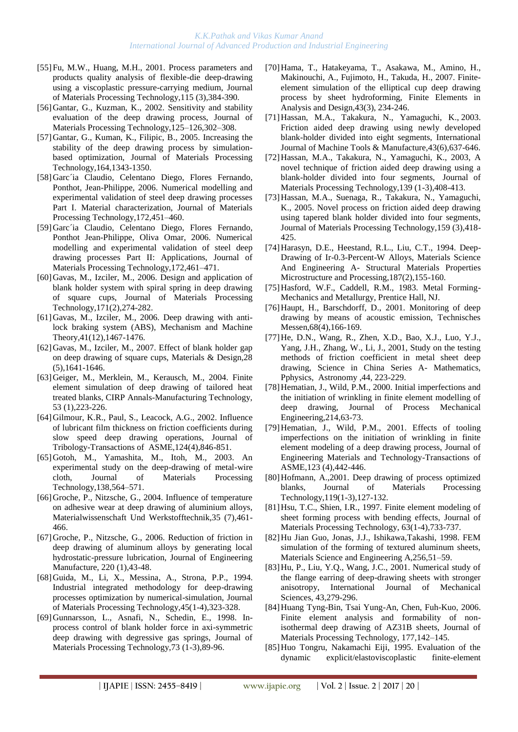- [55[\]Fu, M.W.,](http://apps.isiknowledge.com/WoS/CIW.cgi?SID=2DkOCF9aP3omdaABJnA&Func=OneClickSearch&field=AU&val=Fu+MW&ut=000171487900016&auloc=1&curr_doc=1/557&Form=FullRecordPage&doc=1/557) [Huang, M.H.](http://apps.isiknowledge.com/WoS/CIW.cgi?SID=2DkOCF9aP3omdaABJnA&Func=OneClickSearch&field=AU&val=Huang+MH&ut=000171487900016&auloc=2&curr_doc=1/557&Form=FullRecordPage&doc=1/557), 2001. Process parameters and products quality analysis of flexible-die deep-drawing using a viscoplastic pressure-carrying medium, Journal of Materials Processing Technology,115 (3),384-390.
- [56]Gantar, G., Kuzman, K., 2002. Sensitivity and stability evaluation of the deep drawing process, Journal of Materials Processing Technology,125–126,302–308.
- [57[\]Gantar, G.](http://apps.isiknowledge.com/WoS/CIW.cgi?SID=4F4DgpBnmJOk2a7nieI&Func=OneClickSearch&field=AU&val=Gantar+G&ut=000229609100079&auloc=1&curr_doc=1/212&Form=FullRecordPage&doc=1/212), [Kuman, K.](http://apps.isiknowledge.com/WoS/CIW.cgi?SID=4F4DgpBnmJOk2a7nieI&Func=OneClickSearch&field=AU&val=Kuman+K&ut=000229609100079&auloc=2&curr_doc=1/212&Form=FullRecordPage&doc=1/212), [Filipic, B.](http://apps.isiknowledge.com/WoS/CIW.cgi?SID=4F4DgpBnmJOk2a7nieI&Func=OneClickSearch&field=AU&val=Filipic+B&ut=000229609100079&auloc=3&curr_doc=1/212&Form=FullRecordPage&doc=1/212), 2005. Increasing the stability of the deep drawing process by simulationbased optimization, Journal of Materials Processing Technology,164,1343-1350.
- [58]Garc´ia Claudio, Celentano Diego, Flores Fernando, Ponthot, Jean-Philippe, 2006. Numerical modelling and experimental validation of steel deep drawing processes Part I. Material characterization, Journal of Materials Processing Technology,172,451–460.
- [59]Garc´ia Claudio, Celentano Diego, Flores Fernando, Ponthot Jean-Philippe, Oliva Omar, 2006. Numerical modelling and experimental validation of steel deep drawing processes Part II: Applications, Journal of Materials Processing Technology,172,461–471.
- [60] Gavas, M., [Izciler, M.](http://apps.isiknowledge.com/WoS/CIW.cgi?SID=4F4DgpBnmJOk2a7nieI&Func=OneClickSearch&field=AU&val=Izciler+M&ut=000234864200014&auloc=2&curr_doc=1/143&Form=FullRecordPage&doc=1/143), 2006. Design and application of blank holder system with spiral spring in deep drawing of square cups, Journal of Materials Processing Technology,171(2),274-282.
- [61[\]Gavas, M.](http://apps.isiknowledge.com/WoS/CIW.cgi?SID=3Cic8Oijl8M@MI142Hp&Func=OneClickSearch&field=AU&val=Gavas+M&ut=000241994900005&auloc=1&fullauth=%20(Gavas,%20M.)&curr_doc=1/65&Form=FullRecordPage&doc=1/65), [Izciler, M.](http://apps.isiknowledge.com/WoS/CIW.cgi?SID=3Cic8Oijl8M@MI142Hp&Func=OneClickSearch&field=AU&val=Izciler+M&ut=000241994900005&auloc=2&fullauth=%20(Izciler,%20M.)&curr_doc=1/65&Form=FullRecordPage&doc=1/65), 2006. Deep drawing with antilock braking system (ABS), Mechanism and Machine Theory,41(12),1467-1476.
- [62] Gavas, M., [Izciler, M.](http://apps.isiknowledge.com/WoS/CIW.cgi?SID=3Cic8Oijl8M@MI142Hp&Func=OneClickSearch&field=AU&val=Izciler+M&ut=000245047300024&auloc=2&fullauth=%20(Izciler,%20M.)&curr_doc=1/28&Form=FullRecordPage&doc=1/28), 2007. Effect of blank holder gap on deep drawing of square cups, Materials & Design,28 (5),1641-1646.
- [63[\]Geiger, M.](http://apps.isiknowledge.com/WoS/CIW.cgi?SID=2FlDIFKMAffmlO8GHpf&Func=OneClickSearch&field=AU&val=Geiger+M&ut=000222519700054&auloc=1&curr_doc=1/308&Form=FullRecordPage&doc=1/308), [Merklein, M.,](http://apps.isiknowledge.com/WoS/CIW.cgi?SID=2FlDIFKMAffmlO8GHpf&Func=OneClickSearch&field=AU&val=Merklein+M&ut=000222519700054&auloc=2&curr_doc=1/308&Form=FullRecordPage&doc=1/308) [Kerausch, M.](http://apps.isiknowledge.com/WoS/CIW.cgi?SID=2FlDIFKMAffmlO8GHpf&Func=OneClickSearch&field=AU&val=Kerausch+M&ut=000222519700054&auloc=3&curr_doc=1/308&Form=FullRecordPage&doc=1/308), 2004. Finite element simulation of deep drawing of tailored heat treated blanks, CIRP Annals-Manufacturing Technology, 53 (1),223-226.
- [64[\]Gilmour, K.R.](http://apps.isiknowledge.com/WoS/CIW.cgi?SID=2DkOCF9aP3omdaABJnA&Func=OneClickSearch&field=AU&val=Gilmour+KR&ut=000178565200024&auloc=1&curr_doc=1/463&Form=FullRecordPage&doc=1/463), [Paul, S.](http://apps.isiknowledge.com/WoS/CIW.cgi?SID=2DkOCF9aP3omdaABJnA&Func=OneClickSearch&field=AU&val=Paul+S&ut=000178565200024&auloc=2&curr_doc=1/463&Form=FullRecordPage&doc=1/463), [Leacock, A.G.](http://apps.isiknowledge.com/WoS/CIW.cgi?SID=2DkOCF9aP3omdaABJnA&Func=OneClickSearch&field=AU&val=Leacock+AG&ut=000178565200024&auloc=3&curr_doc=1/463&Form=FullRecordPage&doc=1/463), 2002. Influence of lubricant film thickness on friction coefficients during slow speed deep drawing operations, Journal of Tribology-Transactions of ASME,124(4),846-851.
- [65]Gotoh, M., Yamashita, M., Itoh, M., 2003. An experimental study on the deep-drawing of metal-wire cloth, Journal of Materials Processing Technology,138,564–571.
- [66[\]Groche, P.](http://apps.isiknowledge.com/WoS/CIW.cgi?SID=4F4DgpBnmJOk2a7nieI&Func=OneClickSearch&field=AU&val=Groche+P&ut=000223017700006&auloc=1&curr_doc=1/298&Form=FullRecordPage&doc=1/298), [Nitzsche, G.](http://apps.isiknowledge.com/WoS/CIW.cgi?SID=4F4DgpBnmJOk2a7nieI&Func=OneClickSearch&field=AU&val=Nitzsche+G&ut=000223017700006&auloc=2&curr_doc=1/298&Form=FullRecordPage&doc=1/298), 2004. Influence of temperature on adhesive wear at deep drawing of aluminium alloys, Materialwissenschaft Und Werkstofftechnik,35 (7),461- 466.
- [67[\]Groche, P.](http://apps.isiknowledge.com/WoS/CIW.cgi?SID=4F4DgpBnmJOk2a7nieI&Func=OneClickSearch&field=AU&val=Groche+P&ut=000236450500007&auloc=1&curr_doc=1/123&Form=FullRecordPage&doc=1/123), [Nitzsche, G.](http://apps.isiknowledge.com/WoS/CIW.cgi?SID=4F4DgpBnmJOk2a7nieI&Func=OneClickSearch&field=AU&val=Nitzsche+G&ut=000236450500007&auloc=2&curr_doc=1/123&Form=FullRecordPage&doc=1/123), 2006. Reduction of friction in deep drawing of aluminum alloys by generating local hydrostatic-pressure lubrication, Journal of Engineering Manufacture, 220 (1),43-48.
- [68[\]Guida, M.,](http://apps.isiknowledge.com/WoS/CIW.cgi?SID=1AJM5iKdKA546ePn1B6&Func=OneClickSearch&field=AU&val=GUIDA+M&ut=A1994PD42300052&auloc=1&curr_doc=1/1050&Form=FullRecordPage&doc=1/1050) [Li, X.](http://apps.isiknowledge.com/WoS/CIW.cgi?SID=1AJM5iKdKA546ePn1B6&Func=OneClickSearch&field=AU&val=LI+X&ut=A1994PD42300052&auloc=2&curr_doc=1/1050&Form=FullRecordPage&doc=1/1050), [Messina, A.](http://apps.isiknowledge.com/WoS/CIW.cgi?SID=1AJM5iKdKA546ePn1B6&Func=OneClickSearch&field=AU&val=MESSINA+A&ut=A1994PD42300052&auloc=3&curr_doc=1/1050&Form=FullRecordPage&doc=1/1050), [Strona, P.P.](http://apps.isiknowledge.com/WoS/CIW.cgi?SID=1AJM5iKdKA546ePn1B6&Func=OneClickSearch&field=AU&val=STRONA+PP&ut=A1994PD42300052&auloc=4&curr_doc=1/1050&Form=FullRecordPage&doc=1/1050), 1994. Industrial integrated methodology for deep-drawing processes optimization by numerical-simulation, Journal of Materials Processing Technology,45(1-4),323-328.
- [69[\]Gunnarsson, L.](http://apps.isiknowledge.com/WoS/CIW.cgi?SID=1AJM5iKdKA546ePn1B6&Func=OneClickSearch&field=AU&val=Gunnarsson+L&ut=000071336800013&auloc=1&curr_doc=1/862&Form=FullRecordPage&doc=1/862), [Asnafi, N.](http://apps.isiknowledge.com/WoS/CIW.cgi?SID=1AJM5iKdKA546ePn1B6&Func=OneClickSearch&field=AU&val=Asnafi+N&ut=000071336800013&auloc=2&curr_doc=1/862&Form=FullRecordPage&doc=1/862), [Schedin, E.](http://apps.isiknowledge.com/WoS/CIW.cgi?SID=1AJM5iKdKA546ePn1B6&Func=OneClickSearch&field=AU&val=Schedin+E&ut=000071336800013&auloc=3&curr_doc=1/862&Form=FullRecordPage&doc=1/862), 1998. Inprocess control of blank holder force in axi-symmetric deep drawing with degressive gas springs, Journal of Materials Processing Technology,73 (1-3),89-96.
- [70[\]Hama, T.](http://apps.isiknowledge.com/WoS/CIW.cgi?SID=3Cic8Oijl8M@MI142Hp&Func=OneClickSearch&field=AU&val=Hama+T&ut=000243654500005&auloc=1&fullauth=%20(Hama,%20Takayuki)&curr_doc=1/44&Form=FullRecordPage&doc=1/44), [Hatakeyama, T.](http://apps.isiknowledge.com/WoS/CIW.cgi?SID=3Cic8Oijl8M@MI142Hp&Func=OneClickSearch&field=AU&val=Hatakeyama+T&ut=000243654500005&auloc=2&fullauth=%20(Hatakeyama,%20Tomohiro)&curr_doc=1/44&Form=FullRecordPage&doc=1/44), [Asakawa, M.](http://apps.isiknowledge.com/WoS/CIW.cgi?SID=3Cic8Oijl8M@MI142Hp&Func=OneClickSearch&field=AU&val=Asakawa+M&ut=000243654500005&auloc=3&fullauth=%20(Asakawa,%20Motoo)&curr_doc=1/44&Form=FullRecordPage&doc=1/44), [Amino, H.](http://apps.isiknowledge.com/WoS/CIW.cgi?SID=3Cic8Oijl8M@MI142Hp&Func=OneClickSearch&field=AU&val=Amino+H&ut=000243654500005&auloc=4&fullauth=%20(Amino,%20Hiroyuki)&curr_doc=1/44&Form=FullRecordPage&doc=1/44), [Makinouchi, A.](http://apps.isiknowledge.com/WoS/CIW.cgi?SID=3Cic8Oijl8M@MI142Hp&Func=OneClickSearch&field=AU&val=Makinouchi+A&ut=000243654500005&auloc=5&fullauth=%20(Makinouchi,%20Akitake)&curr_doc=1/44&Form=FullRecordPage&doc=1/44), [Fujimoto, H.](http://apps.isiknowledge.com/WoS/CIW.cgi?SID=3Cic8Oijl8M@MI142Hp&Func=OneClickSearch&field=AU&val=Fujimoto+H&ut=000243654500005&auloc=6&fullauth=%20(Fujimoto,%20Hitoshi)&curr_doc=1/44&Form=FullRecordPage&doc=1/44), [Takuda, H.,](http://apps.isiknowledge.com/WoS/CIW.cgi?SID=3Cic8Oijl8M@MI142Hp&Func=OneClickSearch&field=AU&val=Takuda+H&ut=000243654500005&auloc=7&fullauth=%20(Takuda,%20Hirohiko)&curr_doc=1/44&Form=FullRecordPage&doc=1/44) 2007. Finiteelement simulation of the elliptical cup deep drawing process by sheet hydroforming, Finite Elements in Analysis and Design,43(3), 234-246.
- [71[\]Hassan, M.A.](http://apps.isiknowledge.com/WoS/CIW.cgi?SID=2DkOCF9aP3omdaABJnA&Func=OneClickSearch&field=AU&val=Hassan+MA&ut=000181838500009&auloc=1&curr_doc=1/423&Form=FullRecordPage&doc=1/423), [Takakura, N.,](http://apps.isiknowledge.com/WoS/CIW.cgi?SID=2DkOCF9aP3omdaABJnA&Func=OneClickSearch&field=AU&val=Takakura+N&ut=000181838500009&auloc=2&curr_doc=1/423&Form=FullRecordPage&doc=1/423) [Yamaguchi, K.](http://apps.isiknowledge.com/WoS/CIW.cgi?SID=2DkOCF9aP3omdaABJnA&Func=OneClickSearch&field=AU&val=Yamaguchi+K&ut=000181838500009&auloc=3&curr_doc=1/423&Form=FullRecordPage&doc=1/423), 2003. Friction aided deep drawing using newly developed blank-holder divided into eight segments, International Journal of Machine Tools & Manufacture,43(6),637-646.
- [72[\]Hassan, M.A.,](http://apps.isiknowledge.com/WoS/CIW.cgi?SID=2DkOCF9aP3omdaABJnA&Func=OneClickSearch&field=AU&val=Hassan+MA&ut=000184438800069&auloc=1&curr_doc=1/390&Form=FullRecordPage&doc=1/390) [Takakura, N.](http://apps.isiknowledge.com/WoS/CIW.cgi?SID=2DkOCF9aP3omdaABJnA&Func=OneClickSearch&field=AU&val=Takakura+N&ut=000184438800069&auloc=2&curr_doc=1/390&Form=FullRecordPage&doc=1/390), [Yamaguchi, K.](http://apps.isiknowledge.com/WoS/CIW.cgi?SID=2DkOCF9aP3omdaABJnA&Func=OneClickSearch&field=AU&val=Yamaguchi+K&ut=000184438800069&auloc=3&curr_doc=1/390&Form=FullRecordPage&doc=1/390), 2003, A novel technique of friction aided deep drawing using a blank-holder divided into four segments, Journal of Materials Processing Technology,139 (1-3),408-413.
- [73[\]Hassan, M.A.](http://apps.isiknowledge.com/WoS/CIW.cgi?SID=4F4DgpBnmJOk2a7nieI&Func=OneClickSearch&field=AU&val=Hassan+MA&ut=000227194500019&auloc=1&curr_doc=1/236&Form=FullRecordPage&doc=1/236), [Suenaga, R.](http://apps.isiknowledge.com/WoS/CIW.cgi?SID=4F4DgpBnmJOk2a7nieI&Func=OneClickSearch&field=AU&val=Suenaga+R&ut=000227194500019&auloc=2&curr_doc=1/236&Form=FullRecordPage&doc=1/236), [Takakura, N.](http://apps.isiknowledge.com/WoS/CIW.cgi?SID=4F4DgpBnmJOk2a7nieI&Func=OneClickSearch&field=AU&val=Takakura+N&ut=000227194500019&auloc=3&curr_doc=1/236&Form=FullRecordPage&doc=1/236), [Yamaguchi,](http://apps.isiknowledge.com/WoS/CIW.cgi?SID=4F4DgpBnmJOk2a7nieI&Func=OneClickSearch&field=AU&val=Yamaguchi+K&ut=000227194500019&auloc=4&curr_doc=1/236&Form=FullRecordPage&doc=1/236)  [K.](http://apps.isiknowledge.com/WoS/CIW.cgi?SID=4F4DgpBnmJOk2a7nieI&Func=OneClickSearch&field=AU&val=Yamaguchi+K&ut=000227194500019&auloc=4&curr_doc=1/236&Form=FullRecordPage&doc=1/236), 2005. Novel process on friction aided deep drawing using tapered blank holder divided into four segments, Journal of Materials Processing Technology,159 (3),418- 425.
- [74[\]Harasyn, D.](http://apps.isiknowledge.com/WoS/CIW.cgi?SID=1AJM5iKdKA546ePn1B6&Func=OneClickSearch&field=AU&val=HARASYN+DE&ut=A1994PP77500007&auloc=1&curr_doc=1/1039&Form=FullRecordPage&doc=1/1039)E., [Heestand, R.](http://apps.isiknowledge.com/WoS/CIW.cgi?SID=1AJM5iKdKA546ePn1B6&Func=OneClickSearch&field=AU&val=HEESTAND+RL&ut=A1994PP77500007&auloc=2&curr_doc=1/1039&Form=FullRecordPage&doc=1/1039)L., [Liu, C.](http://apps.isiknowledge.com/WoS/CIW.cgi?SID=1AJM5iKdKA546ePn1B6&Func=OneClickSearch&field=AU&val=LIU+CT&ut=A1994PP77500007&auloc=3&curr_doc=1/1039&Form=FullRecordPage&doc=1/1039)T., 1994. Deep-Drawing of Ir-0.3-Percent-W Alloys, Materials Science And Engineering A- Structural Materials Properties Microstructure and Processing,187(2),155-160.
- [75] Hasford, W.F., Caddell, R.M., 1983. Metal Forming-Mechanics and Metallurgy, Prentice Hall, NJ.
- [76[\]Haupt, H.](http://apps.isiknowledge.com/WoS/CIW.cgi?SID=2DkOCF9aP3omdaABJnA&Func=OneClickSearch&field=AU&val=Haupt+H&ut=000170787500003&auloc=1&curr_doc=1/570&Form=FullRecordPage&doc=1/570), [Barschdorff, D.](http://apps.isiknowledge.com/WoS/CIW.cgi?SID=2DkOCF9aP3omdaABJnA&Func=OneClickSearch&field=AU&val=Barschdorff+D&ut=000170787500003&auloc=2&curr_doc=1/570&Form=FullRecordPage&doc=1/570), 2001. Monitoring of deep drawing by means of acoustic emission, Technisches Messen,68(4),166-169.
- [77[\]He, D.N.](http://apps.isiknowledge.com/WoS/CIW.cgi?SID=2DkOCF9aP3omdaABJnA&Func=OneClickSearch&field=AU&val=He+DN&ut=000171793000035&auloc=1&curr_doc=1/553&Form=FullRecordPage&doc=1/553), [Wang, R.](http://apps.isiknowledge.com/WoS/CIW.cgi?SID=2DkOCF9aP3omdaABJnA&Func=OneClickSearch&field=AU&val=Wang+R&ut=000171793000035&auloc=2&curr_doc=1/553&Form=FullRecordPage&doc=1/553), [Zhen, X.D.](http://apps.isiknowledge.com/WoS/CIW.cgi?SID=2DkOCF9aP3omdaABJnA&Func=OneClickSearch&field=AU&val=Zhen+XD&ut=000171793000035&auloc=3&curr_doc=1/553&Form=FullRecordPage&doc=1/553), [Bao, X.J.](http://apps.isiknowledge.com/WoS/CIW.cgi?SID=2DkOCF9aP3omdaABJnA&Func=OneClickSearch&field=AU&val=Bao+XJ&ut=000171793000035&auloc=4&curr_doc=1/553&Form=FullRecordPage&doc=1/553), [Luo, Y.J.](http://apps.isiknowledge.com/WoS/CIW.cgi?SID=2DkOCF9aP3omdaABJnA&Func=OneClickSearch&field=AU&val=Luo+YJ&ut=000171793000035&auloc=5&curr_doc=1/553&Form=FullRecordPage&doc=1/553), [Yang, J.H.](http://apps.isiknowledge.com/WoS/CIW.cgi?SID=2DkOCF9aP3omdaABJnA&Func=OneClickSearch&field=AU&val=Yang+JH&ut=000171793000035&auloc=6&curr_doc=1/553&Form=FullRecordPage&doc=1/553), [Zhang, W.](http://apps.isiknowledge.com/WoS/CIW.cgi?SID=2DkOCF9aP3omdaABJnA&Func=OneClickSearch&field=AU&val=Zhang+W&ut=000171793000035&auloc=7&curr_doc=1/553&Form=FullRecordPage&doc=1/553), [Li, J.](http://apps.isiknowledge.com/WoS/CIW.cgi?SID=2DkOCF9aP3omdaABJnA&Func=OneClickSearch&field=AU&val=Li+J&ut=000171793000035&auloc=8&curr_doc=1/553&Form=FullRecordPage&doc=1/553), 2001, Study on the testing methods of friction coefficient in metal sheet deep drawing, Science in China Series A- Mathematics, Pphysics, Astronomy ,44, 223-229.
- [78] Hematian, J., [Wild, P.M.](http://apps.isiknowledge.com/WoS/CIW.cgi?SID=2DkOCF9aP3omdaABJnA&Func=OneClickSearch&field=AU&val=Wild+PM&ut=000087560100006&auloc=2&curr_doc=1/671&Form=FullRecordPage&doc=1/671), 2000. Initial imperfections and the initiation of wrinkling in finite element modelling of deep drawing, Journal of Process Mechanical Engineering,214,63-73.
- [79] Hematian, J., [Wild, P.M.](http://apps.isiknowledge.com/WoS/CIW.cgi?SID=2DkOCF9aP3omdaABJnA&Func=OneClickSearch&field=AU&val=Wild+PM&ut=000171892600012&auloc=2&curr_doc=1/548&Form=FullRecordPage&doc=1/548), 2001. Effects of tooling imperfections on the initiation of wrinkling in finite element modeling of a deep drawing process, Journal of Engineering Materials and Technology-Transactions of ASME,123 (4),442-446.
- [80[\]Hofmann, A.](http://apps.isiknowledge.com/WoS/CIW.cgi?SID=2DkOCF9aP3omdaABJnA&Func=OneClickSearch&field=AU&val=Hofmann+A&ut=000173193400019&auloc=1&curr_doc=1/530&Form=FullRecordPage&doc=1/530),2001. Deep drawing of process optimized blanks, Journal of Materials Processing Technology,119(1-3),127-132.
- [81]Hsu, T.C., Shien, I.R., 1997. Finite element modeling of sheet forming process with bending effects, [Journal of](http://www.sciencedirect.com/science/journal/09240136)  [Materials Processing Technology,](http://www.sciencedirect.com/science/journal/09240136) 63(1-4),733-737.
- [82]Hu Jian Guo, Jonas, J.J., Ishikawa,Takashi, 1998. FEM simulation of the forming of textured aluminum sheets, Materials Science and Engineering A,256,51–59.
- [83]Hu, P., Liu, Y.Q., Wang, J.C., 2001. Numerical study of the flange earring of deep-drawing sheets with stronger anisotropy, International Journal of Mechanical Sciences, 43,279-296.
- [84]Huang Tyng-Bin, Tsai Yung-An, Chen, Fuh-Kuo, 2006. Finite element analysis and formability of nonisothermal deep drawing of AZ31B sheets, Journal of Materials Processing Technology, 177,142–145.
- [85]Huo Tongru, Nakamachi Eiji, 1995. Evaluation of the dynamic explicit/elastoviscoplastic finite-element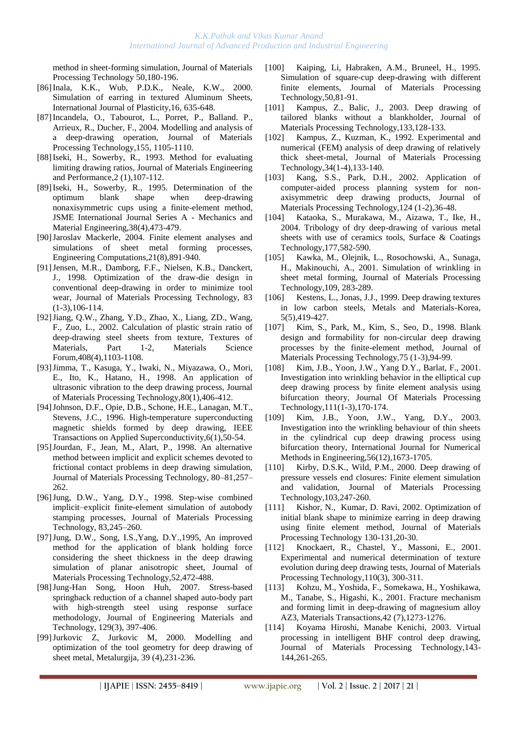method in sheet-forming simulation, Journal of Materials Processing Technology 50,180-196.

- [86]Inala, K.K., Wub, P.D.K., Neale, K.W., 2000. Simulation of earring in textured Aluminum Sheets, International Journal of Plasticity,16, 635-648.
- [87[\]Incandela, O.,](http://apps.isiknowledge.com/WoS/CIW.cgi?SID=4F4DgpBnmJOk2a7nieI&Func=OneClickSearch&field=AU&val=Incandela+O&ut=000225845800001&auloc=1&curr_doc=1/252&Form=FullRecordPage&doc=1/252) [Tabourot, L.,](http://apps.isiknowledge.com/WoS/CIW.cgi?SID=4F4DgpBnmJOk2a7nieI&Func=OneClickSearch&field=AU&val=Tabourot+L&ut=000225845800001&auloc=2&curr_doc=1/252&Form=FullRecordPage&doc=1/252) [Porret, P.](http://apps.isiknowledge.com/WoS/CIW.cgi?SID=4F4DgpBnmJOk2a7nieI&Func=OneClickSearch&field=AU&val=Porret+P&ut=000225845800001&auloc=3&curr_doc=1/252&Form=FullRecordPage&doc=1/252), [Balland. P.](http://apps.isiknowledge.com/WoS/CIW.cgi?SID=4F4DgpBnmJOk2a7nieI&Func=OneClickSearch&field=AU&val=Balland+P&ut=000225845800001&auloc=4&curr_doc=1/252&Form=FullRecordPage&doc=1/252), [Arrieux, R.](http://apps.isiknowledge.com/WoS/CIW.cgi?SID=4F4DgpBnmJOk2a7nieI&Func=OneClickSearch&field=AU&val=Arrieux+R&ut=000225845800001&auloc=5&curr_doc=1/252&Form=FullRecordPage&doc=1/252), [Ducher, F.](http://apps.isiknowledge.com/WoS/CIW.cgi?SID=4F4DgpBnmJOk2a7nieI&Func=OneClickSearch&field=AU&val=Ducher+F&ut=000225845800001&auloc=6&curr_doc=1/252&Form=FullRecordPage&doc=1/252), 2004. Modelling and analysis of a deep-drawing operation, Journal of Materials Processing Technology,155, 1105-1110.
- [88[\]Iseki, H.,](http://apps.isiknowledge.com/WoS/CIW.cgi?SID=1AJM5iKdKA546ePn1B6&Func=OneClickSearch&field=AU&val=ISEKI+H&ut=A1993KT38500010&auloc=1&curr_doc=1/1099&Form=FullRecordPage&doc=1/1099) [Sowerby, R.](http://apps.isiknowledge.com/WoS/CIW.cgi?SID=1AJM5iKdKA546ePn1B6&Func=OneClickSearch&field=AU&val=SOWERBY+R&ut=A1993KT38500010&auloc=2&curr_doc=1/1099&Form=FullRecordPage&doc=1/1099), 1993. Method for evaluating limiting drawing ratios, Journal of Materials Engineering and Performance,2 (1),107-112.
- [89[\]Iseki, H.](http://apps.isiknowledge.com/WoS/CIW.cgi?SID=1AJM5iKdKA546ePn1B6&Func=OneClickSearch&field=AU&val=ISEKI+H&ut=A1995TF11700010&auloc=1&curr_doc=1/986&Form=FullRecordPage&doc=1/986), [Sowerby, R.](http://apps.isiknowledge.com/WoS/CIW.cgi?SID=1AJM5iKdKA546ePn1B6&Func=OneClickSearch&field=AU&val=SOWERBY+R&ut=A1995TF11700010&auloc=2&curr_doc=1/986&Form=FullRecordPage&doc=1/986), 1995. Determination of the optimum blank shape when deep-drawing nonaxisymmetric cups using a finite-element method, JSME International Journal Series A - Mechanics and Material Engineering,38(4),473-479.
- [90]Jaroslav Mackerle, 2004. Finite element analyses and simulations of sheet metal forming processes, Engineering Computations,21(8),891-940.
- [91[\]Jensen, M.R.](http://apps.isiknowledge.com/WoS/CIW.cgi?SID=2DkOCF9aP3omdaABJnA&Func=OneClickSearch&field=AU&val=Jensen+MR&ut=000076192500011&auloc=1&curr_doc=1/795&Form=FullRecordPage&doc=1/795), [Damborg, F.F.,](http://apps.isiknowledge.com/WoS/CIW.cgi?SID=2DkOCF9aP3omdaABJnA&Func=OneClickSearch&field=AU&val=Damborg+FF&ut=000076192500011&auloc=2&curr_doc=1/795&Form=FullRecordPage&doc=1/795) [Nielsen, K.B.](http://apps.isiknowledge.com/WoS/CIW.cgi?SID=2DkOCF9aP3omdaABJnA&Func=OneClickSearch&field=AU&val=Nielsen+KB&ut=000076192500011&auloc=3&curr_doc=1/795&Form=FullRecordPage&doc=1/795), [Danckert,](http://apps.isiknowledge.com/WoS/CIW.cgi?SID=2DkOCF9aP3omdaABJnA&Func=OneClickSearch&field=AU&val=Danckert+J&ut=000076192500011&auloc=4&curr_doc=1/795&Form=FullRecordPage&doc=1/795)  [J.](http://apps.isiknowledge.com/WoS/CIW.cgi?SID=2DkOCF9aP3omdaABJnA&Func=OneClickSearch&field=AU&val=Danckert+J&ut=000076192500011&auloc=4&curr_doc=1/795&Form=FullRecordPage&doc=1/795), 1998. Optimization of the draw-die design in conventional deep-drawing in order to minimize tool wear, Journal of Materials Processing Technology, 83 (1-3),106-114.
- [92[\]Jiang, Q.W.](http://apps.isiknowledge.com/WoS/CIW.cgi?SID=2DkOCF9aP3omdaABJnA&Func=OneClickSearch&field=AU&val=Jiang+QW&ut=000178202200173&auloc=1&curr_doc=1/468&Form=FullRecordPage&doc=1/468), [Zhang, Y.D.](http://apps.isiknowledge.com/WoS/CIW.cgi?SID=2DkOCF9aP3omdaABJnA&Func=OneClickSearch&field=AU&val=Zhang+YD&ut=000178202200173&auloc=2&curr_doc=1/468&Form=FullRecordPage&doc=1/468), [Zhao, X.](http://apps.isiknowledge.com/WoS/CIW.cgi?SID=2DkOCF9aP3omdaABJnA&Func=OneClickSearch&field=AU&val=Zhao+X&ut=000178202200173&auloc=3&curr_doc=1/468&Form=FullRecordPage&doc=1/468), [Liang, ZD.](http://apps.isiknowledge.com/WoS/CIW.cgi?SID=2DkOCF9aP3omdaABJnA&Func=OneClickSearch&field=AU&val=Liang+ZD&ut=000178202200173&auloc=4&curr_doc=1/468&Form=FullRecordPage&doc=1/468), [Wang,](http://apps.isiknowledge.com/WoS/CIW.cgi?SID=2DkOCF9aP3omdaABJnA&Func=OneClickSearch&field=AU&val=Wang+F&ut=000178202200173&auloc=5&curr_doc=1/468&Form=FullRecordPage&doc=1/468)  [F.](http://apps.isiknowledge.com/WoS/CIW.cgi?SID=2DkOCF9aP3omdaABJnA&Func=OneClickSearch&field=AU&val=Wang+F&ut=000178202200173&auloc=5&curr_doc=1/468&Form=FullRecordPage&doc=1/468), [Zuo, L.](http://apps.isiknowledge.com/WoS/CIW.cgi?SID=2DkOCF9aP3omdaABJnA&Func=OneClickSearch&field=AU&val=Zuo+L&ut=000178202200173&auloc=6&curr_doc=1/468&Form=FullRecordPage&doc=1/468), 2002. Calculation of plastic strain ratio of deep-drawing steel sheets from texture, Textures of Materials, Part 1-2, Materials Science Forum,408(4),1103-1108.
- [93[\]Jimma, T.](http://apps.isiknowledge.com/WoS/CIW.cgi?SID=2DkOCF9aP3omdaABJnA&Func=OneClickSearch&field=AU&val=Jimma+T&ut=000075700400068&auloc=1&curr_doc=1/804&Form=FullRecordPage&doc=1/804), [Kasuga, Y.,](http://apps.isiknowledge.com/WoS/CIW.cgi?SID=2DkOCF9aP3omdaABJnA&Func=OneClickSearch&field=AU&val=Kasuga+Y&ut=000075700400068&auloc=2&curr_doc=1/804&Form=FullRecordPage&doc=1/804) [Iwaki, N.](http://apps.isiknowledge.com/WoS/CIW.cgi?SID=2DkOCF9aP3omdaABJnA&Func=OneClickSearch&field=AU&val=Iwaki+N&ut=000075700400068&auloc=3&curr_doc=1/804&Form=FullRecordPage&doc=1/804), [Miyazawa, O.,](http://apps.isiknowledge.com/WoS/CIW.cgi?SID=2DkOCF9aP3omdaABJnA&Func=OneClickSearch&field=AU&val=Miyazawa+O&ut=000075700400068&auloc=4&curr_doc=1/804&Form=FullRecordPage&doc=1/804) [Mori,](http://apps.isiknowledge.com/WoS/CIW.cgi?SID=2DkOCF9aP3omdaABJnA&Func=OneClickSearch&field=AU&val=Mori+E&ut=000075700400068&auloc=5&curr_doc=1/804&Form=FullRecordPage&doc=1/804)  [E.](http://apps.isiknowledge.com/WoS/CIW.cgi?SID=2DkOCF9aP3omdaABJnA&Func=OneClickSearch&field=AU&val=Mori+E&ut=000075700400068&auloc=5&curr_doc=1/804&Form=FullRecordPage&doc=1/804), [Ito, K.](http://apps.isiknowledge.com/WoS/CIW.cgi?SID=2DkOCF9aP3omdaABJnA&Func=OneClickSearch&field=AU&val=Ito+K&ut=000075700400068&auloc=6&curr_doc=1/804&Form=FullRecordPage&doc=1/804), [Hatano, H.](http://apps.isiknowledge.com/WoS/CIW.cgi?SID=2DkOCF9aP3omdaABJnA&Func=OneClickSearch&field=AU&val=Hatano+H&ut=000075700400068&auloc=7&curr_doc=1/804&Form=FullRecordPage&doc=1/804), 1998. An application of ultrasonic vibration to the deep drawing process, Journal of Materials Processing Technology,80(1),406-412.
- [94[\]Johnson, D.F.](http://apps.isiknowledge.com/WoS/CIW.cgi?SID=1AJM5iKdKA546ePn1B6&Func=OneClickSearch&field=AU&val=Johnson+DF&ut=A1996UJ41900010&auloc=1&curr_doc=1/969&Form=FullRecordPage&doc=1/969), [Opie, D.B.](http://apps.isiknowledge.com/WoS/CIW.cgi?SID=1AJM5iKdKA546ePn1B6&Func=OneClickSearch&field=AU&val=Opie+DB&ut=A1996UJ41900010&auloc=2&curr_doc=1/969&Form=FullRecordPage&doc=1/969), [Schone, H.E.](http://apps.isiknowledge.com/WoS/CIW.cgi?SID=1AJM5iKdKA546ePn1B6&Func=OneClickSearch&field=AU&val=Schone+HE&ut=A1996UJ41900010&auloc=3&curr_doc=1/969&Form=FullRecordPage&doc=1/969), [Lanagan, M.T.](http://apps.isiknowledge.com/WoS/CIW.cgi?SID=1AJM5iKdKA546ePn1B6&Func=OneClickSearch&field=AU&val=Lanagan+MT&ut=A1996UJ41900010&auloc=4&curr_doc=1/969&Form=FullRecordPage&doc=1/969), [Stevens, J.C.](http://apps.isiknowledge.com/WoS/CIW.cgi?SID=1AJM5iKdKA546ePn1B6&Func=OneClickSearch&field=AU&val=Stevens+JC&ut=A1996UJ41900010&auloc=5&curr_doc=1/969&Form=FullRecordPage&doc=1/969), 1996. High-temperature superconducting magnetic shields formed by deep drawing, IEEE Transactions on Applied Superconductivity,6(1),50-54.
- [95]Jourdan, F., Jean, M., Alart, P., 1998. An alternative method between implicit and explicit schemes devoted to frictional contact problems in deep drawing simulation, Journal of Materials Processing Technology, 80–81,257– 262.
- [96]Jung, D.W., Yang, D.Y., 1998. Step-wise combined implicit–explicit finite-element simulation of autobody stamping processes, Journal of Materials Processing Technology, 83,245–260.
- [97]Jung, D.W., Song, I.S.,Yang, D.Y.,1995, An improved method for the application of blank holding force considering the sheet thickness in the deep drawing simulation of planar anisotropic sheet, Journal of Materials Processing Technology,52,472-488.
- [98[\]Jung-Han Song,](http://scitation.aip.org/vsearch/servlet/VerityServlet?KEY=ALL&possible1=Song%2C+Jung-Han&possible1zone=author&maxdisp=25&smode=strresults&aqs=true) [Hoon Huh,](http://scitation.aip.org/vsearch/servlet/VerityServlet?KEY=ALL&possible1=Huh%2C+Hoon&possible1zone=author&maxdisp=25&smode=strresults&aqs=true) 2007. Stress-based springback reduction of a channel shaped auto-body part with high-strength steel using response surface methodology, Journal of Engineering Materials and Technology, 129(3), 397-406.
- [99[\]Jurkovic Z,](http://apps.isiknowledge.com/WoS/CIW.cgi?SID=2DkOCF9aP3omdaABJnA&Func=OneClickSearch&field=AU&val=Jurkovic+Z&ut=000089462100002&auloc=1&curr_doc=1/654&Form=FullRecordPage&doc=1/654) [Jurkovic M,](http://apps.isiknowledge.com/WoS/CIW.cgi?SID=2DkOCF9aP3omdaABJnA&Func=OneClickSearch&field=AU&val=Jurkovic+M&ut=000089462100002&auloc=2&curr_doc=1/654&Form=FullRecordPage&doc=1/654) 2000. Modelling and optimization of the tool geometry for deep drawing of sheet metal, Metalurgija, 39 (4),231-236.
- [100] Kaiping, Li, Habraken, A.M., Bruneel, H., 1995. Simulation of square-cup deep-drawing with different finite elements, Journal of Materials Processing Technology,50,81-91.
- [101] Kampus, Z., Balic, J., 2003. Deep drawing of tailored blanks without a blankholder, Journal of Materials Processing Technology,133,128-133.
- [102] [Kampus, Z.](http://apps.isiknowledge.com/WoS/CIW.cgi?SID=1AJM5iKdKA546ePn1B6&Func=OneClickSearch&field=AU&val=KAMPUS+Z&ut=A1992JQ97700016&auloc=1&curr_doc=1/1112&Form=FullRecordPage&doc=1/1112), [Kuzman, K.](http://apps.isiknowledge.com/WoS/CIW.cgi?SID=1AJM5iKdKA546ePn1B6&Func=OneClickSearch&field=AU&val=KUZMAN+K&ut=A1992JQ97700016&auloc=2&curr_doc=1/1112&Form=FullRecordPage&doc=1/1112), 1992. Experimental and numerical (FEM) analysis of deep drawing of relatively thick sheet-metal, Journal of Materials Processing Technology,34(1-4),133-140.
- [103] [Kang, S.S.](http://apps.isiknowledge.com/WoS/CIW.cgi?SID=2DkOCF9aP3omdaABJnA&Func=OneClickSearch&field=AU&val=Kang+SS&ut=000176776800007&auloc=1&curr_doc=1/497&Form=FullRecordPage&doc=1/497), [Park, D.H.](http://apps.isiknowledge.com/WoS/CIW.cgi?SID=2DkOCF9aP3omdaABJnA&Func=OneClickSearch&field=AU&val=Park+DH&ut=000176776800007&auloc=2&curr_doc=1/497&Form=FullRecordPage&doc=1/497), 2002. Application of computer-aided process planning system for nonaxisymmetric deep drawing products, Journal of Materials Processing Technology,124 (1-2),36-48.
- [104] [Kataoka, S.](http://apps.isiknowledge.com/WoS/CIW.cgi?SID=2DkOCF9aP3omdaABJnA&Func=OneClickSearch&field=AU&val=Kataoka+S&ut=000189038100087&auloc=1&curr_doc=1/344&Form=FullRecordPage&doc=1/344), [Murakawa, M.](http://apps.isiknowledge.com/WoS/CIW.cgi?SID=2DkOCF9aP3omdaABJnA&Func=OneClickSearch&field=AU&val=Murakawa+M&ut=000189038100087&auloc=2&curr_doc=1/344&Form=FullRecordPage&doc=1/344), [Aizawa, T.,](http://apps.isiknowledge.com/WoS/CIW.cgi?SID=2DkOCF9aP3omdaABJnA&Func=OneClickSearch&field=AU&val=Aizawa+T&ut=000189038100087&auloc=3&curr_doc=1/344&Form=FullRecordPage&doc=1/344) [Ike, H.](http://apps.isiknowledge.com/WoS/CIW.cgi?SID=2DkOCF9aP3omdaABJnA&Func=OneClickSearch&field=AU&val=Ike+H&ut=000189038100087&auloc=4&curr_doc=1/344&Form=FullRecordPage&doc=1/344), 2004. Tribology of dry deep-drawing of various metal sheets with use of ceramics tools, Surface & Coatings Technology,177,582-590.
- [105] Kawka, M., Olejnik, L., Rosochowski, A., Sunaga, H., Makinouchi, A., 2001. Simulation of wrinkling in sheet metal forming, Journal of Materials Processing Technology,109, 283-289.
- [106] [Kestens, L.](http://apps.isiknowledge.com/WoS/CIW.cgi?SID=2DkOCF9aP3omdaABJnA&Func=OneClickSearch&field=AU&val=Kestens+L&ut=000083514400002&auloc=1&curr_doc=1/722&Form=FullRecordPage&doc=1/722), [Jonas, J.J.](http://apps.isiknowledge.com/WoS/CIW.cgi?SID=2DkOCF9aP3omdaABJnA&Func=OneClickSearch&field=AU&val=Jonas+JJ&ut=000083514400002&auloc=2&curr_doc=1/722&Form=FullRecordPage&doc=1/722), 1999. Deep drawing textures in low carbon steels, Metals and Materials-Korea, 5(5),419-427.
- [107] [Kim, S.](http://apps.isiknowledge.com/WoS/CIW.cgi?SID=1AJM5iKdKA546ePn1B6&Func=OneClickSearch&field=AU&val=Kim+S&ut=000072750200012&auloc=1&curr_doc=1/845&Form=FullRecordPage&doc=1/845), [Park, M.](http://apps.isiknowledge.com/WoS/CIW.cgi?SID=1AJM5iKdKA546ePn1B6&Func=OneClickSearch&field=AU&val=Park+M&ut=000072750200012&auloc=2&curr_doc=1/845&Form=FullRecordPage&doc=1/845), [Kim, S.](http://apps.isiknowledge.com/WoS/CIW.cgi?SID=1AJM5iKdKA546ePn1B6&Func=OneClickSearch&field=AU&val=Kim+S&ut=000072750200012&auloc=3&curr_doc=1/845&Form=FullRecordPage&doc=1/845), [Seo, D.](http://apps.isiknowledge.com/WoS/CIW.cgi?SID=1AJM5iKdKA546ePn1B6&Func=OneClickSearch&field=AU&val=Seo+D&ut=000072750200012&auloc=4&curr_doc=1/845&Form=FullRecordPage&doc=1/845), 1998. Blank design and formability for non-circular deep drawing processes by the finite-element method, Journal of Materials Processing Technology,75 (1-3),94-99.
- [108] [Kim, J.B.](http://apps.isiknowledge.com/WoS/CIW.cgi?SID=2DkOCF9aP3omdaABJnA&Func=OneClickSearch&field=AU&val=Kim+JB&ut=000168462000033&auloc=1&curr_doc=1/606&Form=FullRecordPage&doc=1/606), [Yoon, J.W.](http://apps.isiknowledge.com/WoS/CIW.cgi?SID=2DkOCF9aP3omdaABJnA&Func=OneClickSearch&field=AU&val=Yoon+JW&ut=000168462000033&auloc=2&curr_doc=1/606&Form=FullRecordPage&doc=1/606), [Yang D.Y.](http://apps.isiknowledge.com/WoS/CIW.cgi?SID=2DkOCF9aP3omdaABJnA&Func=OneClickSearch&field=AU&val=Yang+DY&ut=000168462000033&auloc=3&curr_doc=1/606&Form=FullRecordPage&doc=1/606), [Barlat, F.](http://apps.isiknowledge.com/WoS/CIW.cgi?SID=2DkOCF9aP3omdaABJnA&Func=OneClickSearch&field=AU&val=Barlat+F&ut=000168462000033&auloc=4&curr_doc=1/606&Form=FullRecordPage&doc=1/606), 2001. Investigation into wrinkling behavior in the elliptical cup deep drawing process by finite element analysis using bifurcation theory, Journal Of Materials Processing Technology,111(1-3),170-174.
- [109] [Kim, J.B.](http://apps.isiknowledge.com/WoS/CIW.cgi?SID=2DkOCF9aP3omdaABJnA&Func=OneClickSearch&field=AU&val=Kim+JB&ut=000181820800001&auloc=1&curr_doc=1/424&Form=FullRecordPage&doc=1/424), [Yoon, J.W.](http://apps.isiknowledge.com/WoS/CIW.cgi?SID=2DkOCF9aP3omdaABJnA&Func=OneClickSearch&field=AU&val=Yoon+JW&ut=000181820800001&auloc=2&curr_doc=1/424&Form=FullRecordPage&doc=1/424), [Yang, D.Y.,](http://apps.isiknowledge.com/WoS/CIW.cgi?SID=2DkOCF9aP3omdaABJnA&Func=OneClickSearch&field=AU&val=Yang+DY&ut=000181820800001&auloc=3&curr_doc=1/424&Form=FullRecordPage&doc=1/424) 2003. Investigation into the wrinkling behaviour of thin sheets in the cylindrical cup deep drawing process using bifurcation theory, International Journal for Numerical Methods in Engineering,56(12),1673-1705.
- [110] Kirby, D.S.K., Wild, P.M., 2000. Deep drawing of pressure vessels end closures: Finite element simulation and validation, Journal of Materials Processing Technology,103,247-260.
- [111] Kishor, N., Kumar, D. Ravi, 2002. Optimization of initial blank shape to minimize earring in deep drawing using finite element method, Journal of Materials Processing Technology 130-131,20-30.
- [112] [Knockaert, R.,](http://apps.isiknowledge.com/WoS/CIW.cgi?SID=2DkOCF9aP3omdaABJnA&Func=OneClickSearch&field=AU&val=Knockaert+R&ut=000167487800005&auloc=1&curr_doc=1/613&Form=FullRecordPage&doc=1/613) [Chastel, Y.](http://apps.isiknowledge.com/WoS/CIW.cgi?SID=2DkOCF9aP3omdaABJnA&Func=OneClickSearch&field=AU&val=Chastel+Y&ut=000167487800005&auloc=2&curr_doc=1/613&Form=FullRecordPage&doc=1/613), [Massoni, E.,](http://apps.isiknowledge.com/WoS/CIW.cgi?SID=2DkOCF9aP3omdaABJnA&Func=OneClickSearch&field=AU&val=Massoni+E&ut=000167487800005&auloc=3&curr_doc=1/613&Form=FullRecordPage&doc=1/613) 2001. Experimental and numerical determination of texture evolution during deep drawing tests, Journal of Materials Processing Technology,110(3), 300-311.
- [113] [Kohzu, M.](http://apps.isiknowledge.com/WoS/CIW.cgi?SID=2DkOCF9aP3omdaABJnA&Func=OneClickSearch&field=AU&val=Kohzu+M&ut=000170408600021&auloc=1&curr_doc=1/577&Form=FullRecordPage&doc=1/577), [Yoshida, F.](http://apps.isiknowledge.com/WoS/CIW.cgi?SID=2DkOCF9aP3omdaABJnA&Func=OneClickSearch&field=AU&val=Yoshida+F&ut=000170408600021&auloc=2&curr_doc=1/577&Form=FullRecordPage&doc=1/577), [Somekawa, H.](http://apps.isiknowledge.com/WoS/CIW.cgi?SID=2DkOCF9aP3omdaABJnA&Func=OneClickSearch&field=AU&val=Somekawa+H&ut=000170408600021&auloc=3&curr_doc=1/577&Form=FullRecordPage&doc=1/577), [Yoshikawa,](http://apps.isiknowledge.com/WoS/CIW.cgi?SID=2DkOCF9aP3omdaABJnA&Func=OneClickSearch&field=AU&val=Yoshikawa+M&ut=000170408600021&auloc=4&curr_doc=1/577&Form=FullRecordPage&doc=1/577)  [M.](http://apps.isiknowledge.com/WoS/CIW.cgi?SID=2DkOCF9aP3omdaABJnA&Func=OneClickSearch&field=AU&val=Yoshikawa+M&ut=000170408600021&auloc=4&curr_doc=1/577&Form=FullRecordPage&doc=1/577), [Tanabe, S.](http://apps.isiknowledge.com/WoS/CIW.cgi?SID=2DkOCF9aP3omdaABJnA&Func=OneClickSearch&field=AU&val=Tanabe+S&ut=000170408600021&auloc=5&curr_doc=1/577&Form=FullRecordPage&doc=1/577), [Higashi, K.](http://apps.isiknowledge.com/WoS/CIW.cgi?SID=2DkOCF9aP3omdaABJnA&Func=OneClickSearch&field=AU&val=Higashi+K&ut=000170408600021&auloc=6&curr_doc=1/577&Form=FullRecordPage&doc=1/577), 2001. Fracture mechanism and forming limit in deep-drawing of magnesium alloy AZ3, Materials Transactions,42 (7),1273-1276.
- [114] Koyama Hiroshi, Manabe Kenichi, 2003. Virtual processing in intelligent BHF control deep drawing, Journal of Materials Processing Technology,143- 144,261-265.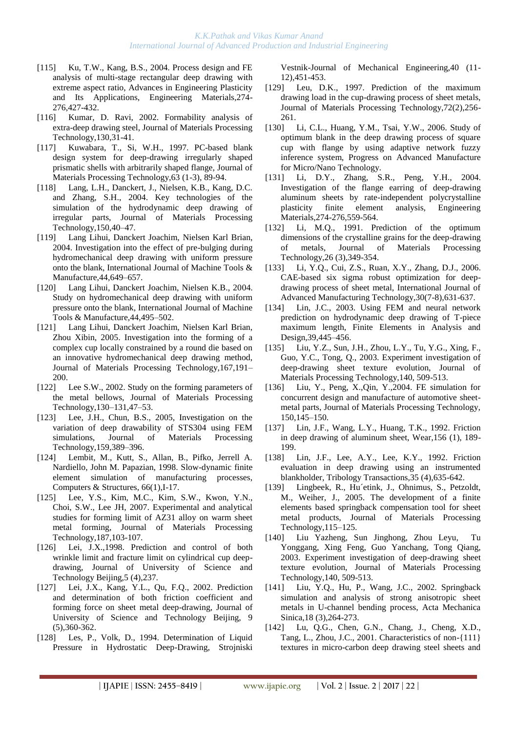- [115] [Ku, T.W.](http://apps.isiknowledge.com/WoS/CIW.cgi?SID=4F4DgpBnmJOk2a7nieI&Func=OneClickSearch&field=AU&val=Ku+TW&ut=000227161500069&auloc=1&curr_doc=1/239&Form=FullRecordPage&doc=1/239), [Kang, B.S.](http://apps.isiknowledge.com/WoS/CIW.cgi?SID=4F4DgpBnmJOk2a7nieI&Func=OneClickSearch&field=AU&val=Kang+BS&ut=000227161500069&auloc=2&curr_doc=1/239&Form=FullRecordPage&doc=1/239), 2004. Process design and FE analysis of multi-stage rectangular deep drawing with extreme aspect ratio, Advances in Engineering Plasticity and Its Applications, Engineering Materials,274- 276,427-432.
- [116] Kumar, D. Ravi, 2002. Formability analysis of extra-deep drawing steel, Journal of Materials Processing Technology,130,31-41.
- [117] [Kuwabara, T.](http://apps.isiknowledge.com/WoS/CIW.cgi?SID=1AJM5iKdKA546ePn1B6&Func=OneClickSearch&field=AU&val=Kuwabara+T&ut=A1997WA73000013&auloc=1&curr_doc=1/920&Form=FullRecordPage&doc=1/920), [Si, W.H.](http://apps.isiknowledge.com/WoS/CIW.cgi?SID=1AJM5iKdKA546ePn1B6&Func=OneClickSearch&field=AU&val=Si+WH&ut=A1997WA73000013&auloc=2&curr_doc=1/920&Form=FullRecordPage&doc=1/920), 1997. PC-based blank design system for deep-drawing irregularly shaped prismatic shells with arbitrarily shaped flange, Journal of Materials Processing Technology,63 (1-3), 89-94.
- [118] Lang, L.H., Danckert, J., Nielsen, K.B., Kang, D.C. and Zhang, S.H., 2004. Key technologies of the simulation of the hydrodynamic deep drawing of irregular parts, Journal of Materials Processing Technology,150,40–47.
- [119] Lang Lihui, Danckert Joachim, Nielsen Karl Brian, 2004. Investigation into the effect of pre-bulging during hydromechanical deep drawing with uniform pressure onto the blank, International Journal of Machine Tools & Manufacture,44,649–657.
- [120] Lang Lihui, Danckert Joachim, Nielsen K.B., 2004. Study on hydromechanical deep drawing with uniform pressure onto the blank, International Journal of Machine Tools & Manufacture,44,495–502.
- [121] Lang Lihui, Danckert Joachim, Nielsen Karl Brian, Zhou Xibin, 2005. Investigation into the forming of a complex cup locally constrained by a round die based on an innovative hydromechanical deep drawing method, Journal of Materials Processing Technology,167,191– 200.
- [122] Lee S.W., 2002. Study on the forming parameters of the metal bellows, Journal of Materials Processing Technology,130–131,47–53.
- [123] Lee, J.H., Chun, B.S., 2005, Investigation on the variation of deep drawability of STS304 using FEM simulations, Journal of Materials Processing Technology,159,389–396.
- [124] Lembit, M., Kutt, S., Allan, B., Pifko, Jerrell A. Nardiello, John M. Papazian, 1998. Slow-dynamic finite element simulation of manufacturing processes, Computers & Structures, 66(1),I-17.
- [125] [Lee, Y.S.](http://apps.isiknowledge.com/WoS/CIW.cgi?SID=3Cic8Oijl8M@MI142Hp&Func=OneClickSearch&field=AU&val=Lee+YS&ut=000245898200024&auloc=1&fullauth=%20(Lee,%20Y.%20S.)&curr_doc=1/13&Form=FullRecordPage&doc=1/13), [Kim, M.C.,](http://apps.isiknowledge.com/WoS/CIW.cgi?SID=3Cic8Oijl8M@MI142Hp&Func=OneClickSearch&field=AU&val=Kim+MC&ut=000245898200024&auloc=2&fullauth=%20(Kim,%20M.%20C.)&curr_doc=1/13&Form=FullRecordPage&doc=1/13) [Kim, S.W.](http://apps.isiknowledge.com/WoS/CIW.cgi?SID=3Cic8Oijl8M@MI142Hp&Func=OneClickSearch&field=AU&val=Kim+SW&ut=000245898200024&auloc=3&fullauth=%20(Kim,%20S.%20W.)&curr_doc=1/13&Form=FullRecordPage&doc=1/13), [Kwon, Y.N.](http://apps.isiknowledge.com/WoS/CIW.cgi?SID=3Cic8Oijl8M@MI142Hp&Func=OneClickSearch&field=AU&val=Kwon+YN&ut=000245898200024&auloc=4&fullauth=%20(Kwon,%20Y.%20N.)&curr_doc=1/13&Form=FullRecordPage&doc=1/13), [Choi, S.W.](http://apps.isiknowledge.com/WoS/CIW.cgi?SID=3Cic8Oijl8M@MI142Hp&Func=OneClickSearch&field=AU&val=Choi+SW&ut=000245898200024&auloc=5&fullauth=%20(Choi,%20S.%20W.)&curr_doc=1/13&Form=FullRecordPage&doc=1/13), [Lee JH,](http://apps.isiknowledge.com/WoS/CIW.cgi?SID=3Cic8Oijl8M@MI142Hp&Func=OneClickSearch&field=AU&val=Lee+JH&ut=000245898200024&auloc=6&fullauth=%20(Lee,%20J.%20H.)&curr_doc=1/13&Form=FullRecordPage&doc=1/13) 2007. Experimental and analytical studies for forming limit of AZ31 alloy on warm sheet metal forming, Journal of Materials Processing Technology,187,103-107.
- [126] [Lei, J.X.](http://apps.isiknowledge.com/WoS/CIW.cgi?SID=2DkOCF9aP3omdaABJnA&Func=OneClickSearch&field=AU&val=Lei+JX&ut=000080921800010&auloc=1&curr_doc=1/744&Form=FullRecordPage&doc=1/744), 1998. Prediction and control of both wrinkle limit and fracture limit on cylindrical cup deepdrawing, Journal of University of Science and Technology Beijing,5 (4),237.
- [127] [Lei, J.X.](http://apps.isiknowledge.com/WoS/CIW.cgi?SID=2DkOCF9aP3omdaABJnA&Func=OneClickSearch&field=AU&val=Lei+JX&ut=000179015000010&auloc=1&curr_doc=1/458&Form=FullRecordPage&doc=1/458), [Kang, Y.L.,](http://apps.isiknowledge.com/WoS/CIW.cgi?SID=2DkOCF9aP3omdaABJnA&Func=OneClickSearch&field=AU&val=Kang+YL&ut=000179015000010&auloc=2&curr_doc=1/458&Form=FullRecordPage&doc=1/458) [Qu, F.Q.](http://apps.isiknowledge.com/WoS/CIW.cgi?SID=2DkOCF9aP3omdaABJnA&Func=OneClickSearch&field=AU&val=Qu+FQ&ut=000179015000010&auloc=3&curr_doc=1/458&Form=FullRecordPage&doc=1/458), 2002. Prediction and determination of both friction coefficient and forming force on sheet metal deep-drawing, Journal of University of Science and Technology Beijing, 9 (5),360-362.
- [128] [Les, P.](http://apps.isiknowledge.com/WoS/CIW.cgi?SID=1AJM5iKdKA546ePn1B6&Func=OneClickSearch&field=AU&val=LES+P&ut=A1994QP58700009&auloc=1&curr_doc=1/1020&Form=FullRecordPage&doc=1/1020), [Volk, D.](http://apps.isiknowledge.com/WoS/CIW.cgi?SID=1AJM5iKdKA546ePn1B6&Func=OneClickSearch&field=AU&val=VOLK+D&ut=A1994QP58700009&auloc=2&curr_doc=1/1020&Form=FullRecordPage&doc=1/1020), 1994. Determination of Liquid Pressure in Hydrostatic Deep-Drawing, Strojniski

Vestnik-Journal of Mechanical Engineering,40 (11- 12),451-453.

- [129] [Leu, D.K.](http://apps.isiknowledge.com/WoS/CIW.cgi?SID=1AJM5iKdKA546ePn1B6&Func=OneClickSearch&field=AU&val=Leu+DK&ut=000071451400013&auloc=1&curr_doc=1/857&Form=FullRecordPage&doc=1/857), 1997. Prediction of the maximum drawing load in the cup-drawing process of sheet metals, Journal of Materials Processing Technology,72(2),256- 261.
- [130] [Li, C.L.](http://apps.isiknowledge.com/WoS/CIW.cgi?SID=4F4DgpBnmJOk2a7nieI&Func=OneClickSearch&field=AU&val=Li+CL&ut=000235279200122&auloc=1&curr_doc=1/135&Form=FullRecordPage&doc=1/135), [Huang, Y.M.,](http://apps.isiknowledge.com/WoS/CIW.cgi?SID=4F4DgpBnmJOk2a7nieI&Func=OneClickSearch&field=AU&val=Huang+YM&ut=000235279200122&auloc=2&curr_doc=1/135&Form=FullRecordPage&doc=1/135) [Tsai, Y.W.](http://apps.isiknowledge.com/WoS/CIW.cgi?SID=4F4DgpBnmJOk2a7nieI&Func=OneClickSearch&field=AU&val=Tsai+YW&ut=000235279200122&auloc=3&curr_doc=1/135&Form=FullRecordPage&doc=1/135), 2006. Study of optimum blank in the deep drawing process of square cup with flange by using adaptive network fuzzy inference system, Progress on Advanced Manufacture for Micro/Nano Technology.
- [131] [Li, D.Y.](http://apps.isiknowledge.com/WoS/CIW.cgi?SID=4F4DgpBnmJOk2a7nieI&Func=OneClickSearch&field=AU&val=Li+DY&ut=000227161500091&auloc=1&curr_doc=1/240&Form=FullRecordPage&doc=1/240), [Zhang, S.R.](http://apps.isiknowledge.com/WoS/CIW.cgi?SID=4F4DgpBnmJOk2a7nieI&Func=OneClickSearch&field=AU&val=Zhang+SR&ut=000227161500091&auloc=2&curr_doc=1/240&Form=FullRecordPage&doc=1/240), [Peng, Y.H.](http://apps.isiknowledge.com/WoS/CIW.cgi?SID=4F4DgpBnmJOk2a7nieI&Func=OneClickSearch&field=AU&val=Peng+YH&ut=000227161500091&auloc=3&curr_doc=1/240&Form=FullRecordPage&doc=1/240), 2004. Investigation of the flange earring of deep-drawing aluminum sheets by rate-independent polycrystalline plasticity finite element analysis, Engineering Materials,274-276,559-564.
- [132] [Li, M.Q.](http://apps.isiknowledge.com/WoS/CIW.cgi?SID=1AJM5iKdKA546ePn1B6&Func=OneClickSearch&field=AU&val=LI+MQ&ut=A1991GA94200008&auloc=1&curr_doc=1/1160&Form=FullRecordPage&doc=1/1160), 1991. Prediction of the optimum dimensions of the crystalline grains for the deep-drawing of metals, Journal of Materials Processing Technology,26 (3),349-354.
- [133] [Li, Y.Q.](http://apps.isiknowledge.com/WoS/CIW.cgi?SID=3Cic8Oijl8M@MI142Hp&Func=OneClickSearch&field=AU&val=Li+YQ&ut=000240556200006&auloc=1&fullauth=%20(Li,%20Y.%20Q.)&curr_doc=1/76&Form=FullRecordPage&doc=1/76), [Cui, Z.S.](http://apps.isiknowledge.com/WoS/CIW.cgi?SID=3Cic8Oijl8M@MI142Hp&Func=OneClickSearch&field=AU&val=Cui+ZS&ut=000240556200006&auloc=2&fullauth=%20(Cui,%20Z.%20S.)&curr_doc=1/76&Form=FullRecordPage&doc=1/76), [Ruan, X.Y.](http://apps.isiknowledge.com/WoS/CIW.cgi?SID=3Cic8Oijl8M@MI142Hp&Func=OneClickSearch&field=AU&val=Ruan+XY&ut=000240556200006&auloc=3&fullauth=%20(Ruan,%20X.%20Y.)&curr_doc=1/76&Form=FullRecordPage&doc=1/76), [Zhang, D.J.](http://apps.isiknowledge.com/WoS/CIW.cgi?SID=3Cic8Oijl8M@MI142Hp&Func=OneClickSearch&field=AU&val=Zhang+DJ&ut=000240556200006&auloc=4&fullauth=%20(Zhang,%20D.%20J.)&curr_doc=1/76&Form=FullRecordPage&doc=1/76), 2006. CAE-based six sigma robust optimization for deepdrawing process of sheet metal, International Journal of Advanced Manufacturing Technology,30(7-8),631-637.
- [134] Lin, J.C., 2003. Using FEM and neural network prediction on hydrodynamic deep drawing of T-piece maximum length, Finite Elements in Analysis and Design,39,445–456.
- [135] [Liu, Y.Z.](http://apps.isiknowledge.com/WoS/CIW.cgi?SID=2DkOCF9aP3omdaABJnA&Func=OneClickSearch&field=AU&val=Liu+YZ&ut=000185489700089&auloc=1&curr_doc=1/375&Form=FullRecordPage&doc=1/375), [Sun, J.H.](http://apps.isiknowledge.com/WoS/CIW.cgi?SID=2DkOCF9aP3omdaABJnA&Func=OneClickSearch&field=AU&val=Sun+JH&ut=000185489700089&auloc=2&curr_doc=1/375&Form=FullRecordPage&doc=1/375), [Zhou, L.Y.](http://apps.isiknowledge.com/WoS/CIW.cgi?SID=2DkOCF9aP3omdaABJnA&Func=OneClickSearch&field=AU&val=Zhou+LY&ut=000185489700089&auloc=3&curr_doc=1/375&Form=FullRecordPage&doc=1/375), [Tu, Y.G.](http://apps.isiknowledge.com/WoS/CIW.cgi?SID=2DkOCF9aP3omdaABJnA&Func=OneClickSearch&field=AU&val=Tu+YG&ut=000185489700089&auloc=4&curr_doc=1/375&Form=FullRecordPage&doc=1/375), [Xing, F.](http://apps.isiknowledge.com/WoS/CIW.cgi?SID=2DkOCF9aP3omdaABJnA&Func=OneClickSearch&field=AU&val=Xing+F&ut=000185489700089&auloc=5&curr_doc=1/375&Form=FullRecordPage&doc=1/375), [Guo, Y.C.,](http://apps.isiknowledge.com/WoS/CIW.cgi?SID=2DkOCF9aP3omdaABJnA&Func=OneClickSearch&field=AU&val=Guo+YC&ut=000185489700089&auloc=6&curr_doc=1/375&Form=FullRecordPage&doc=1/375) [Tong, Q.](http://apps.isiknowledge.com/WoS/CIW.cgi?SID=2DkOCF9aP3omdaABJnA&Func=OneClickSearch&field=AU&val=Tong+Q&ut=000185489700089&auloc=7&curr_doc=1/375&Form=FullRecordPage&doc=1/375), 2003. Experiment investigation of deep-drawing sheet texture evolution, Journal of Materials Processing Technology,140, 509-513.
- [136] Liu, Y., Peng, X.,Qin, Y.,2004. FE simulation for concurrent design and manufacture of automotive sheetmetal parts, Journal of Materials Processing Technology, 150,145–150.
- [137] [Lin, J.](http://apps.isiknowledge.com/WoS/CIW.cgi?SID=1AJM5iKdKA546ePn1B6&Func=OneClickSearch&field=AU&val=LIN+JF&ut=A1992JF58500014&auloc=1&curr_doc=1/1124&Form=FullRecordPage&doc=1/1124)F., [Wang, L.Y](http://apps.isiknowledge.com/WoS/CIW.cgi?SID=1AJM5iKdKA546ePn1B6&Func=OneClickSearch&field=AU&val=WANG+LY&ut=A1992JF58500014&auloc=2&curr_doc=1/1124&Form=FullRecordPage&doc=1/1124)., [Huang, T.](http://apps.isiknowledge.com/WoS/CIW.cgi?SID=1AJM5iKdKA546ePn1B6&Func=OneClickSearch&field=AU&val=HUANG+TK&ut=A1992JF58500014&auloc=3&curr_doc=1/1124&Form=FullRecordPage&doc=1/1124)K., 1992. Friction in deep drawing of aluminum sheet, Wear,156 (1), 189- 199.
- [138] [Lin, J.](http://apps.isiknowledge.com/WoS/CIW.cgi?SID=1AJM5iKdKA546ePn1B6&Func=OneClickSearch&field=AU&val=LIN+JF&ut=A1992JR74600008&auloc=1&curr_doc=1/1116&Form=FullRecordPage&doc=1/1116)F., [Lee, A.Y](http://apps.isiknowledge.com/WoS/CIW.cgi?SID=1AJM5iKdKA546ePn1B6&Func=OneClickSearch&field=AU&val=LEE+AY&ut=A1992JR74600008&auloc=2&curr_doc=1/1116&Form=FullRecordPage&doc=1/1116)., [Lee, K.](http://apps.isiknowledge.com/WoS/CIW.cgi?SID=1AJM5iKdKA546ePn1B6&Func=OneClickSearch&field=AU&val=LEE+KY&ut=A1992JR74600008&auloc=3&curr_doc=1/1116&Form=FullRecordPage&doc=1/1116)Y., 1992. Friction evaluation in deep drawing using an instrumented blankholder, Tribology Transactions,35 (4),635-642.
- [139] Lingbeek, R., Hu´etink, J., Ohnimus, S., Petzoldt, M., Weiher, J., 2005. The development of a finite elements based springback compensation tool for sheet metal products, Journal of Materials Processing Technology,115–125.
- [140] Liu Yazheng, Sun Jinghong, Zhou Leyu, Tu Yonggang, Xing Feng, Guo Yanchang, Tong Qiang, 2003. Experiment investigation of deep-drawing sheet texture evolution, Journal of Materials Processing Technology,140, 509-513.
- [141] [Liu, Y.Q.,](http://apps.isiknowledge.com/WoS/CIW.cgi?SID=2DkOCF9aP3omdaABJnA&Func=OneClickSearch&field=AU&val=Liu+YQ&ut=000176582600007&auloc=1&curr_doc=1/501&Form=FullRecordPage&doc=1/501) [Hu, P.](http://apps.isiknowledge.com/WoS/CIW.cgi?SID=2DkOCF9aP3omdaABJnA&Func=OneClickSearch&field=AU&val=Hu+P&ut=000176582600007&auloc=2&curr_doc=1/501&Form=FullRecordPage&doc=1/501), [Wang, J.C.](http://apps.isiknowledge.com/WoS/CIW.cgi?SID=2DkOCF9aP3omdaABJnA&Func=OneClickSearch&field=AU&val=Wang+JC&ut=000176582600007&auloc=3&curr_doc=1/501&Form=FullRecordPage&doc=1/501), 2002. Springback simulation and analysis of strong anisotropic sheet metals in U-channel bending process, Acta Mechanica Sinica,18 (3),264-273.
- [142] [Lu, Q.G.,](http://apps.isiknowledge.com/WoS/CIW.cgi?SID=2DkOCF9aP3omdaABJnA&Func=OneClickSearch&field=AU&val=Lu+QG&ut=000172766900002&auloc=1&curr_doc=1/540&Form=FullRecordPage&doc=1/540) [Chen, G.N.](http://apps.isiknowledge.com/WoS/CIW.cgi?SID=2DkOCF9aP3omdaABJnA&Func=OneClickSearch&field=AU&val=Chen+GN&ut=000172766900002&auloc=2&curr_doc=1/540&Form=FullRecordPage&doc=1/540), [Chang, J.](http://apps.isiknowledge.com/WoS/CIW.cgi?SID=2DkOCF9aP3omdaABJnA&Func=OneClickSearch&field=AU&val=Chang+J&ut=000172766900002&auloc=3&curr_doc=1/540&Form=FullRecordPage&doc=1/540), [Cheng, X.D.](http://apps.isiknowledge.com/WoS/CIW.cgi?SID=2DkOCF9aP3omdaABJnA&Func=OneClickSearch&field=AU&val=Cheng+XD&ut=000172766900002&auloc=4&curr_doc=1/540&Form=FullRecordPage&doc=1/540), [Tang, L.](http://apps.isiknowledge.com/WoS/CIW.cgi?SID=2DkOCF9aP3omdaABJnA&Func=OneClickSearch&field=AU&val=Tang+L&ut=000172766900002&auloc=5&curr_doc=1/540&Form=FullRecordPage&doc=1/540), [Zhou, J.C.](http://apps.isiknowledge.com/WoS/CIW.cgi?SID=2DkOCF9aP3omdaABJnA&Func=OneClickSearch&field=AU&val=Zhou+JC&ut=000172766900002&auloc=6&curr_doc=1/540&Form=FullRecordPage&doc=1/540), 2001. Characteristics of non-{111} textures in micro-carbon deep drawing steel sheets and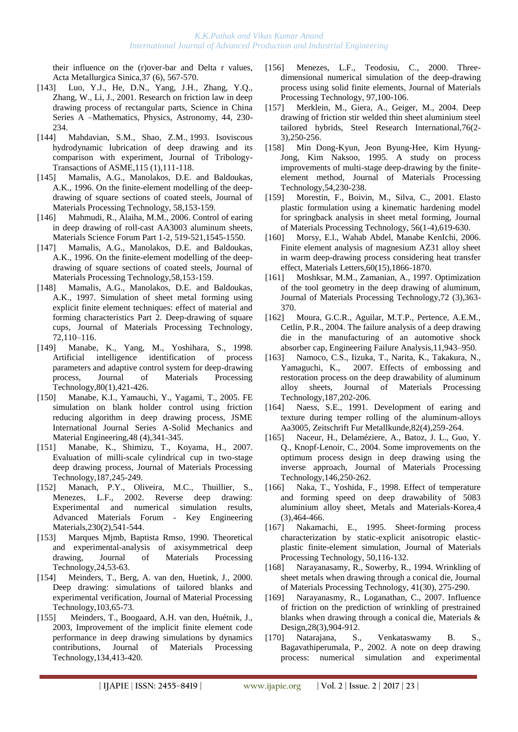their influence on the (r)over-bar and Delta r values, Acta Metallurgica Sinica,37 (6), 567-570.

- [143] [Luo, Y.J.](http://apps.isiknowledge.com/WoS/CIW.cgi?SID=2DkOCF9aP3omdaABJnA&Func=OneClickSearch&field=AU&val=Luo+YJ&ut=000171793000036&auloc=1&curr_doc=1/554&Form=FullRecordPage&doc=1/554), [He, D.N.](http://apps.isiknowledge.com/WoS/CIW.cgi?SID=2DkOCF9aP3omdaABJnA&Func=OneClickSearch&field=AU&val=He+DN&ut=000171793000036&auloc=2&curr_doc=1/554&Form=FullRecordPage&doc=1/554), [Yang, J.H.](http://apps.isiknowledge.com/WoS/CIW.cgi?SID=2DkOCF9aP3omdaABJnA&Func=OneClickSearch&field=AU&val=Yang+JH&ut=000171793000036&auloc=3&curr_doc=1/554&Form=FullRecordPage&doc=1/554), [Zhang, Y.Q.](http://apps.isiknowledge.com/WoS/CIW.cgi?SID=2DkOCF9aP3omdaABJnA&Func=OneClickSearch&field=AU&val=Zhang+YQ&ut=000171793000036&auloc=4&curr_doc=1/554&Form=FullRecordPage&doc=1/554), [Zhang, W.](http://apps.isiknowledge.com/WoS/CIW.cgi?SID=2DkOCF9aP3omdaABJnA&Func=OneClickSearch&field=AU&val=Zhang+W&ut=000171793000036&auloc=5&curr_doc=1/554&Form=FullRecordPage&doc=1/554), [Li, J.](http://apps.isiknowledge.com/WoS/CIW.cgi?SID=2DkOCF9aP3omdaABJnA&Func=OneClickSearch&field=AU&val=Li+J&ut=000171793000036&auloc=6&curr_doc=1/554&Form=FullRecordPage&doc=1/554), 2001. Research on friction law in deep drawing process of rectangular parts, Science in China Series A –Mathematics, Physics, Astronomy, 44, 230- 234.
- [144] [Mahdavian, S.M](http://apps.isiknowledge.com/WoS/CIW.cgi?SID=1AJM5iKdKA546ePn1B6&Func=OneClickSearch&field=AU&val=MAHDAVIAN+SM&ut=A1993KK63200016&auloc=1&curr_doc=1/1105&Form=FullRecordPage&doc=1/1105)., [Shao, Z.M.](http://apps.isiknowledge.com/WoS/CIW.cgi?SID=1AJM5iKdKA546ePn1B6&Func=OneClickSearch&field=AU&val=SHAO+ZM&ut=A1993KK63200016&auloc=2&curr_doc=1/1105&Form=FullRecordPage&doc=1/1105), 1993. Isoviscous hydrodynamic lubrication of deep drawing and its comparison with experiment, Journal of Tribology-Transactions of ASME,115 (1),111-118.
- [145] Mamalis, A.G., Manolakos, D.E. and Baldoukas, A.K., 1996. On the finite-element modelling of the deepdrawing of square sections of coated steels, Journal of Materials Processing Technology, 58,153-159.
- [146] [Mahmudi, R.](http://apps.isiknowledge.com/WoS/CIW.cgi?SID=3Cic8Oijl8M@MI142Hp&Func=OneClickSearch&field=AU&val=Mahmudi+R&ut=000240309000245&auloc=1&fullauth=%20(Mahmudi,%20R.)&curr_doc=1/78&Form=FullRecordPage&doc=1/78), [Alaiha, M.M.](http://apps.isiknowledge.com/WoS/CIW.cgi?SID=3Cic8Oijl8M@MI142Hp&Func=OneClickSearch&field=AU&val=Alaiha+MM&ut=000240309000245&auloc=2&fullauth=%20(Alaiha,%20M.%20M.)&curr_doc=1/78&Form=FullRecordPage&doc=1/78), 2006. Control of earing in deep drawing of roll-cast AA3003 aluminum sheets, Materials Science Forum Part 1-2, 519-521,1545-1550.
- [147] Mamalis, A.G., Manolakos, D.E. and Baldoukas, A.K., 1996. On the finite-element modelling of the deepdrawing of square sections of coated steels, Journal of Materials Processing Technology,58,153-159.
- [148] Mamalis, A.G., Manolakos, D.E. and Baldoukas, A.K., 1997. Simulation of sheet metal forming using explicit finite element techniques: effect of material and forming characteristics Part 2. Deep-drawing of square cups, Journal of Materials Processing Technology, 72,110–116.
- [149] [Manabe, K.](http://apps.isiknowledge.com/WoS/CIW.cgi?SID=2DkOCF9aP3omdaABJnA&Func=OneClickSearch&field=AU&val=Manabe+K&ut=000075700400070&auloc=1&curr_doc=1/806&Form=FullRecordPage&doc=1/806), [Yang, M.](http://apps.isiknowledge.com/WoS/CIW.cgi?SID=2DkOCF9aP3omdaABJnA&Func=OneClickSearch&field=AU&val=Yang+M&ut=000075700400070&auloc=2&curr_doc=1/806&Form=FullRecordPage&doc=1/806), [Yoshihara, S.](http://apps.isiknowledge.com/WoS/CIW.cgi?SID=2DkOCF9aP3omdaABJnA&Func=OneClickSearch&field=AU&val=Yoshihara+S&ut=000075700400070&auloc=3&curr_doc=1/806&Form=FullRecordPage&doc=1/806), 1998. Artificial intelligence identification of process parameters and adaptive control system for deep-drawing process, Journal of Materials Processing Technology,80(1),421-426.
- [150] [Manabe, K.I.](http://apps.isiknowledge.com/WoS/CIW.cgi?SID=4F4DgpBnmJOk2a7nieI&Func=OneClickSearch&field=AU&val=Manabe+KI&ut=000233627200030&auloc=1&curr_doc=1/160&Form=FullRecordPage&doc=1/160), [Yamauchi, Y.,](http://apps.isiknowledge.com/WoS/CIW.cgi?SID=4F4DgpBnmJOk2a7nieI&Func=OneClickSearch&field=AU&val=Yamauchi+Y&ut=000233627200030&auloc=2&curr_doc=1/160&Form=FullRecordPage&doc=1/160) [Yagami, T.](http://apps.isiknowledge.com/WoS/CIW.cgi?SID=4F4DgpBnmJOk2a7nieI&Func=OneClickSearch&field=AU&val=Yagami+T&ut=000233627200030&auloc=3&curr_doc=1/160&Form=FullRecordPage&doc=1/160), 2005. FE simulation on blank holder control using friction reducing algorithm in deep drawing process, JSME International Journal Series A-Solid Mechanics and Material Engineering,48 (4),341-345.
- [151] [Manabe, K.,](http://apps.isiknowledge.com/WoS/CIW.cgi?SID=3Cic8Oijl8M@MI142Hp&Func=OneClickSearch&field=AU&val=Manabe+K&ut=000245898200055&auloc=1&fullauth=%20(Manabe,%20K.)&curr_doc=1/18&Form=FullRecordPage&doc=1/18) [Shimizu, T.](http://apps.isiknowledge.com/WoS/CIW.cgi?SID=3Cic8Oijl8M@MI142Hp&Func=OneClickSearch&field=AU&val=Shimizu+T&ut=000245898200055&auloc=2&fullauth=%20(Shimizu,%20T.)&curr_doc=1/18&Form=FullRecordPage&doc=1/18), [Koyama, H.](http://apps.isiknowledge.com/WoS/CIW.cgi?SID=3Cic8Oijl8M@MI142Hp&Func=OneClickSearch&field=AU&val=Koyama+H&ut=000245898200055&auloc=3&fullauth=%20(Koyama,%20H.)&curr_doc=1/18&Form=FullRecordPage&doc=1/18), 2007. Evaluation of milli-scale cylindrical cup in two-stage deep drawing process, Journal of Materials Processing Technology,187,245-249.
- [152] [Manach, P.Y.](http://apps.isiknowledge.com/WoS/CIW.cgi?SID=2DkOCF9aP3omdaABJnA&Func=OneClickSearch&field=AU&val=Manach+PY&ut=000179553200125&auloc=1&curr_doc=1/450&Form=FullRecordPage&doc=1/450), [Oliveira, M.C.](http://apps.isiknowledge.com/WoS/CIW.cgi?SID=2DkOCF9aP3omdaABJnA&Func=OneClickSearch&field=AU&val=Oliveira+MC&ut=000179553200125&auloc=2&curr_doc=1/450&Form=FullRecordPage&doc=1/450), [Thuillier, S.](http://apps.isiknowledge.com/WoS/CIW.cgi?SID=2DkOCF9aP3omdaABJnA&Func=OneClickSearch&field=AU&val=Thuillier+S&ut=000179553200125&auloc=3&curr_doc=1/450&Form=FullRecordPage&doc=1/450), [Menezes, L.F.,](http://apps.isiknowledge.com/WoS/CIW.cgi?SID=2DkOCF9aP3omdaABJnA&Func=OneClickSearch&field=AU&val=Menezes+LF&ut=000179553200125&auloc=4&curr_doc=1/450&Form=FullRecordPage&doc=1/450) 2002. Reverse deep drawing: Experimental and numerical simulation results, Advanced Materials Forum - Key Engineering Materials,230(2),541-544.
- [153] [Marques Mjmb,](http://apps.isiknowledge.com/WoS/CIW.cgi?SID=1AJM5iKdKA546ePn1B6&Func=OneClickSearch&field=AU&val=MARQUES+MJMB&ut=A1990EP16200007&auloc=1&curr_doc=1/1181&Form=FullRecordPage&doc=1/1181) [Baptista Rmso,](http://apps.isiknowledge.com/WoS/CIW.cgi?SID=1AJM5iKdKA546ePn1B6&Func=OneClickSearch&field=AU&val=BAPTISTA+RMSO&ut=A1990EP16200007&auloc=2&curr_doc=1/1181&Form=FullRecordPage&doc=1/1181) 1990. Theoretical and experimental-analysis of axisymmetrical deep drawing, Journal of Materials Processing Technology,24,53-63.
- [154] Meinders, T., Berg, A. van den, Huetink, J., 2000. Deep drawing: simulations of tailored blanks and experimental verification, Journal of Material Processing Technology,103,65-73.
- [155] Meinders, T., Boogaard, A.H. van den, Huétnik, J., 2003, Improvement of the implicit finite element code performance in deep drawing simulations by dynamics contributions, Journal of Materials Processing Technology,134,413-420.
- [156] Menezes, L.F., Teodosiu, C., 2000. Threedimensional numerical simulation of the deep-drawing process using solid finite elements, Journal of Materials Processing Technology, 97,100-106.
- [157] [Merklein, M.](http://apps.isiknowledge.com/WoS/CIW.cgi?SID=4F4DgpBnmJOk2a7nieI&Func=OneClickSearch&field=AU&val=Merklein+M&ut=000227238700030&auloc=1&curr_doc=1/233&Form=FullRecordPage&doc=1/233), [Giera, A.](http://apps.isiknowledge.com/WoS/CIW.cgi?SID=4F4DgpBnmJOk2a7nieI&Func=OneClickSearch&field=AU&val=Giera+A&ut=000227238700030&auloc=2&curr_doc=1/233&Form=FullRecordPage&doc=1/233), [Geiger, M.](http://apps.isiknowledge.com/WoS/CIW.cgi?SID=4F4DgpBnmJOk2a7nieI&Func=OneClickSearch&field=AU&val=Geiger+M&ut=000227238700030&auloc=3&curr_doc=1/233&Form=FullRecordPage&doc=1/233), 2004. Deep drawing of friction stir welded thin sheet aluminium steel tailored hybrids, Steel Research International,76(2- 3),250-256.
- [158] Min Dong-Kyun, Jeon Byung-Hee, Kim Hyung-Jong, Kim Naksoo, 1995. A study on process improvements of multi-stage deep-drawing by the finiteelement method, Journal of Materials Processing Technology,54,230-238.
- [159] Morestin, F., Boivin, M., Silva, C., 2001. Elasto plastic formulation using a kinematic hardening model for springback analysis in sheet metal forming, [Journal](http://www.sciencedirect.com/science/journal/09240136)  [of Materials Processing Technology,](http://www.sciencedirect.com/science/journal/09240136) 56(1-4),619-630.
- [160] Morsy, E.l., Wahab Abdel, Manabe KenIchi, 2006. Finite element analysis of magnesium AZ31 alloy sheet in warm deep-drawing process considering heat transfer effect, Materials Letters,60(15),1866-1870.
- [161] [Moshksar, M.M.](http://apps.isiknowledge.com/WoS/CIW.cgi?SID=1AJM5iKdKA546ePn1B6&Func=OneClickSearch&field=AU&val=Moshksar+MM&ut=000071651500004&auloc=1&curr_doc=1/853&Form=FullRecordPage&doc=1/853), [Zamanian, A.](http://apps.isiknowledge.com/WoS/CIW.cgi?SID=1AJM5iKdKA546ePn1B6&Func=OneClickSearch&field=AU&val=Zamanian+A&ut=000071651500004&auloc=2&curr_doc=1/853&Form=FullRecordPage&doc=1/853), 1997. Optimization of the tool geometry in the deep drawing of aluminum, Journal of Materials Processing Technology,72 (3),363- 370.
- [162] Moura, G.C.R., Aguilar, M.T.P., Pertence, A.E.M., Cetlin, P.R., 2004. The failure analysis of a deep drawing die in the manufacturing of an automotive shock absorber cap, Engineering Failure Analysis,11,943–950.
- [163] [Namoco, C.S.,](http://apps.isiknowledge.com/WoS/CIW.cgi?SID=3Cic8Oijl8M@MI142Hp&Func=OneClickSearch&field=AU&val=Namoco+CS&ut=000245898200045&auloc=1&fullauth=%20(Namoco,%20C.%20S.,%20Jr.)&curr_doc=1/17&Form=FullRecordPage&doc=1/17) [Iizuka, T.](http://apps.isiknowledge.com/WoS/CIW.cgi?SID=3Cic8Oijl8M@MI142Hp&Func=OneClickSearch&field=AU&val=Iizuka+T&ut=000245898200045&auloc=2&fullauth=%20(Iizuka,%20T.)&curr_doc=1/17&Form=FullRecordPage&doc=1/17), [Narita, K.](http://apps.isiknowledge.com/WoS/CIW.cgi?SID=3Cic8Oijl8M@MI142Hp&Func=OneClickSearch&field=AU&val=Narita+K&ut=000245898200045&auloc=3&fullauth=%20(Narita,%20K.)&curr_doc=1/17&Form=FullRecordPage&doc=1/17), [Takakura, N.](http://apps.isiknowledge.com/WoS/CIW.cgi?SID=3Cic8Oijl8M@MI142Hp&Func=OneClickSearch&field=AU&val=Takakura+N&ut=000245898200045&auloc=4&fullauth=%20(Takakura,%20N.)&curr_doc=1/17&Form=FullRecordPage&doc=1/17), [Yamaguchi, K.](http://apps.isiknowledge.com/WoS/CIW.cgi?SID=3Cic8Oijl8M@MI142Hp&Func=OneClickSearch&field=AU&val=Yamaguchi+K&ut=000245898200045&auloc=5&fullauth=%20(Yamaguchi,%20K.)&curr_doc=1/17&Form=FullRecordPage&doc=1/17), 2007. Effects of embossing and restoration process on the deep drawability of aluminum alloy sheets, Journal of Materials Processing Technology,187,202-206.
- [164] [Naess, S.E.,](http://apps.isiknowledge.com/WoS/CIW.cgi?SID=1AJM5iKdKA546ePn1B6&Func=OneClickSearch&field=AU&val=NAESS+SE&ut=A1991FK79200002&auloc=1&curr_doc=1/1172&Form=FullRecordPage&doc=1/1172) 1991. Development of earing and texture during temper rolling of the aluminum-alloys Aa3005, Zeitschrift Fur Metallkunde,82(4),259-264.
- [165] Naceur, H., Delaméziere, A., Batoz, J. L., Guo, Y. Q., Knopf-Lenoir, C., 2004. Some improvements on the optimum process design in deep drawing using the inverse approach, Journal of Materials Processing Technology,146,250-262.
- [166] [Naka, T.](http://apps.isiknowledge.com/WoS/CIW.cgi?SID=2DkOCF9aP3omdaABJnA&Func=OneClickSearch&field=AU&val=Naka+T&ut=000074597700047&auloc=1&curr_doc=1/821&Form=FullRecordPage&doc=1/821), [Yoshida, F.](http://apps.isiknowledge.com/WoS/CIW.cgi?SID=2DkOCF9aP3omdaABJnA&Func=OneClickSearch&field=AU&val=Yoshida+F&ut=000074597700047&auloc=2&curr_doc=1/821&Form=FullRecordPage&doc=1/821), 1998. Effect of temperature and forming speed on deep drawability of 5083 aluminium alloy sheet, Metals and Materials-Korea,4 (3),464-466.
- [167] Nakamachi, E., 1995. Sheet-forming process characterization by static-explicit anisotropic elasticplastic finite-element simulation, Journal of Materials Processing Technology, 50,116-132.
- [168] [Narayanasamy,](http://apps.isiknowledge.com/WoS/CIW.cgi?SID=1AJM5iKdKA546ePn1B6&Func=OneClickSearch&field=AU&val=NARAYANASAMY+R&ut=A1994MY38000003&auloc=1&curr_doc=1/1062&Form=FullRecordPage&doc=1/1062) R., [Sowerby,](http://apps.isiknowledge.com/WoS/CIW.cgi?SID=1AJM5iKdKA546ePn1B6&Func=OneClickSearch&field=AU&val=SOWERBY+R&ut=A1994MY38000003&auloc=2&curr_doc=1/1062&Form=FullRecordPage&doc=1/1062) R., 1994. Wrinkling of sheet metals when drawing through a conical die, Journal of Materials Processing Technology, 41(30), 275-290.
- [169] [Narayanasmy, R.](http://apps.isiknowledge.com/WoS/CIW.cgi?SID=3Cic8Oijl8M@MI142Hp&Func=OneClickSearch&field=AU&val=Narayanasmy+R&ut=000243733400019&auloc=1&fullauth=%20(Narayanasmy,%20R.)&curr_doc=1/42&Form=FullRecordPage&doc=1/42), [Loganathan, C.](http://apps.isiknowledge.com/WoS/CIW.cgi?SID=3Cic8Oijl8M@MI142Hp&Func=OneClickSearch&field=AU&val=Loganathan+C&ut=000243733400019&auloc=2&fullauth=%20(Loganathan,%20C.)&curr_doc=1/42&Form=FullRecordPage&doc=1/42), 2007. Influence of friction on the prediction of wrinkling of prestrained blanks when drawing through a conical die, Materials & Design,28(3),904-912.
- [170] Natarajana, S., Venkataswamy B. S., Bagavathiperumala, P., 2002. A note on deep drawing process: numerical simulation and experimental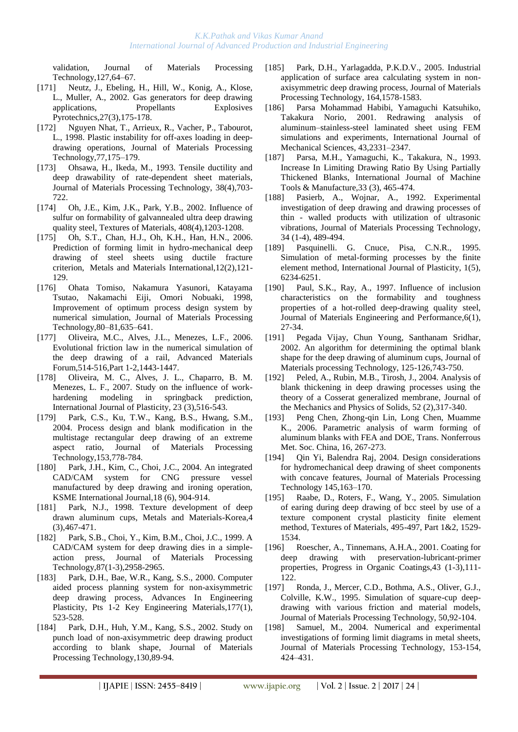validation, Journal of Materials Processing Technology,127,64–67.

- [171] [Neutz, J.](http://apps.isiknowledge.com/WoS/CIW.cgi?SID=2DkOCF9aP3omdaABJnA&Func=OneClickSearch&field=AU&val=Neutz+J&ut=000176726400011&auloc=1&curr_doc=1/496&Form=FullRecordPage&doc=1/496), [Ebeling, H.](http://apps.isiknowledge.com/WoS/CIW.cgi?SID=2DkOCF9aP3omdaABJnA&Func=OneClickSearch&field=AU&val=Ebeling+H&ut=000176726400011&auloc=2&curr_doc=1/496&Form=FullRecordPage&doc=1/496), [Hill, W.](http://apps.isiknowledge.com/WoS/CIW.cgi?SID=2DkOCF9aP3omdaABJnA&Func=OneClickSearch&field=AU&val=Hill+W&ut=000176726400011&auloc=3&curr_doc=1/496&Form=FullRecordPage&doc=1/496), [Konig, A.](http://apps.isiknowledge.com/WoS/CIW.cgi?SID=2DkOCF9aP3omdaABJnA&Func=OneClickSearch&field=AU&val=Konig+A&ut=000176726400011&auloc=4&curr_doc=1/496&Form=FullRecordPage&doc=1/496), [Klose,](http://apps.isiknowledge.com/WoS/CIW.cgi?SID=2DkOCF9aP3omdaABJnA&Func=OneClickSearch&field=AU&val=Klose+L&ut=000176726400011&auloc=5&curr_doc=1/496&Form=FullRecordPage&doc=1/496)  [L.](http://apps.isiknowledge.com/WoS/CIW.cgi?SID=2DkOCF9aP3omdaABJnA&Func=OneClickSearch&field=AU&val=Klose+L&ut=000176726400011&auloc=5&curr_doc=1/496&Form=FullRecordPage&doc=1/496), [Muller, A.](http://apps.isiknowledge.com/WoS/CIW.cgi?SID=2DkOCF9aP3omdaABJnA&Func=OneClickSearch&field=AU&val=Muller+A&ut=000176726400011&auloc=6&curr_doc=1/496&Form=FullRecordPage&doc=1/496), 2002. Gas generators for deep drawing applications, Propellants Explosives Pyrotechnics,27(3),175-178.
- [172] Nguyen Nhat, T., Arrieux, R., Vacher, P., Tabourot, L., 1998. Plastic instability for off-axes loading in deepdrawing operations, Journal of Materials Processing Technology,77,175–179.
- [173] [Ohsawa, H.,](http://apps.isiknowledge.com/WoS/CIW.cgi?SID=1AJM5iKdKA546ePn1B6&Func=OneClickSearch&field=AU&val=OHSAWA+H&ut=A1993LN32300005&auloc=1&curr_doc=1/1086&Form=FullRecordPage&doc=1/1086) [Ikeda, M.](http://apps.isiknowledge.com/WoS/CIW.cgi?SID=1AJM5iKdKA546ePn1B6&Func=OneClickSearch&field=AU&val=IKEDA+M&ut=A1993LN32300005&auloc=2&curr_doc=1/1086&Form=FullRecordPage&doc=1/1086), 1993. Tensile ductility and deep drawability of rate-dependent sheet materials, Journal of Materials Processing Technology, 38(4),703- 722.
- [174] [Oh, J.E.](http://apps.isiknowledge.com/WoS/CIW.cgi?SID=2DkOCF9aP3omdaABJnA&Func=OneClickSearch&field=AU&val=Oh+JE&ut=000178202200189&auloc=1&curr_doc=1/469&Form=FullRecordPage&doc=1/469), [Kim, J.K.](http://apps.isiknowledge.com/WoS/CIW.cgi?SID=2DkOCF9aP3omdaABJnA&Func=OneClickSearch&field=AU&val=Kim+JK&ut=000178202200189&auloc=2&curr_doc=1/469&Form=FullRecordPage&doc=1/469), [Park, Y.B.](http://apps.isiknowledge.com/WoS/CIW.cgi?SID=2DkOCF9aP3omdaABJnA&Func=OneClickSearch&field=AU&val=Park+YB&ut=000178202200189&auloc=3&curr_doc=1/469&Form=FullRecordPage&doc=1/469), 2002. Influence of sulfur on formability of galvannealed ultra deep drawing quality steel, Textures of Materials, 408(4),1203-1208.
- [175] [Oh, S.T.](http://apps.isiknowledge.com/WoS/CIW.cgi?SID=4F4DgpBnmJOk2a7nieI&Func=OneClickSearch&field=AU&val=Oh+ST&ut=000237302600004&auloc=1&curr_doc=1/116&Form=FullRecordPage&doc=1/116), [Chan, H.J.](http://apps.isiknowledge.com/WoS/CIW.cgi?SID=4F4DgpBnmJOk2a7nieI&Func=OneClickSearch&field=AU&val=Chan+HJ&ut=000237302600004&auloc=2&curr_doc=1/116&Form=FullRecordPage&doc=1/116), [Oh, K.H.](http://apps.isiknowledge.com/WoS/CIW.cgi?SID=4F4DgpBnmJOk2a7nieI&Func=OneClickSearch&field=AU&val=Oh+KH&ut=000237302600004&auloc=3&curr_doc=1/116&Form=FullRecordPage&doc=1/116), [Han, H.N.](http://apps.isiknowledge.com/WoS/CIW.cgi?SID=4F4DgpBnmJOk2a7nieI&Func=OneClickSearch&field=AU&val=Han+HN&ut=000237302600004&auloc=4&curr_doc=1/116&Form=FullRecordPage&doc=1/116), 2006. Prediction of forming limit in hydro-mechanical deep drawing of steel sheets using ductile fracture criterion, Metals and Materials International,12(2),121- 129.
- [176] Ohata Tomiso, Nakamura Yasunori, Katayama Tsutao, Nakamachi Eiji, Omori Nobuaki, 1998, Improvement of optimum process design system by numerical simulation, Journal of Materials Processing Technology,80–81,635–641.
- [177] [Oliveira, M.C.](http://apps.isiknowledge.com/WoS/CIW.cgi?SID=4F4DgpBnmJOk2a7nieI&Func=OneClickSearch&field=AU&val=Oliveira+MC&ut=000238056400286&auloc=1&curr_doc=1/105&Form=FullRecordPage&doc=1/105), [Alves, J.L.](http://apps.isiknowledge.com/WoS/CIW.cgi?SID=4F4DgpBnmJOk2a7nieI&Func=OneClickSearch&field=AU&val=Alves+JL&ut=000238056400286&auloc=2&curr_doc=1/105&Form=FullRecordPage&doc=1/105), [Menezes, L.F.](http://apps.isiknowledge.com/WoS/CIW.cgi?SID=4F4DgpBnmJOk2a7nieI&Func=OneClickSearch&field=AU&val=Menezes+LF&ut=000238056400286&auloc=3&curr_doc=1/105&Form=FullRecordPage&doc=1/105), 2006. Evolutional friction law in the numerical simulation of the deep drawing of a rail, Advanced Materials Forum,514-516,Part 1-2,1443-1447.
- [178] Oliveira, M. C., Alves, J. L., Chaparro, B. M. Menezes, L. F., 2007. Study on the influence of workhardening modeling in springback prediction, International Journal of Plasticity, 23 (3),516-543.
- [179] [Park, C.S.,](http://apps.isiknowledge.com/WoS/CIW.cgi?SID=4F4DgpBnmJOk2a7nieI&Func=OneClickSearch&field=AU&val=Park+CS&ut=000225845500122&auloc=1&curr_doc=1/264&Form=FullRecordPage&doc=1/264) [Ku, T.W.](http://apps.isiknowledge.com/WoS/CIW.cgi?SID=4F4DgpBnmJOk2a7nieI&Func=OneClickSearch&field=AU&val=Ku+TW&ut=000225845500122&auloc=2&curr_doc=1/264&Form=FullRecordPage&doc=1/264), [Kang, B.S.](http://apps.isiknowledge.com/WoS/CIW.cgi?SID=4F4DgpBnmJOk2a7nieI&Func=OneClickSearch&field=AU&val=Kang+BS&ut=000225845500122&auloc=3&curr_doc=1/264&Form=FullRecordPage&doc=1/264), [Hwang, S.M.](http://apps.isiknowledge.com/WoS/CIW.cgi?SID=4F4DgpBnmJOk2a7nieI&Func=OneClickSearch&field=AU&val=Hwang+SM&ut=000225845500122&auloc=4&curr_doc=1/264&Form=FullRecordPage&doc=1/264), 2004. Process design and blank modification in the multistage rectangular deep drawing of an extreme aspect ratio, Journal of Materials Processing Technology,153,778-784.
- [180] [Park, J.H.](http://apps.isiknowledge.com/WoS/CIW.cgi?SID=2FlDIFKMAffmlO8GHpf&Func=OneClickSearch&field=AU&val=Park+JH&ut=000221990400003&auloc=1&curr_doc=1/318&Form=FullRecordPage&doc=1/318), [Kim, C.](http://apps.isiknowledge.com/WoS/CIW.cgi?SID=2FlDIFKMAffmlO8GHpf&Func=OneClickSearch&field=AU&val=Kim+C&ut=000221990400003&auloc=2&curr_doc=1/318&Form=FullRecordPage&doc=1/318), [Choi, J.C.](http://apps.isiknowledge.com/WoS/CIW.cgi?SID=2FlDIFKMAffmlO8GHpf&Func=OneClickSearch&field=AU&val=Choi+JC&ut=000221990400003&auloc=3&curr_doc=1/318&Form=FullRecordPage&doc=1/318), 2004. An integrated CAD/CAM system for CNG pressure vessel manufactured by deep drawing and ironing operation, KSME International Journal,18 (6), 904-914.
- [181] [Park, N.J.](http://apps.isiknowledge.com/WoS/CIW.cgi?SID=2DkOCF9aP3omdaABJnA&Func=OneClickSearch&field=AU&val=Park+NJ&ut=000074597700048&auloc=1&curr_doc=1/822&Form=FullRecordPage&doc=1/822), 1998. Texture development of deep drawn aluminum cups, Metals and Materials-Korea,4 (3),467-471.
- [182] [Park, S.B.](http://apps.isiknowledge.com/WoS/CIW.cgi?SID=1AJM5iKdKA546ePn1B6&Func=OneClickSearch&field=AU&val=Park+SB&ut=000072750200003&auloc=1&curr_doc=1/844&Form=FullRecordPage&doc=1/844), [Choi, Y.,](http://apps.isiknowledge.com/WoS/CIW.cgi?SID=1AJM5iKdKA546ePn1B6&Func=OneClickSearch&field=AU&val=Choi+Y&ut=000072750200003&auloc=2&curr_doc=1/844&Form=FullRecordPage&doc=1/844) [Kim, B.M.](http://apps.isiknowledge.com/WoS/CIW.cgi?SID=1AJM5iKdKA546ePn1B6&Func=OneClickSearch&field=AU&val=Kim+BM&ut=000072750200003&auloc=3&curr_doc=1/844&Form=FullRecordPage&doc=1/844)[, Choi, J.C.,](http://apps.isiknowledge.com/WoS/CIW.cgi?SID=1AJM5iKdKA546ePn1B6&Func=OneClickSearch&field=AU&val=Choi+JC&ut=000072750200003&auloc=4&curr_doc=1/844&Form=FullRecordPage&doc=1/844) 1999. A CAD/CAM system for deep drawing dies in a simpleaction press, Journal of Materials Processing Technology,87(1-3),2958-2965.
- [183] [Park, D.H.](http://apps.isiknowledge.com/WoS/CIW.cgi?SID=2DkOCF9aP3omdaABJnA&Func=OneClickSearch&field=AU&val=Park+DH&ut=000089404200082&auloc=1&curr_doc=1/652&Form=FullRecordPage&doc=1/652), [Bae, W.R.](http://apps.isiknowledge.com/WoS/CIW.cgi?SID=2DkOCF9aP3omdaABJnA&Func=OneClickSearch&field=AU&val=Bae+WR&ut=000089404200082&auloc=2&curr_doc=1/652&Form=FullRecordPage&doc=1/652), [Kang, S.S.](http://apps.isiknowledge.com/WoS/CIW.cgi?SID=2DkOCF9aP3omdaABJnA&Func=OneClickSearch&field=AU&val=Kang+SS&ut=000089404200082&auloc=3&curr_doc=1/652&Form=FullRecordPage&doc=1/652), 2000. Computer aided process planning system for non-axisymmetric deep drawing process, Advances In Engineering Plasticity, Pts 1-2 Key Engineering Materials,177(1), 523-528.
- [184] [Park, D.H.](http://apps.isiknowledge.com/WoS/CIW.cgi?SID=2DkOCF9aP3omdaABJnA&Func=OneClickSearch&field=AU&val=Park+DH&ut=000179981100014&auloc=1&curr_doc=1/430&Form=FullRecordPage&doc=1/430), [Huh, Y.M.](http://apps.isiknowledge.com/WoS/CIW.cgi?SID=2DkOCF9aP3omdaABJnA&Func=OneClickSearch&field=AU&val=Huh+YM&ut=000179981100014&auloc=2&curr_doc=1/430&Form=FullRecordPage&doc=1/430), [Kang, S.S.](http://apps.isiknowledge.com/WoS/CIW.cgi?SID=2DkOCF9aP3omdaABJnA&Func=OneClickSearch&field=AU&val=Kang+SS&ut=000179981100014&auloc=3&curr_doc=1/430&Form=FullRecordPage&doc=1/430), 2002. Study on punch load of non-axisymmetric deep drawing product according to blank shape, Journal of Materials Processing Technology,130,89-94.
- [185] [Park, D.H.](http://apps.isiknowledge.com/WoS/CIW.cgi?SID=4F4DgpBnmJOk2a7nieI&Func=OneClickSearch&field=AU&val=Park+DH&ut=000229609100111&auloc=1&curr_doc=1/214&Form=FullRecordPage&doc=1/214), [Yarlagadda, P.K.D.V.](http://apps.isiknowledge.com/WoS/CIW.cgi?SID=4F4DgpBnmJOk2a7nieI&Func=OneClickSearch&field=AU&val=Yarlagadda+PKDV&ut=000229609100111&auloc=2&curr_doc=1/214&Form=FullRecordPage&doc=1/214), 2005. Industrial application of surface area calculating system in nonaxisymmetric deep drawing process, Journal of Materials Processing Technology, 164,1578-1583.
- [186] Parsa Mohammad Habibi, Yamaguchi Katsuhiko, Takakura Norio, 2001. Redrawing analysis of aluminum–stainless-steel laminated sheet using FEM simulations and experiments, International Journal of Mechanical Sciences, 43,2331–2347.
- [187] [Parsa, M.H.,](http://apps.isiknowledge.com/WoS/CIW.cgi?SID=1AJM5iKdKA546ePn1B6&Func=OneClickSearch&field=AU&val=PARSA+MH&ut=A1993LC00700009&auloc=1&curr_doc=1/1095&Form=FullRecordPage&doc=1/1095) [Yamaguchi, K.](http://apps.isiknowledge.com/WoS/CIW.cgi?SID=1AJM5iKdKA546ePn1B6&Func=OneClickSearch&field=AU&val=YAMAGUCHI+K&ut=A1993LC00700009&auloc=2&curr_doc=1/1095&Form=FullRecordPage&doc=1/1095), [Takakura, N.](http://apps.isiknowledge.com/WoS/CIW.cgi?SID=1AJM5iKdKA546ePn1B6&Func=OneClickSearch&field=AU&val=TAKAKURA+N&ut=A1993LC00700009&auloc=3&curr_doc=1/1095&Form=FullRecordPage&doc=1/1095), 1993. Increase In Limiting Drawing Ratio By Using Partially Thickened Blanks, International Journal of Machine Tools & Manufacture,33 (3), 465-474.
- [188] [Pasierb, A.,](http://apps.isiknowledge.com/WoS/CIW.cgi?SID=1AJM5iKdKA546ePn1B6&Func=OneClickSearch&field=AU&val=PASIERB+A&ut=A1992JQ97700062&auloc=1&curr_doc=1/1115&Form=FullRecordPage&doc=1/1115) [Wojnar, A.](http://apps.isiknowledge.com/WoS/CIW.cgi?SID=1AJM5iKdKA546ePn1B6&Func=OneClickSearch&field=AU&val=WOJNAR+A&ut=A1992JQ97700062&auloc=2&curr_doc=1/1115&Form=FullRecordPage&doc=1/1115), 1992. Experimental investigation of deep drawing and drawing processes of thin - walled products with utilization of ultrasonic vibrations, Journal of Materials Processing Technology, 34 (1-4), 489-494.
- [189] Pasquinelli. G. Cnuce, Pisa, C.N.R., 1995. Simulation of metal-forming processes by the finite element method, International Journal of Plasticity, 1(5), 6234-6251.
- [190] [Paul, S.K.,](http://apps.isiknowledge.com/WoS/CIW.cgi?SID=1AJM5iKdKA546ePn1B6&Func=OneClickSearch&field=AU&val=Paul+SK&ut=A1997WF87400003&auloc=1&curr_doc=1/916&Form=FullRecordPage&doc=1/916) [Ray, A.,](http://apps.isiknowledge.com/WoS/CIW.cgi?SID=1AJM5iKdKA546ePn1B6&Func=OneClickSearch&field=AU&val=Ray+A&ut=A1997WF87400003&auloc=2&curr_doc=1/916&Form=FullRecordPage&doc=1/916) 1997. Influence of inclusion characteristics on the formability and toughness properties of a hot-rolled deep-drawing quality steel, Journal of Materials Engineering and Performance,6(1), 27-34.
- [191] Pegada Vijay, Chun Young, Santhanam Sridhar, 2002. An algorithm for determining the optimal blank shape for the deep drawing of aluminum cups, Journal of Materials processing Technology, 125-126,743-750.
- [192] [Peled, A.](http://apps.isiknowledge.com/WoS/CIW.cgi?SID=2DkOCF9aP3omdaABJnA&Func=OneClickSearch&field=AU&val=Peled+A&ut=000189092400004&auloc=1&curr_doc=1/341&Form=FullRecordPage&doc=1/341), [Rubin, M.B.](http://apps.isiknowledge.com/WoS/CIW.cgi?SID=2DkOCF9aP3omdaABJnA&Func=OneClickSearch&field=AU&val=Rubin+MB&ut=000189092400004&auloc=2&curr_doc=1/341&Form=FullRecordPage&doc=1/341)[, Tirosh, J.](http://apps.isiknowledge.com/WoS/CIW.cgi?SID=2DkOCF9aP3omdaABJnA&Func=OneClickSearch&field=AU&val=Tirosh+J&ut=000189092400004&auloc=3&curr_doc=1/341&Form=FullRecordPage&doc=1/341), 2004. Analysis of blank thickening in deep drawing processes using the theory of a Cosserat generalized membrane, Journal of the Mechanics and Physics of Solids, 52 (2),317-340.
- [193] Peng Chen, Zhong-qin Lin, Long Chen, Muamme K., 2006. Parametric analysis of warm forming of aluminum blanks with FEA and DOE, Trans. Nonferrous Met. Soc. China, 16, 267-273.
- [194] Qin Yi, Balendra Raj, 2004. Design considerations for hydromechanical deep drawing of sheet components with concave features, Journal of Materials Processing Technology 145,163–170.
- [195] [Raabe, D.](http://apps.isiknowledge.com/WoS/CIW.cgi?SID=4F4DgpBnmJOk2a7nieI&Func=OneClickSearch&field=AU&val=Raabe+D&ut=000231284400234&auloc=1&curr_doc=1/185&Form=FullRecordPage&doc=1/185), [Roters, F.](http://apps.isiknowledge.com/WoS/CIW.cgi?SID=4F4DgpBnmJOk2a7nieI&Func=OneClickSearch&field=AU&val=Roters+F&ut=000231284400234&auloc=2&curr_doc=1/185&Form=FullRecordPage&doc=1/185), [Wang, Y.,](http://apps.isiknowledge.com/WoS/CIW.cgi?SID=4F4DgpBnmJOk2a7nieI&Func=OneClickSearch&field=AU&val=Wang+Y&ut=000231284400234&auloc=3&curr_doc=1/185&Form=FullRecordPage&doc=1/185) 2005. Simulation of earing during deep drawing of bcc steel by use of a texture component crystal plasticity finite element method, Textures of Materials, 495-497, Part 1&2, 1529- 1534.
- [196] [Roescher, A.,](http://apps.isiknowledge.com/WoS/CIW.cgi?SID=2DkOCF9aP3omdaABJnA&Func=OneClickSearch&field=AU&val=Roescher+A&ut=000177046000013&auloc=1&curr_doc=1/489&Form=FullRecordPage&doc=1/489) [Tinnemans, A.H.A.](http://apps.isiknowledge.com/WoS/CIW.cgi?SID=2DkOCF9aP3omdaABJnA&Func=OneClickSearch&field=AU&val=Tinnemans+AHA&ut=000177046000013&auloc=2&curr_doc=1/489&Form=FullRecordPage&doc=1/489), 2001. Coating for deep drawing with preservation-lubricant-primer properties, Progress in Organic Coatings,43 (1-3),111- 122.
- [197] Ronda, J., Mercer, C.D., Bothma, A.S., Oliver, G.J., Colville, K.W., 1995. Simulation of square-cup deepdrawing with various friction and material models, Journal of Materials Processing Technology, 50,92-104.
- [198] Samuel, M., 2004. Numerical and experimental investigations of forming limit diagrams in metal sheets, Journal of Materials Processing Technology, 153-154, 424–431.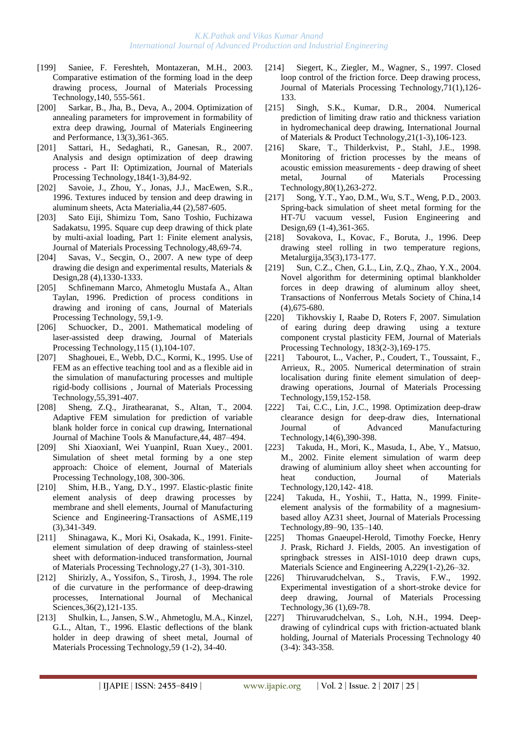- [199] Saniee, F. Fereshteh, Montazeran, M.H., 2003. Comparative estimation of the forming load in the deep drawing process, Journal of Materials Processing Technology,140, 555-561.
- [200] [Sarkar, B.](http://apps.isiknowledge.com/WoS/CIW.cgi?SID=2FlDIFKMAffmlO8GHpf&Func=OneClickSearch&field=AU&val=Sarkar+B&ut=000221836800015&auloc=1&curr_doc=1/320&Form=FullRecordPage&doc=1/320), [Jha, B.](http://apps.isiknowledge.com/WoS/CIW.cgi?SID=2FlDIFKMAffmlO8GHpf&Func=OneClickSearch&field=AU&val=Jha+B&ut=000221836800015&auloc=2&curr_doc=1/320&Form=FullRecordPage&doc=1/320), [Deva, A.](http://apps.isiknowledge.com/WoS/CIW.cgi?SID=2FlDIFKMAffmlO8GHpf&Func=OneClickSearch&field=AU&val=Deva+A&ut=000221836800015&auloc=3&curr_doc=1/320&Form=FullRecordPage&doc=1/320), 2004. Optimization of annealing parameters for improvement in formability of extra deep drawing, Journal of Materials Engineering and Performance, 13(3),361-365.
- [201] [Sattari, H.](http://apps.isiknowledge.com/WoS/CIW.cgi?SID=3Cic8Oijl8M@MI142Hp&Func=OneClickSearch&field=AU&val=Sattari+H&ut=000244811800012&auloc=1&fullauth=%20(Sattari,%20H.)&curr_doc=1/31&Form=FullRecordPage&doc=1/31), [Sedaghati, R.](http://apps.isiknowledge.com/WoS/CIW.cgi?SID=3Cic8Oijl8M@MI142Hp&Func=OneClickSearch&field=AU&val=Sedaghati+R&ut=000244811800012&auloc=2&fullauth=%20(Sedaghati,%20R.)&curr_doc=1/31&Form=FullRecordPage&doc=1/31), [Ganesan, R.,](http://apps.isiknowledge.com/WoS/CIW.cgi?SID=3Cic8Oijl8M@MI142Hp&Func=OneClickSearch&field=AU&val=Ganesan+R&ut=000244811800012&auloc=3&fullauth=%20(Ganesan,%20R.)&curr_doc=1/31&Form=FullRecordPage&doc=1/31) 2007. Analysis and design optimization of deep drawing process - Part II: Optimization, Journal of Materials Processing Technology,184(1-3),84-92.
- [202] [Savoie, J.](http://apps.isiknowledge.com/WoS/CIW.cgi?SID=1AJM5iKdKA546ePn1B6&Func=OneClickSearch&field=AU&val=Savoie+J&ut=A1996TY67900018&auloc=1&curr_doc=1/974&Form=FullRecordPage&doc=1/974), [Zhou, Y.](http://apps.isiknowledge.com/WoS/CIW.cgi?SID=1AJM5iKdKA546ePn1B6&Func=OneClickSearch&field=AU&val=Zhou+Y&ut=A1996TY67900018&auloc=2&curr_doc=1/974&Form=FullRecordPage&doc=1/974), [Jonas, J.J.](http://apps.isiknowledge.com/WoS/CIW.cgi?SID=1AJM5iKdKA546ePn1B6&Func=OneClickSearch&field=AU&val=Jonas+JJ&ut=A1996TY67900018&auloc=3&curr_doc=1/974&Form=FullRecordPage&doc=1/974), [MacEwen, S.R.](http://apps.isiknowledge.com/WoS/CIW.cgi?SID=1AJM5iKdKA546ePn1B6&Func=OneClickSearch&field=AU&val=MacEwen+SR&ut=A1996TY67900018&auloc=4&curr_doc=1/974&Form=FullRecordPage&doc=1/974), 1996. Textures induced by tension and deep drawing in aluminum sheets, Acta Materialia,44 (2),587-605.
- [203] Sato Eiji, Shimizu Tom, Sano Toshio, Fuchizawa Sadakatsu, 1995. Square cup deep drawing of thick plate by multi-axial loading, Part 1: Finite element analysis, Journal of Materials Processing Technology,48,69-74.
- [204] [Savas, V.](http://apps.isiknowledge.com/WoS/CIW.cgi?SID=3Cic8Oijl8M@MI142Hp&Func=OneClickSearch&field=AU&val=Savas+V&ut=000244232400030&auloc=1&fullauth=%20(Savas,%20Vedat)&curr_doc=1/38&Form=FullRecordPage&doc=1/38), [Secgin, O.,](http://apps.isiknowledge.com/WoS/CIW.cgi?SID=3Cic8Oijl8M@MI142Hp&Func=OneClickSearch&field=AU&val=Secgin+O&ut=000244232400030&auloc=2&fullauth=%20(Secgin,%20Omer)&curr_doc=1/38&Form=FullRecordPage&doc=1/38) 2007. A new type of deep drawing die design and experimental results, Materials & Design,28 (4),1330-1333.
- [205] Schfinemann Marco, Ahmetoglu Mustafa A., Altan Taylan, 1996. Prediction of process conditions in drawing and ironing of cans, Journal of Materials Processing Technology, 59,1-9.
- [206] [Schuocker, D.](http://apps.isiknowledge.com/WoS/CIW.cgi?SID=2DkOCF9aP3omdaABJnA&Func=OneClickSearch&field=AU&val=Schuocker+D&ut=000170255500020&auloc=1&curr_doc=1/580&Form=FullRecordPage&doc=1/580), 2001. Mathematical modeling of laser-assisted deep drawing, Journal of Materials Processing Technology,115 (1),104-107.
- [207] Shaghouei, E., Webb, D.C., Kormi, K., 1995. Use of FEM as an effective teaching tool and as a flexible aid in the simulation of manufacturing processes and multiple rigid-body collisions , Journal of Materials Processing Technology,55,391-407.
- [208] Sheng, Z.Q., Jirathearanat, S., Altan, T., 2004. Adaptive FEM simulation for prediction of variable blank holder force in conical cup drawing, International Journal of Machine Tools & Manufacture,44, 487–494.
- [209] Shi XiaoxianI, Wei YuanpinI, Ruan Xuey., 2001. Simulation of sheet metal forming by a one step approach: Choice of element, Journal of Materials Processing Technology,108, 300-306.
- [210] [Shim, H.B.](http://apps.isiknowledge.com/WoS/CIW.cgi?SID=1AJM5iKdKA546ePn1B6&Func=OneClickSearch&field=AU&val=Shim+HB&ut=A1997XV70800011&auloc=1&curr_doc=1/887&Form=FullRecordPage&doc=1/887), [Yang, D.Y.](http://apps.isiknowledge.com/WoS/CIW.cgi?SID=1AJM5iKdKA546ePn1B6&Func=OneClickSearch&field=AU&val=Yang+DY&ut=A1997XV70800011&auloc=2&curr_doc=1/887&Form=FullRecordPage&doc=1/887), 1997. Elastic-plastic finite element analysis of deep drawing processes by membrane and shell elements, Journal of Manufacturing Science and Engineering-Transactions of ASME,119 (3),341-349.
- [211] [Shinagawa, K.,](http://apps.isiknowledge.com/WoS/CIW.cgi?SID=1AJM5iKdKA546ePn1B6&Func=OneClickSearch&field=AU&val=SHINAGAWA+K&ut=A1991GB70500020&auloc=1&curr_doc=1/1159&Form=FullRecordPage&doc=1/1159) [Mori Ki,](http://apps.isiknowledge.com/WoS/CIW.cgi?SID=1AJM5iKdKA546ePn1B6&Func=OneClickSearch&field=AU&val=MORI+KI&ut=A1991GB70500020&auloc=2&curr_doc=1/1159&Form=FullRecordPage&doc=1/1159) [Osakada, K.](http://apps.isiknowledge.com/WoS/CIW.cgi?SID=1AJM5iKdKA546ePn1B6&Func=OneClickSearch&field=AU&val=OSAKADA+K&ut=A1991GB70500020&auloc=3&curr_doc=1/1159&Form=FullRecordPage&doc=1/1159), 1991. Finiteelement simulation of deep drawing of stainless-steel sheet with deformation-induced transformation, Journal of Materials Processing Technology,27 (1-3), 301-310.
- [212] [Shirizly, A.](http://apps.isiknowledge.com/WoS/CIW.cgi?SID=1AJM5iKdKA546ePn1B6&Func=OneClickSearch&field=AU&val=SHIRIZLY+A&ut=A1994MR84400004&auloc=1&curr_doc=1/1066&Form=FullRecordPage&doc=1/1066), [Yossifon, S.](http://apps.isiknowledge.com/WoS/CIW.cgi?SID=1AJM5iKdKA546ePn1B6&Func=OneClickSearch&field=AU&val=YOSSIFON+S&ut=A1994MR84400004&auloc=2&curr_doc=1/1066&Form=FullRecordPage&doc=1/1066), [Tirosh, J.](http://apps.isiknowledge.com/WoS/CIW.cgi?SID=1AJM5iKdKA546ePn1B6&Func=OneClickSearch&field=AU&val=TIROSH+J&ut=A1994MR84400004&auloc=3&curr_doc=1/1066&Form=FullRecordPage&doc=1/1066), 1994. The role of die curvature in the performance of deep-drawing processes, International Journal of Mechanical Sciences,36(2),121-135.
- [213] [Shulkin, L.](http://apps.isiknowledge.com/WoS/CIW.cgi?SID=1AJM5iKdKA546ePn1B6&Func=OneClickSearch&field=AU&val=Shulkin+L&ut=A1996UY65800006&auloc=1&curr_doc=1/945&Form=FullRecordPage&doc=1/945), [Jansen, S.W.](http://apps.isiknowledge.com/WoS/CIW.cgi?SID=1AJM5iKdKA546ePn1B6&Func=OneClickSearch&field=AU&val=Jansen+SW&ut=A1996UY65800006&auloc=2&curr_doc=1/945&Form=FullRecordPage&doc=1/945), [Ahmetoglu, M.A.](http://apps.isiknowledge.com/WoS/CIW.cgi?SID=1AJM5iKdKA546ePn1B6&Func=OneClickSearch&field=AU&val=Ahmetoglu+MA&ut=A1996UY65800006&auloc=3&curr_doc=1/945&Form=FullRecordPage&doc=1/945), [Kinzel,](http://apps.isiknowledge.com/WoS/CIW.cgi?SID=1AJM5iKdKA546ePn1B6&Func=OneClickSearch&field=AU&val=Kinzel+GL&ut=A1996UY65800006&auloc=4&curr_doc=1/945&Form=FullRecordPage&doc=1/945)  [G.L.,](http://apps.isiknowledge.com/WoS/CIW.cgi?SID=1AJM5iKdKA546ePn1B6&Func=OneClickSearch&field=AU&val=Kinzel+GL&ut=A1996UY65800006&auloc=4&curr_doc=1/945&Form=FullRecordPage&doc=1/945) [Altan, T.](http://apps.isiknowledge.com/WoS/CIW.cgi?SID=1AJM5iKdKA546ePn1B6&Func=OneClickSearch&field=AU&val=Altan+T&ut=A1996UY65800006&auloc=5&curr_doc=1/945&Form=FullRecordPage&doc=1/945), 1996. Elastic deflections of the blank holder in deep drawing of sheet metal, Journal of Materials Processing Technology,59 (1-2), 34-40.
- [214] [Siegert, K.](http://apps.isiknowledge.com/WoS/CIW.cgi?SID=1AJM5iKdKA546ePn1B6&Func=OneClickSearch&field=AU&val=Siegert+K&ut=A1997YA23400018&auloc=1&curr_doc=1/879&Form=FullRecordPage&doc=1/879), [Ziegler, M.,](http://apps.isiknowledge.com/WoS/CIW.cgi?SID=1AJM5iKdKA546ePn1B6&Func=OneClickSearch&field=AU&val=Ziegler+M&ut=A1997YA23400018&auloc=2&curr_doc=1/879&Form=FullRecordPage&doc=1/879) [Wagner, S.,](http://apps.isiknowledge.com/WoS/CIW.cgi?SID=1AJM5iKdKA546ePn1B6&Func=OneClickSearch&field=AU&val=Wagner+S&ut=A1997YA23400018&auloc=3&curr_doc=1/879&Form=FullRecordPage&doc=1/879) 1997. Closed loop control of the friction force. Deep drawing process, Journal of Materials Processing Technology,71(1),126- 133.
- [215] [Singh, S.K.](http://apps.isiknowledge.com/WoS/CIW.cgi?SID=2FlDIFKMAffmlO8GHpf&Func=OneClickSearch&field=AU&val=Singh+SK&ut=000222601300008&auloc=1&curr_doc=1/303&Form=FullRecordPage&doc=1/303), [Kumar, D.R.,](http://apps.isiknowledge.com/WoS/CIW.cgi?SID=2FlDIFKMAffmlO8GHpf&Func=OneClickSearch&field=AU&val=Kumar+DR&ut=000222601300008&auloc=2&curr_doc=1/303&Form=FullRecordPage&doc=1/303) 2004. Numerical prediction of limiting draw ratio and thickness variation in hydromechanical deep drawing, International Journal of Materials & Product Technology,21(1-3),106-123.
- [216] [Skare, T.](http://apps.isiknowledge.com/WoS/CIW.cgi?SID=2DkOCF9aP3omdaABJnA&Func=OneClickSearch&field=AU&val=Skare+T&ut=000075700400043&auloc=1&curr_doc=1/803&Form=FullRecordPage&doc=1/803), [Thilderkvist, P.](http://apps.isiknowledge.com/WoS/CIW.cgi?SID=2DkOCF9aP3omdaABJnA&Func=OneClickSearch&field=AU&val=Thilderkvist+P&ut=000075700400043&auloc=2&curr_doc=1/803&Form=FullRecordPage&doc=1/803), [Stahl, J.E.](http://apps.isiknowledge.com/WoS/CIW.cgi?SID=2DkOCF9aP3omdaABJnA&Func=OneClickSearch&field=AU&val=Stahl+JE&ut=000075700400043&auloc=3&curr_doc=1/803&Form=FullRecordPage&doc=1/803), 1998. Monitoring of friction processes by the means of acoustic emission measurements - deep drawing of sheet metal, Journal of Materials Processing Technology,80(1),263-272.
- [217] [Song, Y.T.](http://apps.isiknowledge.com/WoS/CIW.cgi?SID=2DkOCF9aP3omdaABJnA&Func=OneClickSearch&field=AU&val=Song+YT&ut=000185638700062&auloc=1&curr_doc=1/372&Form=FullRecordPage&doc=1/372)[, Yao, D.M.](http://apps.isiknowledge.com/WoS/CIW.cgi?SID=2DkOCF9aP3omdaABJnA&Func=OneClickSearch&field=AU&val=Yao+DM&ut=000185638700062&auloc=2&curr_doc=1/372&Form=FullRecordPage&doc=1/372)[, Wu, S.T.](http://apps.isiknowledge.com/WoS/CIW.cgi?SID=2DkOCF9aP3omdaABJnA&Func=OneClickSearch&field=AU&val=Wu+ST&ut=000185638700062&auloc=3&curr_doc=1/372&Form=FullRecordPage&doc=1/372)[, Weng, P.D.](http://apps.isiknowledge.com/WoS/CIW.cgi?SID=2DkOCF9aP3omdaABJnA&Func=OneClickSearch&field=AU&val=Weng+PD&ut=000185638700062&auloc=4&curr_doc=1/372&Form=FullRecordPage&doc=1/372), 2003. Spring-back simulation of sheet metal forming for the HT-7U vacuum vessel, Fusion Engineering and Design,69 (1-4),361-365.
- [218] [Sovakova, I.](http://apps.isiknowledge.com/WoS/CIW.cgi?SID=1AJM5iKdKA546ePn1B6&Func=OneClickSearch&field=AU&val=Sovakova+I&ut=A1996VK87300008&auloc=1&curr_doc=1/935&Form=FullRecordPage&doc=1/935), [Kovac, F.](http://apps.isiknowledge.com/WoS/CIW.cgi?SID=1AJM5iKdKA546ePn1B6&Func=OneClickSearch&field=AU&val=Kovac+F&ut=A1996VK87300008&auloc=2&curr_doc=1/935&Form=FullRecordPage&doc=1/935), [Boruta, J.](http://apps.isiknowledge.com/WoS/CIW.cgi?SID=1AJM5iKdKA546ePn1B6&Func=OneClickSearch&field=AU&val=Boruta+J&ut=A1996VK87300008&auloc=3&curr_doc=1/935&Form=FullRecordPage&doc=1/935), 1996. Deep drawing steel rolling in two temperature regions, Metalurgija,35(3),173-177.
- [219] [Sun, C.Z.](http://apps.isiknowledge.com/WoS/CIW.cgi?SID=4F4DgpBnmJOk2a7nieI&Func=OneClickSearch&field=AU&val=Sun+CZ&ut=000223667300008&auloc=1&curr_doc=1/288&Form=FullRecordPage&doc=1/288), [Chen, G.L.](http://apps.isiknowledge.com/WoS/CIW.cgi?SID=4F4DgpBnmJOk2a7nieI&Func=OneClickSearch&field=AU&val=Chen+GL&ut=000223667300008&auloc=2&curr_doc=1/288&Form=FullRecordPage&doc=1/288), [Lin, Z.Q.](http://apps.isiknowledge.com/WoS/CIW.cgi?SID=4F4DgpBnmJOk2a7nieI&Func=OneClickSearch&field=AU&val=Lin+ZQ&ut=000223667300008&auloc=3&curr_doc=1/288&Form=FullRecordPage&doc=1/288), [Zhao, Y.X.](http://apps.isiknowledge.com/WoS/CIW.cgi?SID=4F4DgpBnmJOk2a7nieI&Func=OneClickSearch&field=AU&val=Zhao+YX&ut=000223667300008&auloc=4&curr_doc=1/288&Form=FullRecordPage&doc=1/288), 2004. Novel algorithm for determining optimal blankholder forces in deep drawing of aluminum alloy sheet, Transactions of Nonferrous Metals Society of China,14 (4),675-680.
- [220] [Tikhovskiy I,](http://apps.isiknowledge.com/WoS/CIW.cgi?SID=3Cic8Oijl8M@MI142Hp&Func=OneClickSearch&field=AU&val=Tikhovskiy+I&ut=000244827000004&auloc=1&fullauth=%20(Tikhovskiy,%20I.)&curr_doc=1/30&Form=FullRecordPage&doc=1/30) [Raabe D,](http://apps.isiknowledge.com/WoS/CIW.cgi?SID=3Cic8Oijl8M@MI142Hp&Func=OneClickSearch&field=AU&val=Raabe+D&ut=000244827000004&auloc=2&fullauth=%20(Raabe,%20D.)&curr_doc=1/30&Form=FullRecordPage&doc=1/30) [Roters F,](http://apps.isiknowledge.com/WoS/CIW.cgi?SID=3Cic8Oijl8M@MI142Hp&Func=OneClickSearch&field=AU&val=Roters+F&ut=000244827000004&auloc=3&fullauth=%20(Roters,%20F.)&curr_doc=1/30&Form=FullRecordPage&doc=1/30) 2007. Simulation of earing during deep drawing using a texture component crystal plasticity FEM, Journal of Materials Processing Technology, 183(2-3),169-175.
- [221] Tabourot, L., Vacher, P., Coudert, T., Toussaint, F., Arrieux, R., 2005. Numerical determination of strain localisation during finite element simulation of deepdrawing operations, Journal of Materials Processing Technology,159,152-158.
- [222] [Tai, C.C.,](http://apps.isiknowledge.com/WoS/CIW.cgi?SID=2DkOCF9aP3omdaABJnA&Func=OneClickSearch&field=AU&val=Tai+CC&ut=000074917500002&auloc=1&curr_doc=1/814&Form=FullRecordPage&doc=1/814) [Lin, J.C.](http://apps.isiknowledge.com/WoS/CIW.cgi?SID=2DkOCF9aP3omdaABJnA&Func=OneClickSearch&field=AU&val=Lin+JC&ut=000074917500002&auloc=2&curr_doc=1/814&Form=FullRecordPage&doc=1/814), 1998. Optimization deep-draw clearance design for deep-draw dies, International Journal of Advanced Manufacturing Technology,14(6),390-398.
- [223] Takuda, H., Mori, K., Masuda, I., Abe, Y., Matsuo, M., 2002. Finite element simulation of warm deep drawing of aluminium alloy sheet when accounting for heat conduction, Journal of Materials Technology,120,142- 418.
- [224] Takuda, H., Yoshii, T., Hatta, N., 1999. Finiteelement analysis of the formability of a magnesiumbased alloy AZ31 sheet, Journal of Materials Processing Technology,89–90, 135–140.
- [225] Thomas Gnaeupel-Herold, Timothy Foecke, Henry J. Prask, Richard J. Fields, 2005. An investigation of springback stresses in AISI-1010 deep drawn cups, Materials Science and Engineering A,229(1-2),26–32.
- [226] [Thiruvarudchelvan, S.,](http://apps.isiknowledge.com/WoS/CIW.cgi?SID=1AJM5iKdKA546ePn1B6&Func=OneClickSearch&field=AU&val=THIRUVARUDCHELVAN+S&ut=A1992KF05400006&auloc=1&curr_doc=1/1107&Form=FullRecordPage&doc=1/1107) [Travis, F.](http://apps.isiknowledge.com/WoS/CIW.cgi?SID=1AJM5iKdKA546ePn1B6&Func=OneClickSearch&field=AU&val=TRAVIS+FW&ut=A1992KF05400006&auloc=2&curr_doc=1/1107&Form=FullRecordPage&doc=1/1107)W., 1992. Experimental investigation of a short-stroke device for deep drawing, Journal of Materials Processing Technology,36 (1),69-78.
- [227] [Thiruvarudchelvan, S.](http://apps.isiknowledge.com/WoS/CIW.cgi?SID=1AJM5iKdKA546ePn1B6&Func=OneClickSearch&field=AU&val=THIRUVARUDCHELVAN+S&ut=A1994MW12600008&auloc=1&curr_doc=1/1065&Form=FullRecordPage&doc=1/1065), [Loh, N.H.](http://apps.isiknowledge.com/WoS/CIW.cgi?SID=1AJM5iKdKA546ePn1B6&Func=OneClickSearch&field=AU&val=LOH+NH&ut=A1994MW12600008&auloc=2&curr_doc=1/1065&Form=FullRecordPage&doc=1/1065), 1994. Deepdrawing of cylindrical cups with friction-actuated blank holding, Journal of Materials Processing Technology 40 (3-4): 343-358.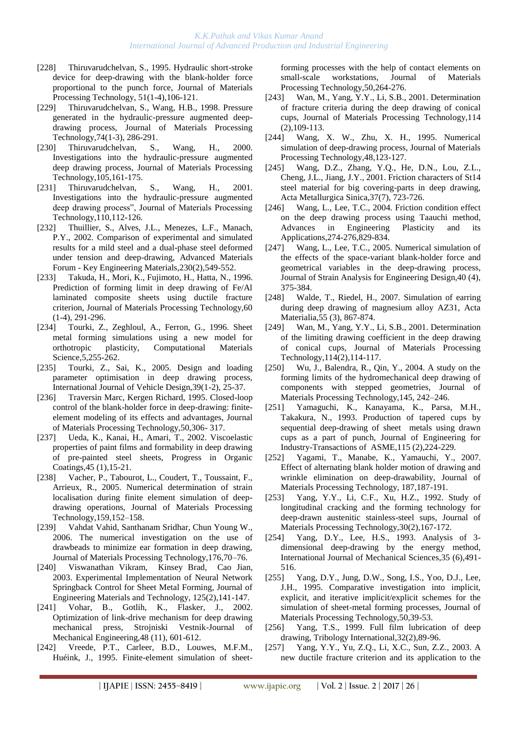- [228] [Thiruvarudchelvan, S.](http://apps.isiknowledge.com/WoS/CIW.cgi?SID=1AJM5iKdKA546ePn1B6&Func=OneClickSearch&field=AU&val=THIRUVARUDCHELVAN+S&ut=A1995RH06700008&auloc=1&curr_doc=1/998&Form=FullRecordPage&doc=1/998), 1995. Hydraulic short-stroke device for deep-drawing with the blank-holder force proportional to the punch force, Journal of Materials Processing Technology, 51(1-4),106-121.
- [229] [Thiruvarudchelvan, S.,](http://apps.isiknowledge.com/WoS/CIW.cgi?SID=1AJM5iKdKA546ePn1B6&Func=OneClickSearch&field=AU&val=Thiruvarudchelvan+S&ut=000071656400042&auloc=1&curr_doc=1/854&Form=FullRecordPage&doc=1/854) [Wang, H.B.](http://apps.isiknowledge.com/WoS/CIW.cgi?SID=1AJM5iKdKA546ePn1B6&Func=OneClickSearch&field=AU&val=Wang+HB&ut=000071656400042&auloc=2&curr_doc=1/854&Form=FullRecordPage&doc=1/854), 1998. Pressure generated in the hydraulic-pressure augmented deepdrawing process, Journal of Materials Processing Technology,74(1-3), 286-291.
- [230] Thiruvarudchelvan, S., Wang, H., 2000. Investigations into the hydraulic-pressure augmented deep drawing process, Journal of Materials Processing Technology,105,161-175.
- [231] Thiruvarudchelvan, S., Wang, H., 2001. Investigations into the hydraulic-pressure augmented deep drawing process", Journal of Materials Processing Technology,110,112-126.
- [232] [Thuillier, S.,](http://apps.isiknowledge.com/WoS/CIW.cgi?SID=2DkOCF9aP3omdaABJnA&Func=OneClickSearch&field=AU&val=Thuillier+S&ut=000179553200127&auloc=1&curr_doc=1/451&Form=FullRecordPage&doc=1/451) [Alves, J.L.,](http://apps.isiknowledge.com/WoS/CIW.cgi?SID=2DkOCF9aP3omdaABJnA&Func=OneClickSearch&field=AU&val=Alves+JL&ut=000179553200127&auloc=2&curr_doc=1/451&Form=FullRecordPage&doc=1/451) [Menezes, L.F.](http://apps.isiknowledge.com/WoS/CIW.cgi?SID=2DkOCF9aP3omdaABJnA&Func=OneClickSearch&field=AU&val=Menezes+LF&ut=000179553200127&auloc=3&curr_doc=1/451&Form=FullRecordPage&doc=1/451), [Manach,](http://apps.isiknowledge.com/WoS/CIW.cgi?SID=2DkOCF9aP3omdaABJnA&Func=OneClickSearch&field=AU&val=Manach+PY&ut=000179553200127&auloc=4&curr_doc=1/451&Form=FullRecordPage&doc=1/451)  [P.Y.](http://apps.isiknowledge.com/WoS/CIW.cgi?SID=2DkOCF9aP3omdaABJnA&Func=OneClickSearch&field=AU&val=Manach+PY&ut=000179553200127&auloc=4&curr_doc=1/451&Form=FullRecordPage&doc=1/451), 2002. Comparison of experimental and simulated results for a mild steel and a dual-phase steel deformed under tension and deep-drawing, Advanced Materials Forum - Key Engineering Materials,230(2),549-552.
- [233] [Takuda, H.](http://apps.isiknowledge.com/WoS/CIW.cgi?SID=1AJM5iKdKA546ePn1B6&Func=OneClickSearch&field=AU&val=Takuda+H&ut=A1996UT57300046&auloc=1&curr_doc=1/955&Form=FullRecordPage&doc=1/955), [Mori, K.,](http://apps.isiknowledge.com/WoS/CIW.cgi?SID=1AJM5iKdKA546ePn1B6&Func=OneClickSearch&field=AU&val=Mori+K&ut=A1996UT57300046&auloc=2&curr_doc=1/955&Form=FullRecordPage&doc=1/955) [Fujimoto, H.,](http://apps.isiknowledge.com/WoS/CIW.cgi?SID=1AJM5iKdKA546ePn1B6&Func=OneClickSearch&field=AU&val=Fujimoto+H&ut=A1996UT57300046&auloc=3&curr_doc=1/955&Form=FullRecordPage&doc=1/955) [Hatta, N.](http://apps.isiknowledge.com/WoS/CIW.cgi?SID=1AJM5iKdKA546ePn1B6&Func=OneClickSearch&field=AU&val=Hatta+N&ut=A1996UT57300046&auloc=4&curr_doc=1/955&Form=FullRecordPage&doc=1/955), 1996. Prediction of forming limit in deep drawing of Fe/Al laminated composite sheets using ductile fracture criterion, Journal of Materials Processing Technology,60 (1-4), 291-296.
- [234] Tourki, Z., Zeghloul, A., Ferron, G., 1996. Sheet metal forming simulations using a new model for orthotropic plasticity, Computational Materials Science,5,255-262.
- [235] [Tourki, Z.,](http://apps.isiknowledge.com/WoS/CIW.cgi?SID=4F4DgpBnmJOk2a7nieI&Func=OneClickSearch&field=AU&val=Tourki+Z&ut=000232380500003&auloc=1&curr_doc=1/174&Form=FullRecordPage&doc=1/174) [Sai, K.](http://apps.isiknowledge.com/WoS/CIW.cgi?SID=4F4DgpBnmJOk2a7nieI&Func=OneClickSearch&field=AU&val=Sai+K&ut=000232380500003&auloc=2&curr_doc=1/174&Form=FullRecordPage&doc=1/174), 2005. Design and loading parameter optimisation in deep drawing process, International Journal of Vehicle Design,39(1-2), 25-37.
- [236] Traversin Marc, Kergen Richard, 1995. Closed-loop control of the blank-holder force in deep-drawing: finiteelement modeling of its effects and advantages, Journal of Materials Processing Technology,50,306- 317.
- [237] [Ueda, K.](http://apps.isiknowledge.com/WoS/CIW.cgi?SID=2DkOCF9aP3omdaABJnA&Func=OneClickSearch&field=AU&val=Ueda+K&ut=000179535200002&auloc=1&curr_doc=1/453&Form=FullRecordPage&doc=1/453), [Kanai, H.](http://apps.isiknowledge.com/WoS/CIW.cgi?SID=2DkOCF9aP3omdaABJnA&Func=OneClickSearch&field=AU&val=Kanai+H&ut=000179535200002&auloc=2&curr_doc=1/453&Form=FullRecordPage&doc=1/453), [Amari, T.](http://apps.isiknowledge.com/WoS/CIW.cgi?SID=2DkOCF9aP3omdaABJnA&Func=OneClickSearch&field=AU&val=Amari+T&ut=000179535200002&auloc=3&curr_doc=1/453&Form=FullRecordPage&doc=1/453), 2002. Viscoelastic properties of paint films and formability in deep drawing of pre-painted steel sheets, Progress in Organic Coatings,45 (1),15-21.
- [238] Vacher, P., Tabourot, L., Coudert, T., Toussaint, F., Arrieux, R., 2005. Numerical determination of strain localisation during finite element simulation of deepdrawing operations, Journal of Materials Processing Technology,159,152–158.
- [239] Vahdat Vahid, Santhanam Sridhar, Chun Young W., 2006. The numerical investigation on the use of drawbeads to minimize ear formation in deep drawing, Journal of Materials Processing Technology,176,70–76.
- [240] [Viswanathan](http://scitation.aip.org/vsearch/servlet/VerityServlet?KEY=ALL&possible1=Viswanathan%2C+Vikram&possible1zone=author&maxdisp=25&smode=strresults&aqs=true) Vikram, [Kinsey](http://scitation.aip.org/vsearch/servlet/VerityServlet?KEY=ALL&possible1=Kinsey%2C+Brad&possible1zone=author&maxdisp=25&smode=strresults&aqs=true) Brad, [Cao](http://scitation.aip.org/vsearch/servlet/VerityServlet?KEY=ALL&possible1=Cao%2C+Jian&possible1zone=author&maxdisp=25&smode=strresults&aqs=true) Jian, 2003. Experimental Implementation of Neural Network Springback Control for Sheet Metal Forming, Journal of Engineering Materials and Technology, 125(2),141-147.
- [241] [Vohar, B.](http://apps.isiknowledge.com/WoS/CIW.cgi?SID=2DkOCF9aP3omdaABJnA&Func=OneClickSearch&field=AU&val=Vohar+B&ut=000182113400005&auloc=1&curr_doc=1/421&Form=FullRecordPage&doc=1/421), [Gotlih, K.](http://apps.isiknowledge.com/WoS/CIW.cgi?SID=2DkOCF9aP3omdaABJnA&Func=OneClickSearch&field=AU&val=Gotlih+K&ut=000182113400005&auloc=2&curr_doc=1/421&Form=FullRecordPage&doc=1/421), [Flasker, J.](http://apps.isiknowledge.com/WoS/CIW.cgi?SID=2DkOCF9aP3omdaABJnA&Func=OneClickSearch&field=AU&val=Flasker+J&ut=000182113400005&auloc=3&curr_doc=1/421&Form=FullRecordPage&doc=1/421), 2002. Optimization of link-drive mechanism for deep drawing mechanical press, Strojniski Vestnik-Journal of Mechanical Engineering,48 (11), 601-612.
- [242] Vreede, P.T., Carleer, B.D., Louwes, M.F.M., Huéink, J., 1995. Finite-element simulation of sheet-

forming processes with the help of contact elements on small-scale workstations, Journal of Materials Processing Technology,50,264-276.

- [243] [Wan, M.](http://apps.isiknowledge.com/WoS/CIW.cgi?SID=2DkOCF9aP3omdaABJnA&Func=OneClickSearch&field=AU&val=Wan+M&ut=000169769000003&auloc=1&curr_doc=1/584&Form=FullRecordPage&doc=1/584), [Yang, Y.Y.,](http://apps.isiknowledge.com/WoS/CIW.cgi?SID=2DkOCF9aP3omdaABJnA&Func=OneClickSearch&field=AU&val=Yang+YY&ut=000169769000003&auloc=2&curr_doc=1/584&Form=FullRecordPage&doc=1/584) [Li, S.B.](http://apps.isiknowledge.com/WoS/CIW.cgi?SID=2DkOCF9aP3omdaABJnA&Func=OneClickSearch&field=AU&val=Li+SB&ut=000169769000003&auloc=3&curr_doc=1/584&Form=FullRecordPage&doc=1/584), 2001. Determination of fracture criteria during the deep drawing of conical cups, Journal of Materials Processing Technology,114 (2),109-113.
- [244] Wang, X. W., Zhu, X. H., 1995. Numerical simulation of deep-drawing process, Journal of Materials Processing Technology,48,123-127.
- [245] [Wang, D.Z.](http://apps.isiknowledge.com/WoS/CIW.cgi?SID=2DkOCF9aP3omdaABJnA&Func=OneClickSearch&field=AU&val=Wang+DZ&ut=000172767000009&auloc=1&curr_doc=1/538&Form=FullRecordPage&doc=1/538), [Zhang, Y.Q.,](http://apps.isiknowledge.com/WoS/CIW.cgi?SID=2DkOCF9aP3omdaABJnA&Func=OneClickSearch&field=AU&val=Zhang+YQ&ut=000172767000009&auloc=2&curr_doc=1/538&Form=FullRecordPage&doc=1/538) [He, D.N.](http://apps.isiknowledge.com/WoS/CIW.cgi?SID=2DkOCF9aP3omdaABJnA&Func=OneClickSearch&field=AU&val=He+DN&ut=000172767000009&auloc=3&curr_doc=1/538&Form=FullRecordPage&doc=1/538), [Lou, Z.L.](http://apps.isiknowledge.com/WoS/CIW.cgi?SID=2DkOCF9aP3omdaABJnA&Func=OneClickSearch&field=AU&val=Lou+ZL&ut=000172767000009&auloc=4&curr_doc=1/538&Form=FullRecordPage&doc=1/538), [Cheng, J.L.,](http://apps.isiknowledge.com/WoS/CIW.cgi?SID=2DkOCF9aP3omdaABJnA&Func=OneClickSearch&field=AU&val=Cheng+JL&ut=000172767000009&auloc=5&curr_doc=1/538&Form=FullRecordPage&doc=1/538) [Jiang, J.Y.](http://apps.isiknowledge.com/WoS/CIW.cgi?SID=2DkOCF9aP3omdaABJnA&Func=OneClickSearch&field=AU&val=Jiang+JY&ut=000172767000009&auloc=6&curr_doc=1/538&Form=FullRecordPage&doc=1/538), 2001. Friction characters of St14 steel material for big covering-parts in deep drawing, Acta Metallurgica Sinica,37(7), 723-726.
- [246] [Wang, L.,](http://apps.isiknowledge.com/WoS/CIW.cgi?SID=4F4DgpBnmJOk2a7nieI&Func=OneClickSearch&field=AU&val=Wang+L&ut=000227161500136&auloc=1&curr_doc=1/243&Form=FullRecordPage&doc=1/243) [Lee, T.C.](http://apps.isiknowledge.com/WoS/CIW.cgi?SID=4F4DgpBnmJOk2a7nieI&Func=OneClickSearch&field=AU&val=Lee+TC&ut=000227161500136&auloc=2&curr_doc=1/243&Form=FullRecordPage&doc=1/243), 2004. Friction condition effect on the deep drawing process using Taauchi method, Advances in Engineering Plasticity and its Applications,274-276,829-834.
- [247] [Wang, L.,](http://apps.isiknowledge.com/WoS/CIW.cgi?SID=4F4DgpBnmJOk2a7nieI&Func=OneClickSearch&field=AU&val=Wang+L&ut=000230414200006&auloc=1&curr_doc=1/205&Form=FullRecordPage&doc=1/205) [Lee, T.C.](http://apps.isiknowledge.com/WoS/CIW.cgi?SID=4F4DgpBnmJOk2a7nieI&Func=OneClickSearch&field=AU&val=Lee+TC&ut=000230414200006&auloc=2&curr_doc=1/205&Form=FullRecordPage&doc=1/205), 2005. Numerical simulation of the effects of the space-variant blank-holder force and geometrical variables in the deep-drawing process, Journal of Strain Analysis for Engineering Design,40 (4), 375-384.
- [248] [Walde, T.](http://apps.isiknowledge.com/WoS/CIW.cgi?SID=3Cic8Oijl8M@MI142Hp&Func=OneClickSearch&field=AU&val=Walde+T&ut=000246435100010&auloc=1&fullauth=%20(Walde,%20Tom)&curr_doc=1/7&Form=FullRecordPage&doc=1/7), [Riedel, H.](http://apps.isiknowledge.com/WoS/CIW.cgi?SID=3Cic8Oijl8M@MI142Hp&Func=OneClickSearch&field=AU&val=Riedel+H&ut=000246435100010&auloc=2&fullauth=%20(Riedel,%20Hermann)&curr_doc=1/7&Form=FullRecordPage&doc=1/7), 2007. Simulation of earring during deep drawing of magnesium alloy AZ31, Acta Materialia,55 (3), 867-874.
- [249] [Wan, M.](http://apps.isiknowledge.com/WoS/CIW.cgi?SID=2DkOCF9aP3omdaABJnA&Func=OneClickSearch&field=AU&val=Wan+M&ut=000169769000004&auloc=1&curr_doc=1/585&Form=FullRecordPage&doc=1/585), [Yang, Y.Y.,](http://apps.isiknowledge.com/WoS/CIW.cgi?SID=2DkOCF9aP3omdaABJnA&Func=OneClickSearch&field=AU&val=Yang+YY&ut=000169769000004&auloc=2&curr_doc=1/585&Form=FullRecordPage&doc=1/585) [Li, S.B.](http://apps.isiknowledge.com/WoS/CIW.cgi?SID=2DkOCF9aP3omdaABJnA&Func=OneClickSearch&field=AU&val=Li+SB&ut=000169769000004&auloc=3&curr_doc=1/585&Form=FullRecordPage&doc=1/585), 2001. Determination of the limiting drawing coefficient in the deep drawing of conical cups, Journal of Materials Processing Technology,114(2),114-117.
- [250] Wu, J., Balendra, R., Qin, Y., 2004. A study on the forming limits of the hydromechanical deep drawing of components with stepped geometries, Journal of Materials Processing Technology,145, 242–246.
- [251] [Yamaguchi, K.](http://apps.isiknowledge.com/WoS/CIW.cgi?SID=1AJM5iKdKA546ePn1B6&Func=OneClickSearch&field=AU&val=YAMAGUCHI+K&ut=A1993LD99500008&auloc=1&curr_doc=1/1093&Form=FullRecordPage&doc=1/1093), [Kanayama, K.](http://apps.isiknowledge.com/WoS/CIW.cgi?SID=1AJM5iKdKA546ePn1B6&Func=OneClickSearch&field=AU&val=KANAYAMA+K&ut=A1993LD99500008&auloc=2&curr_doc=1/1093&Form=FullRecordPage&doc=1/1093), [Parsa, M.](http://apps.isiknowledge.com/WoS/CIW.cgi?SID=1AJM5iKdKA546ePn1B6&Func=OneClickSearch&field=AU&val=PARSA+MH&ut=A1993LD99500008&auloc=3&curr_doc=1/1093&Form=FullRecordPage&doc=1/1093)H., [Takakura, N.](http://apps.isiknowledge.com/WoS/CIW.cgi?SID=1AJM5iKdKA546ePn1B6&Func=OneClickSearch&field=AU&val=TAKAKURA+N&ut=A1993LD99500008&auloc=4&curr_doc=1/1093&Form=FullRecordPage&doc=1/1093), 1993. Production of tapered cups by sequential deep-drawing of sheet metals using drawn cups as a part of punch, Journal of Engineering for Industry-Transactions of ASME,115 (2),224-229.
- [252] [Yagami, T.](http://apps.isiknowledge.com/WoS/CIW.cgi?SID=3Cic8Oijl8M@MI142Hp&Func=OneClickSearch&field=AU&val=Yagami+T&ut=000245898200042&auloc=1&fullauth=%20(Yagami,%20T.)&curr_doc=1/15&Form=FullRecordPage&doc=1/15), [Manabe, K.](http://apps.isiknowledge.com/WoS/CIW.cgi?SID=3Cic8Oijl8M@MI142Hp&Func=OneClickSearch&field=AU&val=Manabe+K&ut=000245898200042&auloc=2&fullauth=%20(Manabe,%20K.)&curr_doc=1/15&Form=FullRecordPage&doc=1/15), [Yamauchi, Y.,](http://apps.isiknowledge.com/WoS/CIW.cgi?SID=3Cic8Oijl8M@MI142Hp&Func=OneClickSearch&field=AU&val=Yamauchi+Y&ut=000245898200042&auloc=3&fullauth=%20(Yamauchi,%20Y.)&curr_doc=1/15&Form=FullRecordPage&doc=1/15) 2007. Effect of alternating blank holder motion of drawing and wrinkle elimination on deep-drawability, Journal of Materials Processing Technology, 187,187-191.
- [253] [Yang, Y.](http://apps.isiknowledge.com/WoS/CIW.cgi?SID=1AJM5iKdKA546ePn1B6&Func=OneClickSearch&field=AU&val=YANG+YY&ut=A1992HR82800003&auloc=1&curr_doc=1/1133&Form=FullRecordPage&doc=1/1133)Y., [Li, C.F.](http://apps.isiknowledge.com/WoS/CIW.cgi?SID=1AJM5iKdKA546ePn1B6&Func=OneClickSearch&field=AU&val=LI+CF&ut=A1992HR82800003&auloc=2&curr_doc=1/1133&Form=FullRecordPage&doc=1/1133), [Xu, H.Z.](http://apps.isiknowledge.com/WoS/CIW.cgi?SID=1AJM5iKdKA546ePn1B6&Func=OneClickSearch&field=AU&val=XU+HZ&ut=A1992HR82800003&auloc=3&curr_doc=1/1133&Form=FullRecordPage&doc=1/1133), 1992. Study of longitudinal cracking and the forming technology for deep-drawn austenitic stainless-steel sups, Journal of Materials Processing Technology,30(2),167-172.
- [254] [Yang, D](http://apps.isiknowledge.com/WoS/CIW.cgi?SID=1AJM5iKdKA546ePn1B6&Func=OneClickSearch&field=AU&val=YANG+DY&ut=A1993LH41700004&auloc=1&curr_doc=1/1090&Form=FullRecordPage&doc=1/1090).Y., [Lee, H](http://apps.isiknowledge.com/WoS/CIW.cgi?SID=1AJM5iKdKA546ePn1B6&Func=OneClickSearch&field=AU&val=LEE+HS&ut=A1993LH41700004&auloc=2&curr_doc=1/1090&Form=FullRecordPage&doc=1/1090).S., 1993. Analysis of 3dimensional deep-drawing by the energy method, International Journal of Mechanical Sciences,35 (6),491- 516.
- [255] Yang, D.Y., Jung, D.W., Song, I.S., Yoo, D.J., Lee, J.H., 1995. Comparative investigation into implicit, explicit, and iterative implicit/explicit schemes for the simulation of sheet-metal forming processes, Journal of Materials Processing Technology,50,39-53.
- [256] [Yang, T.S.,](http://apps.isiknowledge.com/WoS/CIW.cgi?SID=2DkOCF9aP3omdaABJnA&Func=OneClickSearch&field=AU&val=Yang+TS&ut=000082174500003&auloc=1&curr_doc=1/737&Form=FullRecordPage&doc=1/737) 1999. Full film lubrication of deep drawing, Tribology International,32(2),89-96.
- [257] [Yang, Y.Y.](http://apps.isiknowledge.com/WoS/CIW.cgi?SID=2FlDIFKMAffmlO8GHpf&Func=OneClickSearch&field=AU&val=Yang+YY&ut=000220898800074&auloc=1&curr_doc=1/329&Form=FullRecordPage&doc=1/329), [Yu, Z.Q.,](http://apps.isiknowledge.com/WoS/CIW.cgi?SID=2FlDIFKMAffmlO8GHpf&Func=OneClickSearch&field=AU&val=Yu+ZQ&ut=000220898800074&auloc=2&curr_doc=1/329&Form=FullRecordPage&doc=1/329) [Li, X.C.](http://apps.isiknowledge.com/WoS/CIW.cgi?SID=2FlDIFKMAffmlO8GHpf&Func=OneClickSearch&field=AU&val=Li+XC&ut=000220898800074&auloc=3&curr_doc=1/329&Form=FullRecordPage&doc=1/329), [Sun, Z.Z.,](http://apps.isiknowledge.com/WoS/CIW.cgi?SID=2FlDIFKMAffmlO8GHpf&Func=OneClickSearch&field=AU&val=Sun+ZZ&ut=000220898800074&auloc=4&curr_doc=1/329&Form=FullRecordPage&doc=1/329) 2003. A new ductile fracture criterion and its application to the